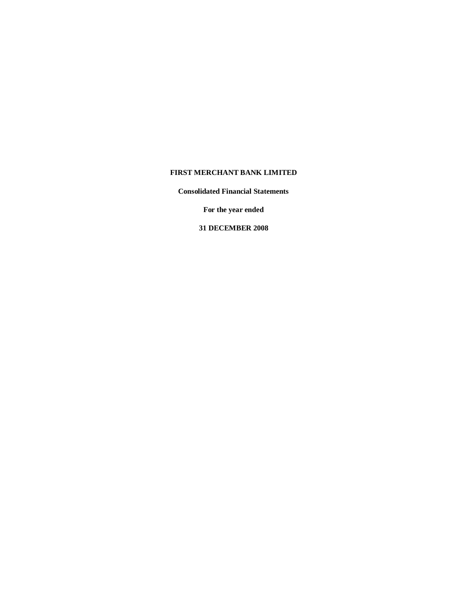# **FIRST MERCHANT BANK LIMITED**

**Consolidated Financial Statements**

**For the year ended**

**31 DECEMBER 2008**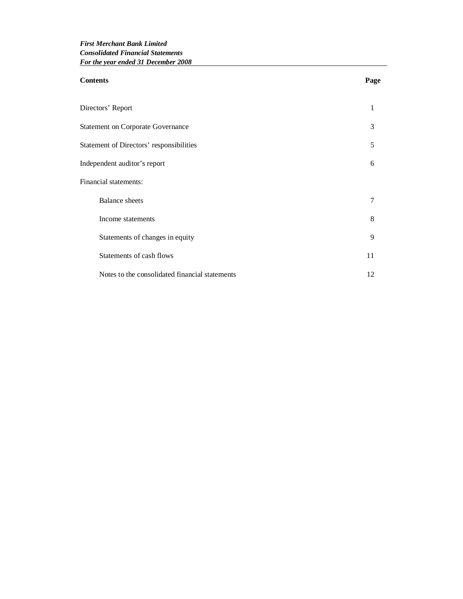| <b>Contents</b>                                | Page |
|------------------------------------------------|------|
| Directors' Report                              | 1    |
| <b>Statement on Corporate Governance</b>       | 3    |
| Statement of Directors' responsibilities       | 5    |
| Independent auditor's report                   | 6    |
| Financial statements:                          |      |
| <b>Balance</b> sheets                          | 7    |
| Income statements                              | 8    |
| Statements of changes in equity                | 9    |
| Statements of cash flows                       | 11   |
| Notes to the consolidated financial statements | 12   |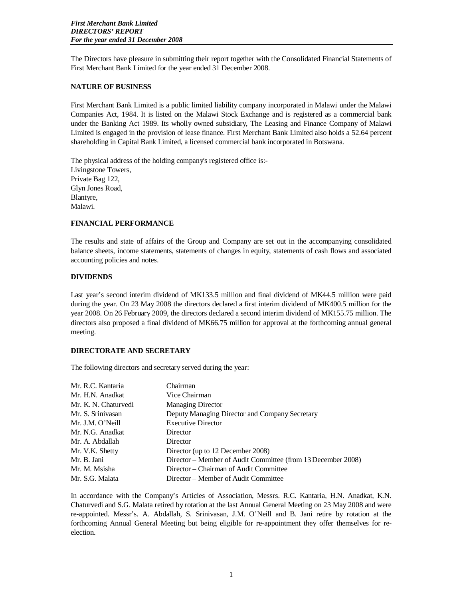The Directors have pleasure in submitting their report together with the Consolidated Financial Statements of First Merchant Bank Limited for the year ended 31 December 2008.

#### **NATURE OF BUSINESS**

First Merchant Bank Limited is a public limited liability company incorporated in Malawi under the Malawi Companies Act, 1984. It is listed on the Malawi Stock Exchange and is registered as a commercial bank under the Banking Act 1989. Its wholly owned subsidiary, The Leasing and Finance Company of Malawi Limited is engaged in the provision of lease finance. First Merchant Bank Limited also holds a 52.64 percent shareholding in Capital Bank Limited, a licensed commercial bank incorporated in Botswana.

The physical address of the holding company's registered office is:- Livingstone Towers, Private Bag 122, Glyn Jones Road, Blantyre, Malawi.

## **FINANCIAL PERFORMANCE**

The results and state of affairs of the Group and Company are set out in the accompanying consolidated balance sheets, income statements, statements of changes in equity, statements of cash flows and associated accounting policies and notes.

## **DIVIDENDS**

Last year's second interim dividend of MK133.5 million and final dividend of MK44.5 million were paid during the year. On 23 May 2008 the directors declared a first interim dividend of MK400.5 million for the year 2008. On 26 February 2009, the directors declared a second interim dividend of MK155.75 million. The directors also proposed a final dividend of MK66.75 million for approval at the forthcoming annual general meeting.

## **DIRECTORATE AND SECRETARY**

The following directors and secretary served during the year:

| Mr. R.C. Kantaria    | Chairman                                                     |
|----------------------|--------------------------------------------------------------|
| Mr. H.N. Anadkat     | Vice Chairman                                                |
| Mr. K. N. Chaturvedi | <b>Managing Director</b>                                     |
| Mr. S. Srinivasan    | Deputy Managing Director and Company Secretary               |
| Mr. J.M. O'Neill     | <b>Executive Director</b>                                    |
| Mr. N.G. Anadkat     | Director                                                     |
| Mr. A. Abdallah      | Director                                                     |
| Mr. V.K. Shetty      | Director (up to 12 December 2008)                            |
| Mr. B. Jani          | Director – Member of Audit Committee (from 13 December 2008) |
| Mr. M. Msisha        | Director – Chairman of Audit Committee                       |
| Mr. S.G. Malata      | Director – Member of Audit Committee                         |

In accordance with the Company's Articles of Association, Messrs. R.C. Kantaria, H.N. Anadkat, K.N. Chaturvedi and S.G. Malata retired by rotation at the last Annual General Meeting on 23 May 2008 and were re-appointed. Messr's. A. Abdallah, S. Srinivasan, J.M. O'Neill and B. Jani retire by rotation at the forthcoming Annual General Meeting but being eligible for re-appointment they offer themselves for reelection.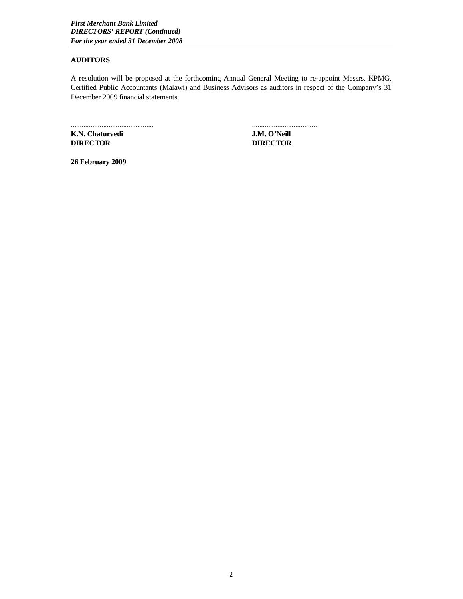# **AUDITORS**

A resolution will be proposed at the forthcoming Annual General Meeting to re-appoint Messrs. KPMG, Certified Public Accountants (Malawi) and Business Advisors as auditors in respect of the Company's 31 December 2009 financial statements.

**K.N. Chaturvedi J.M. O'Neill DIRECTOR DIRECTOR**

.............................................. ....................................

**26 February 2009**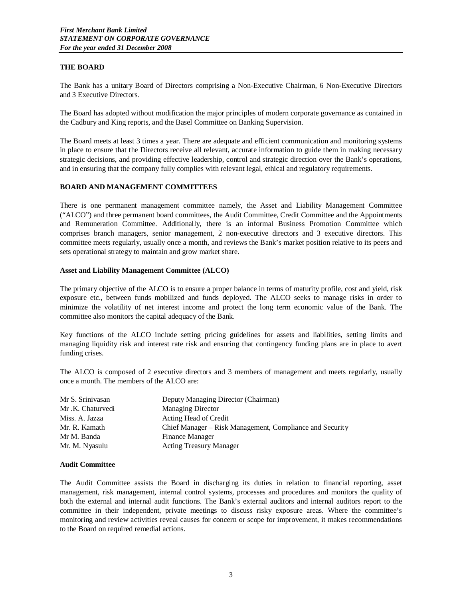# **THE BOARD**

The Bank has a unitary Board of Directors comprising a Non-Executive Chairman, 6 Non-Executive Directors and 3 Executive Directors.

The Board has adopted without modification the major principles of modern corporate governance as contained in the Cadbury and King reports, and the Basel Committee on Banking Supervision.

The Board meets at least 3 times a year. There are adequate and efficient communication and monitoring systems in place to ensure that the Directors receive all relevant, accurate information to guide them in making necessary strategic decisions, and providing effective leadership, control and strategic direction over the Bank's operations, and in ensuring that the company fully complies with relevant legal, ethical and regulatory requirements.

## **BOARD AND MANAGEMENT COMMITTEES**

There is one permanent management committee namely, the Asset and Liability Management Committee ("ALCO") and three permanent board committees, the Audit Committee, Credit Committee and the Appointments and Remuneration Committee. Additionally, there is an informal Business Promotion Committee which comprises branch managers, senior management, 2 non-executive directors and 3 executive directors. This committee meets regularly, usually once a month, and reviews the Bank's market position relative to its peers and sets operational strategy to maintain and grow market share.

#### **Asset and Liability Management Committee (ALCO)**

The primary objective of the ALCO is to ensure a proper balance in terms of maturity profile, cost and yield, risk exposure etc., between funds mobilized and funds deployed. The ALCO seeks to manage risks in order to minimize the volatility of net interest income and protect the long term economic value of the Bank. The committee also monitors the capital adequacy of the Bank.

Key functions of the ALCO include setting pricing guidelines for assets and liabilities, setting limits and managing liquidity risk and interest rate risk and ensuring that contingency funding plans are in place to avert funding crises.

The ALCO is composed of 2 executive directors and 3 members of management and meets regularly, usually once a month. The members of the ALCO are:

| Mr S. Srinivasan | Deputy Managing Director (Chairman)                      |
|------------------|----------------------------------------------------------|
| Mr.K. Chaturvedi | <b>Managing Director</b>                                 |
| Miss. A. Jazza   | Acting Head of Credit                                    |
| Mr. R. Kamath    | Chief Manager – Risk Management, Compliance and Security |
| Mr M. Banda      | <b>Finance Manager</b>                                   |
| Mr. M. Nyasulu   | <b>Acting Treasury Manager</b>                           |

#### **Audit Committee**

The Audit Committee assists the Board in discharging its duties in relation to financial reporting, asset management, risk management, internal control systems, processes and procedures and monitors the quality of both the external and internal audit functions. The Bank's external auditors and internal auditors report to the committee in their independent, private meetings to discuss risky exposure areas. Where the committee's monitoring and review activities reveal causes for concern or scope for improvement, it makes recommendations to the Board on required remedial actions.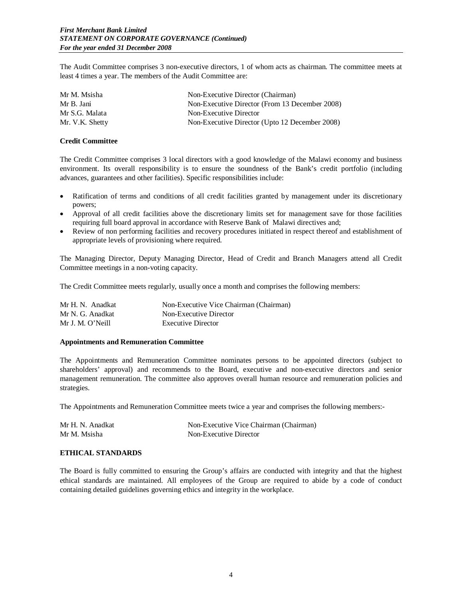The Audit Committee comprises 3 non-executive directors, 1 of whom acts as chairman. The committee meets at least 4 times a year. The members of the Audit Committee are:

| Mr M. Msisha    | Non-Executive Director (Chairman)              |
|-----------------|------------------------------------------------|
| Mr B. Jani      | Non-Executive Director (From 13 December 2008) |
| Mr S.G. Malata  | Non-Executive Director                         |
| Mr. V.K. Shetty | Non-Executive Director (Upto 12 December 2008) |

#### **Credit Committee**

The Credit Committee comprises 3 local directors with a good knowledge of the Malawi economy and business environment. Its overall responsibility is to ensure the soundness of the Bank's credit portfolio (including advances, guarantees and other facilities). Specific responsibilities include:

- Ratification of terms and conditions of all credit facilities granted by management under its discretionary powers;
- Approval of all credit facilities above the discretionary limits set for management save for those facilities requiring full board approval in accordance with Reserve Bank of Malawi directives and;
- Review of non performing facilities and recovery procedures initiated in respect thereof and establishment of appropriate levels of provisioning where required.

The Managing Director, Deputy Managing Director, Head of Credit and Branch Managers attend all Credit Committee meetings in a non-voting capacity.

The Credit Committee meets regularly, usually once a month and comprises the following members:

| Mr H. N. Anadkat | Non-Executive Vice Chairman (Chairman) |
|------------------|----------------------------------------|
| Mr N. G. Anadkat | Non-Executive Director                 |
| Mr J. M. O'Neill | <b>Executive Director</b>              |

# **Appointments and Remuneration Committee**

The Appointments and Remuneration Committee nominates persons to be appointed directors (subject to shareholders' approval) and recommends to the Board, executive and non-executive directors and senior management remuneration. The committee also approves overall human resource and remuneration policies and strategies.

The Appointments and Remuneration Committee meets twice a year and comprises the following members:-

| Mr H. N. Anadkat | Non-Executive Vice Chairman (Chairman) |
|------------------|----------------------------------------|
| Mr M. Msisha     | Non-Executive Director                 |

# **ETHICAL STANDARDS**

The Board is fully committed to ensuring the Group's affairs are conducted with integrity and that the highest ethical standards are maintained. All employees of the Group are required to abide by a code of conduct containing detailed guidelines governing ethics and integrity in the workplace.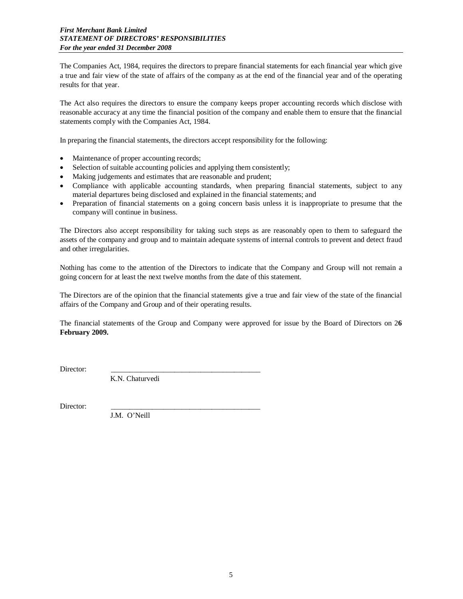The Companies Act, 1984, requires the directors to prepare financial statements for each financial year which give a true and fair view of the state of affairs of the company as at the end of the financial year and of the operating results for that year.

The Act also requires the directors to ensure the company keeps proper accounting records which disclose with reasonable accuracy at any time the financial position of the company and enable them to ensure that the financial statements comply with the Companies Act, 1984.

In preparing the financial statements, the directors accept responsibility for the following:

- Maintenance of proper accounting records;
- Selection of suitable accounting policies and applying them consistently;
- Making judgements and estimates that are reasonable and prudent;
- Compliance with applicable accounting standards, when preparing financial statements, subject to any material departures being disclosed and explained in the financial statements; and
- Preparation of financial statements on a going concern basis unless it is inappropriate to presume that the company will continue in business.

The Directors also accept responsibility for taking such steps as are reasonably open to them to safeguard the assets of the company and group and to maintain adequate systems of internal controls to prevent and detect fraud and other irregularities.

Nothing has come to the attention of the Directors to indicate that the Company and Group will not remain a going concern for at least the next twelve months from the date of this statement.

The Directors are of the opinion that the financial statements give a true and fair view of the state of the financial affairs of the Company and Group and of their operating results.

The financial statements of the Group and Company were approved for issue by the Board of Directors on 2**6 February 2009.**

Director:

K.N. Chaturvedi

Director: \_\_\_\_\_\_\_\_\_\_\_\_\_\_\_\_\_\_\_\_\_\_\_\_\_\_\_\_\_\_\_\_\_\_\_\_\_\_\_\_

J.M. O'Neill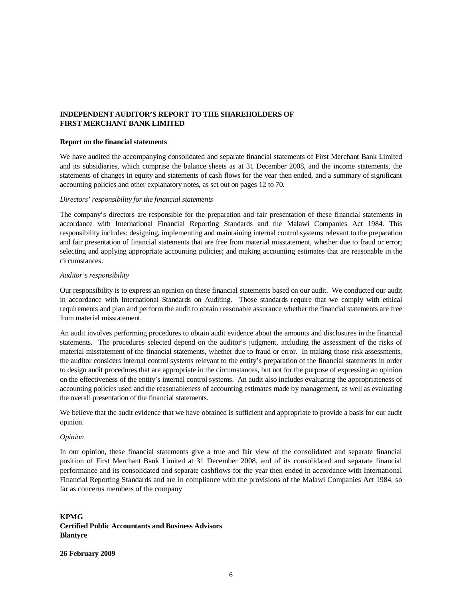# **INDEPENDENT AUDITOR'S REPORT TO THE SHAREHOLDERS OF FIRST MERCHANT BANK LIMITED**

#### **Report on the financial statements**

We have audited the accompanying consolidated and separate financial statements of First Merchant Bank Limited and its subsidiaries, which comprise the balance sheets as at 31 December 2008, and the income statements, the statements of changes in equity and statements of cash flows for the year then ended, and a summary of significant accounting policies and other explanatory notes, as set out on pages 12 to 70.

#### *Directors' responsibility for the financial statements*

The company's directors are responsible for the preparation and fair presentation of these financial statements in accordance with International Financial Reporting Standards and the Malawi Companies Act 1984. This responsibility includes: designing, implementing and maintaining internal control systems relevant to the preparation and fair presentation of financial statements that are free from material misstatement, whether due to fraud or error; selecting and applying appropriate accounting policies; and making accounting estimates that are reasonable in the circumstances.

#### *Auditor's responsibility*

Our responsibility is to express an opinion on these financial statements based on our audit. We conducted our audit in accordance with International Standards on Auditing. Those standards require that we comply with ethical requirements and plan and perform the audit to obtain reasonable assurance whether the financial statements are free from material misstatement.

An audit involves performing procedures to obtain audit evidence about the amounts and disclosures in the financial statements. The procedures selected depend on the auditor's judgment, including the assessment of the risks of material misstatement of the financial statements, whether due to fraud or error. In making those risk assessments, the auditor considers internal control systems relevant to the entity's preparation of the financial statements in order to design audit procedures that are appropriate in the circumstances, but not for the purpose of expressing an opinion on the effectiveness of the entity's internal control systems. An audit also includes evaluating the appropriateness of accounting policies used and the reasonableness of accounting estimates made by management, as well as evaluating the overall presentation of the financial statements.

We believe that the audit evidence that we have obtained is sufficient and appropriate to provide a basis for our audit opinion.

#### *Opinion*

In our opinion, these financial statements give a true and fair view of the consolidated and separate financial position of First Merchant Bank Limited at 31 December 2008, and of its consolidated and separate financial performance and its consolidated and separate cashflows for the year then ended in accordance with International Financial Reporting Standards and are in compliance with the provisions of the Malawi Companies Act 1984, so far as concerns members of the company

# **KPMG Certified Public Accountants and Business Advisors Blantyre**

#### **26 February 2009**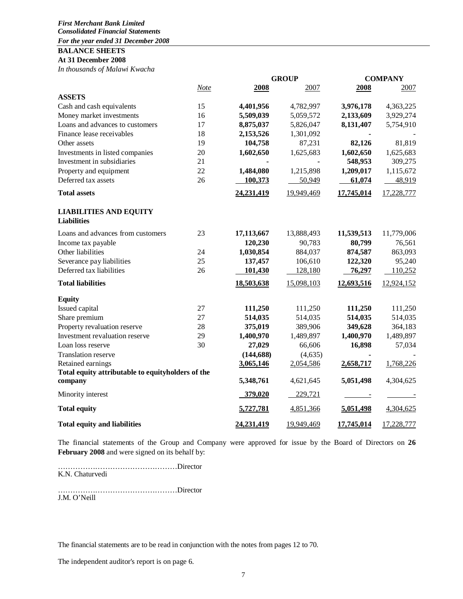## *First Merchant Bank Limited Consolidated Financial Statements For the year ended 31 December 2008*

**BALANCE SHEETS**

# **At 31 December 2008**

*In thousands of Malawi Kwacha*

|                                                     |             |              | <b>GROUP</b> |            | <b>COMPANY</b> |
|-----------------------------------------------------|-------------|--------------|--------------|------------|----------------|
|                                                     | <b>Note</b> | 2008         | 2007         | 2008       | 2007           |
| <b>ASSETS</b>                                       |             |              |              |            |                |
| Cash and cash equivalents                           | 15          | 4,401,956    | 4,782,997    | 3,976,178  | 4,363,225      |
| Money market investments                            | 16          | 5,509,039    | 5,059,572    | 2,133,609  | 3,929,274      |
| Loans and advances to customers                     | 17          | 8,875,037    | 5,826,047    | 8,131,407  | 5,754,910      |
| Finance lease receivables                           | 18          | 2,153,526    | 1,301,092    |            |                |
| Other assets                                        | 19          | 104,758      | 87,231       | 82,126     | 81,819         |
| Investments in listed companies                     | 20          | 1,602,650    | 1,625,683    | 1,602,650  | 1,625,683      |
| Investment in subsidiaries                          | 21          |              |              | 548,953    | 309,275        |
| Property and equipment                              | 22          | 1,484,080    | 1,215,898    | 1,209,017  | 1,115,672      |
| Deferred tax assets                                 | 26          | 100,373      | 50,949       | 61,074     | 48,919         |
| <b>Total assets</b>                                 |             | 24, 231, 419 | 19,949,469   | 17,745,014 | 17,228,777     |
| <b>LIABILITIES AND EQUITY</b><br><b>Liabilities</b> |             |              |              |            |                |
| Loans and advances from customers                   | 23          | 17,113,667   | 13,888,493   | 11,539,513 | 11,779,006     |
| Income tax payable                                  |             | 120,230      | 90,783       | 80,799     | 76,561         |
| Other liabilities                                   | 24          | 1,030,854    | 884,037      | 874,587    | 863,093        |
| Severance pay liabilities                           | 25          | 137,457      | 106,610      | 122,320    | 95,240         |
| Deferred tax liabilities                            | 26          | 101,430      | 128,180      | 76,297     | 110,252        |
| <b>Total liabilities</b>                            |             | 18,503,638   | 15,098,103   | 12,693,516 | 12,924,152     |
| <b>Equity</b>                                       |             |              |              |            |                |
| Issued capital                                      | 27          | 111,250      | 111,250      | 111,250    | 111,250        |
| Share premium                                       | 27          | 514,035      | 514,035      | 514,035    | 514,035        |
| Property revaluation reserve                        | 28          | 375,019      | 389,906      | 349,628    | 364,183        |
| Investment revaluation reserve                      | 29          | 1,400,970    | 1,489,897    | 1,400,970  | 1,489,897      |
| Loan loss reserve                                   | 30          | 27,029       | 66,606       | 16,898     | 57,034         |
| Translation reserve                                 |             | (144, 688)   | (4, 635)     |            |                |
| Retained earnings                                   |             | 3,065,146    | 2,054,586    | 2,658,717  | 1,768,226      |
| Total equity attributable to equityholders of the   |             |              |              |            |                |
| company                                             |             | 5,348,761    | 4,621,645    | 5,051,498  | 4,304,625      |
| Minority interest                                   |             | 379,020      | 229,721      |            |                |
| <b>Total equity</b>                                 |             | 5,727,781    | 4,851,366    | 5,051,498  | 4,304,625      |
| <b>Total equity and liabilities</b>                 |             | 24,231,419   | 19,949,469   | 17,745,014 | 17,228,777     |

The financial statements of the Group and Company were approved for issue by the Board of Directors on **26 February 2008** and were signed on its behalf by:

…………………………………………Director K.N. Chaturvedi

…………………………………………Director

J.M. O'Neill

The financial statements are to be read in conjunction with the notes from pages 12 to 70.

The independent auditor's report is on page 6.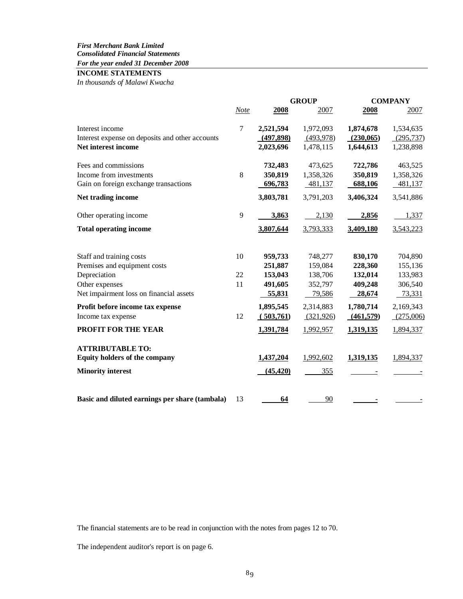# *For the year ended 31 December 2008*

# **INCOME STATEMENTS**

*In thousands of Malawi Kwacha* 

|                                                 |                | <b>GROUP</b> |            |           | <b>COMPANY</b> |
|-------------------------------------------------|----------------|--------------|------------|-----------|----------------|
|                                                 | <b>Note</b>    | 2008         | 2007       | 2008      | 2007           |
| Interest income                                 | $\overline{7}$ | 2,521,594    | 1,972,093  | 1,874,678 | 1,534,635      |
| Interest expense on deposits and other accounts |                | (497,898)    | (493,978)  | (230,065) | (295, 737)     |
| Net interest income                             |                | 2,023,696    | 1,478,115  | 1,644,613 | 1,238,898      |
| Fees and commissions                            |                | 732,483      | 473,625    | 722,786   | 463,525        |
| Income from investments                         | 8              | 350,819      | 1,358,326  | 350,819   | 1,358,326      |
| Gain on foreign exchange transactions           |                | 696,783      | 481,137    | 688,106   | 481,137        |
| Net trading income                              |                | 3,803,781    | 3,791,203  | 3,406,324 | 3,541,886      |
| Other operating income                          | 9              | 3,863        | 2,130      | 2,856     | 1,337          |
| <b>Total operating income</b>                   |                | 3,807,644    | 3,793,333  | 3,409,180 | 3,543,223      |
| Staff and training costs                        | 10             | 959,733      | 748,277    | 830,170   | 704,890        |
| Premises and equipment costs                    |                | 251,887      | 159,084    | 228,360   | 155,136        |
| Depreciation                                    | 22             | 153,043      | 138,706    | 132,014   | 133,983        |
| Other expenses                                  | 11             | 491,605      | 352,797    | 409,248   | 306,540        |
| Net impairment loss on financial assets         |                | 55,831       | 79,586     | 28,674    | 73,331         |
| Profit before income tax expense                |                | 1,895,545    | 2,314,883  | 1,780,714 | 2,169,343      |
| Income tax expense                              | 12             | (503,761)    | (321, 926) | (461,579) | (275,006)      |
| <b>PROFIT FOR THE YEAR</b>                      |                | 1,391,784    | 1,992,957  | 1,319,135 | 1,894,337      |
| <b>ATTRIBUTABLE TO:</b>                         |                |              |            |           |                |
| <b>Equity holders of the company</b>            |                | 1,437,204    | 1,992,602  | 1,319,135 | 1,894,337      |
| <b>Minority interest</b>                        |                | (45, 420)    | 355        |           |                |
| Basic and diluted earnings per share (tambala)  | 13             | 64           | 90         |           |                |

The financial statements are to be read in conjunction with the notes from pages 12 to 70.

The independent auditor's report is on page 6.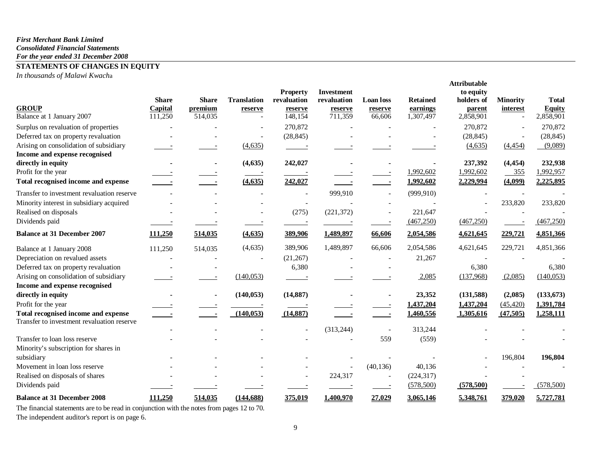#### *First Merchant Bank Limited Consolidated Financial Statements For the year ended 31 December 2008*

# **STATEMENTS OF CHANGES IN EQUITY**

*In thousands of Malawi Kwach*a

| <b>Property</b><br><b>Investment</b><br>to equity                                                                                     |                                 |
|---------------------------------------------------------------------------------------------------------------------------------------|---------------------------------|
| <b>Translation</b><br><b>Share</b><br><b>Share</b><br>revaluation<br><b>Retained</b><br>revaluation<br><b>Loan</b> loss<br>holders of | <b>Minority</b><br><b>Total</b> |
| <b>GROUP</b><br>Capital<br>premium<br>earnings<br>parent<br>reserve<br>reserve<br>reserve<br>reserve                                  | <b>Equity</b><br>interest       |
| Balance at 1 January 2007<br>148,154<br>711,359<br>66,606<br>111,250<br>514,035<br>1,307,497<br>2,858,901<br>$\sim$                   | 2,858,901                       |
| 270,872<br>Surplus on revaluation of properties<br>270,872<br>$\overline{a}$                                                          | 270,872                         |
| Deferred tax on property revaluation<br>(28, 845)<br>(28, 845)                                                                        | (28, 845)                       |
| Arising on consolidation of subsidiary<br>(4,635)<br>(4,635)                                                                          | (9,089)<br>(4, 454)             |
| Income and expense recognised                                                                                                         |                                 |
| (4, 635)<br>242,027<br>237,392<br>directly in equity                                                                                  | 232,938<br>(4, 454)             |
| Profit for the year<br>1,992,602<br>1,992,602                                                                                         | 1,992,957<br>355                |
| Total recognised income and expense<br>(4, 635)<br>242,027<br>1,992,602<br>2,229,994<br>$\sim$                                        | (4,099)<br>2,225,895            |
| 999,910<br>Transfer to investment revaluation reserve<br>(999, 910)<br>$\overline{\phantom{a}}$                                       |                                 |
| Minority interest in subsidiary acquired<br>$\overline{\phantom{a}}$                                                                  | 233,820<br>233,820              |
| Realised on disposals<br>(221, 372)<br>(275)<br>221,647                                                                               |                                 |
| Dividends paid<br>(467, 250)<br>(467, 250)                                                                                            | (467, 250)                      |
| <b>Balance at 31 December 2007</b><br>111,250<br>514,035<br>(4, 635)<br>389,906<br>1,489,897<br>2,054,586<br>66,606<br>4,621,645      | 229,721<br>4,851,366            |
| (4, 635)<br>389,906<br>1,489,897<br>66,606<br>2,054,586<br>4,621,645<br>111,250<br>514,035<br>Balance at 1 January 2008               | 229,721<br>4,851,366            |
| Depreciation on revalued assets<br>(21, 267)<br>21,267                                                                                |                                 |
| Deferred tax on property revaluation<br>6,380<br>6,380                                                                                | 6,380                           |
| Arising on consolidation of subsidiary<br>(137,968)<br>(140, 053)<br>2,085                                                            | (140, 053)<br>(2,085)           |
| Income and expense recognised                                                                                                         |                                 |
| directly in equity<br>(140, 053)<br>(14, 887)<br>23,352<br>(131,588)                                                                  | (2,085)<br>(133, 673)           |
| 1,437,204<br>Profit for the year<br>1,437,204                                                                                         | 1,391,784<br>(45, 420)          |
| (140, 053)<br>(14, 887)<br>Total recognised income and expense<br>1,460,556<br>1,305,616                                              | (47,505)<br>1,258,111           |
| Transfer to investment revaluation reserve<br>(313, 244)<br>313,244                                                                   |                                 |
| Transfer to loan loss reserve<br>559<br>(559)                                                                                         |                                 |
| Minority's subscription for shares in                                                                                                 |                                 |
| subsidiary                                                                                                                            | 196,804<br>196,804              |
| Movement in loan loss reserve<br>(40, 136)<br>40,136                                                                                  |                                 |
| (224, 317)<br>Realised on disposals of shares<br>224,317<br>$\blacksquare$                                                            |                                 |
| Dividends paid<br>(578, 500)<br>(578, 500)                                                                                            | (578,500)                       |
| 1,400,970<br><b>Balance at 31 December 2008</b><br>111,250<br>514,035<br>(144, 688)<br>375,019<br>27,029<br>3,065,146<br>5,348,761    | 379,020<br>5,727,781            |

The financial statements are to be read in conjunction with the notes from pages 12 to 70. The independent auditor's report is on page 6.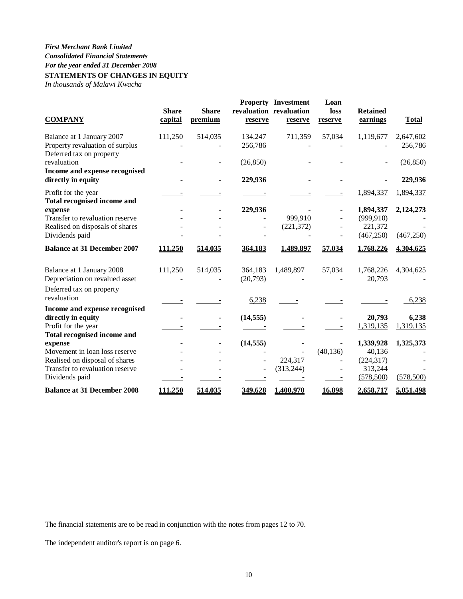# **STATEMENTS OF CHANGES IN EQUITY**

*In thousands of Malawi Kwacha*

| <b>COMPANY</b>                                                           | <b>Share</b><br>capital | <b>Share</b><br>premium | reserve            | <b>Property Investment</b><br>revaluation revaluation<br>reserve | Loan<br>loss<br>reserve | <b>Retained</b><br>earnings | <b>Total</b>         |
|--------------------------------------------------------------------------|-------------------------|-------------------------|--------------------|------------------------------------------------------------------|-------------------------|-----------------------------|----------------------|
| Balance at 1 January 2007<br>Property revaluation of surplus             | 111,250                 | 514,035                 | 134,247<br>256,786 | 711,359                                                          | 57,034                  | 1,119,677                   | 2,647,602<br>256,786 |
| Deferred tax on property<br>revaluation<br>Income and expense recognised |                         |                         | (26, 850)          |                                                                  |                         |                             | (26, 850)            |
| directly in equity                                                       |                         |                         | 229,936            |                                                                  |                         |                             | 229,936              |
| Profit for the year<br><b>Total recognised income and</b>                |                         |                         |                    |                                                                  |                         | 1,894,337                   | 1,894,337            |
| expense                                                                  |                         |                         | 229,936            |                                                                  |                         | 1,894,337                   | 2,124,273            |
| Transfer to revaluation reserve                                          |                         |                         |                    | 999,910                                                          |                         | (999, 910)                  |                      |
| Realised on disposals of shares                                          |                         |                         |                    | (221, 372)                                                       |                         | 221,372                     |                      |
| Dividends paid                                                           |                         |                         |                    |                                                                  |                         | (467, 250)                  | (467, 250)           |
| <b>Balance at 31 December 2007</b>                                       | 111,250                 | 514,035                 | 364,183            | 1,489,897                                                        | 57,034                  | 1,768,226                   | 4,304,625            |
| Balance at 1 January 2008                                                | 111,250                 | 514,035                 | 364,183            | 1,489,897                                                        | 57,034                  | 1,768,226                   | 4,304,625            |
| Depreciation on revalued asset                                           |                         |                         | (20,793)           |                                                                  |                         | 20,793                      |                      |
| Deferred tax on property                                                 |                         |                         |                    |                                                                  |                         |                             |                      |
| revaluation                                                              |                         |                         | 6,238              |                                                                  |                         |                             | 6,238                |
| Income and expense recognised                                            |                         |                         |                    |                                                                  |                         |                             |                      |
| directly in equity                                                       |                         |                         | (14, 555)          |                                                                  |                         | 20,793                      | 6,238                |
| Profit for the year                                                      |                         |                         |                    |                                                                  |                         | 1,319,135                   | 1,319,135            |
| Total recognised income and                                              |                         |                         |                    |                                                                  |                         |                             |                      |
| expense                                                                  |                         |                         | (14, 555)          |                                                                  |                         | 1,339,928                   | 1,325,373            |
| Movement in loan loss reserve                                            |                         |                         |                    |                                                                  | (40, 136)               | 40,136                      |                      |
| Realised on disposal of shares                                           |                         |                         |                    | 224,317                                                          |                         | (224, 317)                  |                      |
| Transfer to revaluation reserve                                          |                         |                         |                    | (313, 244)                                                       |                         | 313,244                     |                      |
| Dividends paid                                                           |                         |                         |                    |                                                                  |                         | (578, 500)                  | (578, 500)           |
| <b>Balance at 31 December 2008</b>                                       | 111,250                 | 514,035                 | 349,628            | 1,400,970                                                        | 16,898                  | 2,658,717                   | 5,051,498            |

The financial statements are to be read in conjunction with the notes from pages 12 to 70.

The independent auditor's report is on page 6.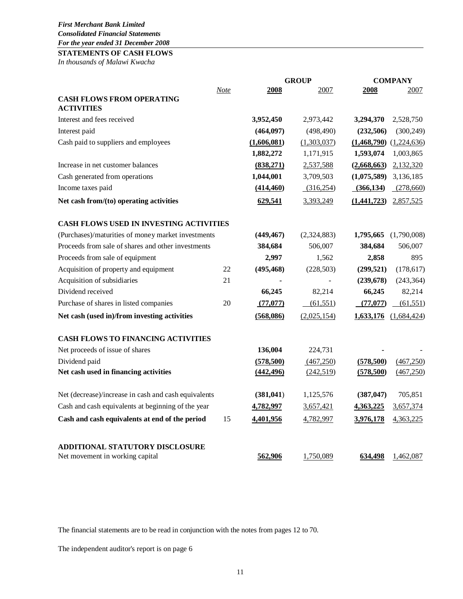# **STATEMENTS OF CASH FLOWS**

*In thousands of Malawi Kwacha*

|                                                                           |      |             | <b>GROUP</b> | <b>COMPANY</b>              |  |
|---------------------------------------------------------------------------|------|-------------|--------------|-----------------------------|--|
|                                                                           | Note | 2008        | 2007         | 2008<br>2007                |  |
| <b>CASH FLOWS FROM OPERATING</b>                                          |      |             |              |                             |  |
| <b>ACTIVITIES</b>                                                         |      |             |              |                             |  |
| Interest and fees received                                                |      | 3,952,450   | 2,973,442    | 3,294,370<br>2,528,750      |  |
| Interest paid                                                             |      | (464, 097)  | (498, 490)   | (232, 506)<br>(300, 249)    |  |
| Cash paid to suppliers and employees                                      |      | (1,606,081) | (1,303,037)  | $(1,468,790)$ $(1,224,636)$ |  |
|                                                                           |      | 1,882,272   | 1,171,915    | 1,593,074<br>1,003,865      |  |
| Increase in net customer balances                                         |      | (838,271)   | 2,537,588    | (2,668,663)<br>2,132,320    |  |
| Cash generated from operations                                            |      | 1,044,001   | 3,709,503    | (1,075,589)<br>3,136,185    |  |
| Income taxes paid                                                         |      | (414, 460)  | (316, 254)   | (278,660)<br>(366, 134)     |  |
| Net cash from/(to) operating activities                                   |      | 629,541     | 3,393,249    | 2,857,525<br>(1,441,723)    |  |
| <b>CASH FLOWS USED IN INVESTING ACTIVITIES</b>                            |      |             |              |                             |  |
| (Purchases)/maturities of money market investments                        |      | (449, 467)  | (2,324,883)  | 1,795,665<br>(1,790,008)    |  |
| Proceeds from sale of shares and other investments                        |      | 384,684     | 506,007      | 384,684<br>506,007          |  |
| Proceeds from sale of equipment                                           |      | 2,997       | 1,562        | 895<br>2,858                |  |
| Acquisition of property and equipment                                     | 22   | (495, 468)  | (228, 503)   | (299, 521)<br>(178, 617)    |  |
| Acquisition of subsidiaries                                               | 21   |             |              | (239, 678)<br>(243, 364)    |  |
| Dividend received                                                         |      | 66,245      | 82,214       | 66,245<br>82,214            |  |
| Purchase of shares in listed companies                                    | 20   | (77,077)    | (61, 551)    | (77,077)<br>(61, 551)       |  |
| Net cash (used in)/from investing activities                              |      | (568,086)   | (2,025,154)  | 1,633,176 (1,684,424)       |  |
| <b>CASH FLOWS TO FINANCING ACTIVITIES</b>                                 |      |             |              |                             |  |
| Net proceeds of issue of shares                                           |      | 136,004     | 224,731      |                             |  |
| Dividend paid                                                             |      | (578, 500)  | (467, 250)   | (467, 250)<br>(578, 500)    |  |
| Net cash used in financing activities                                     |      | (442, 496)  | (242, 519)   | (467, 250)<br>(578,500)     |  |
| Net (decrease)/increase in cash and cash equivalents                      |      | (381, 041)  | 1,125,576    | (387, 047)<br>705,851       |  |
| Cash and cash equivalents at beginning of the year                        |      | 4,782,997   | 3,657,421    | 3,657,374<br>4,363,225      |  |
| Cash and cash equivalents at end of the period                            | 15   | 4,401,956   | 4,782,997    | 3,976,178<br>4,363,225      |  |
|                                                                           |      |             |              |                             |  |
| <b>ADDITIONAL STATUTORY DISCLOSURE</b><br>Net movement in working capital |      | 562,906     | 1,750,089    | 634,498<br>1,462,087        |  |

The financial statements are to be read in conjunction with the notes from pages 12 to 70.

The independent auditor's report is on page 6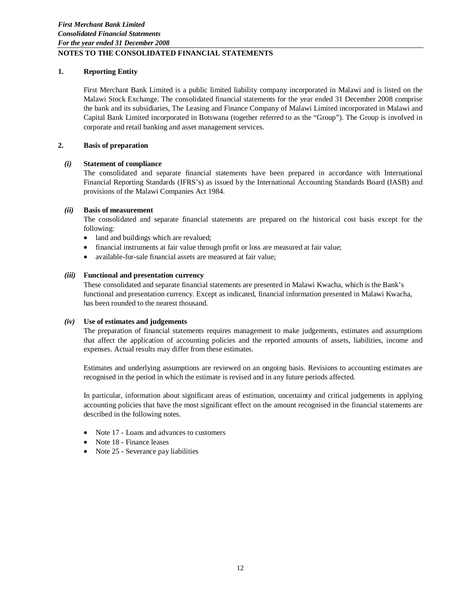# **1. Reporting Entity**

First Merchant Bank Limited is a public limited liability company incorporated in Malawi and is listed on the Malawi Stock Exchange. The consolidated financial statements for the year ended 31 December 2008 comprise the bank and its subsidiaries, The Leasing and Finance Company of Malawi Limited incorporated in Malawi and Capital Bank Limited incorporated in Botswana (together referred to as the "Group"). The Group is involved in corporate and retail banking and asset management services.

# **2. Basis of preparation**

# *(i)* **Statement of compliance**

The consolidated and separate financial statements have been prepared in accordance with International Financial Reporting Standards (IFRS's) as issued by the International Accounting Standards Board (IASB) and provisions of the Malawi Companies Act 1984.

# *(ii)* **Basis of measurement**

The consolidated and separate financial statements are prepared on the historical cost basis except for the following:

- land and buildings which are revalued;
- financial instruments at fair value through profit or loss are measured at fair value;
- available-for-sale financial assets are measured at fair value;

# *(iii)* **Functional and presentation currency**

These consolidated and separate financial statements are presented in Malawi Kwacha, which is the Bank's functional and presentation currency. Except as indicated, financial information presented in Malawi Kwacha, has been rounded to the nearest thousand.

# *(iv)* **Use of estimates and judgements**

The preparation of financial statements requires management to make judgements, estimates and assumptions that affect the application of accounting policies and the reported amounts of assets, liabilities, income and expenses. Actual results may differ from these estimates.

Estimates and underlying assumptions are reviewed on an ongoing basis. Revisions to accounting estimates are recognised in the period in which the estimate is revised and in any future periods affected.

In particular, information about significant areas of estimation, uncertainty and critical judgements in applying accounting policies that have the most significant effect on the amount recognised in the financial statements are described in the following notes.

- Note 17 Loans and advances to customers
- Note 18 Finance leases
- Note 25 Severance pay liabilities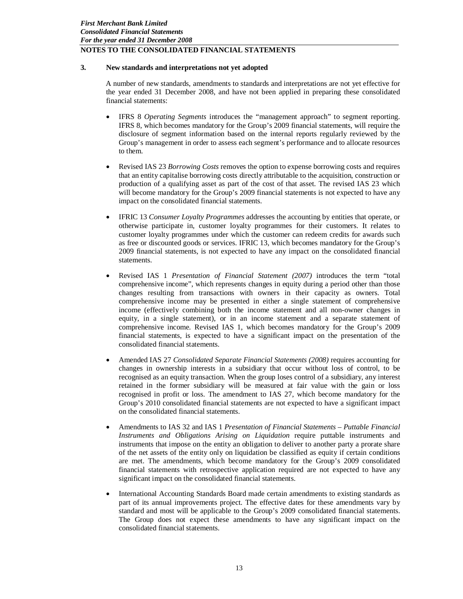# **3. New standards and interpretations not yet adopted**

A number of new standards, amendments to standards and interpretations are not yet effective for the year ended 31 December 2008, and have not been applied in preparing these consolidated financial statements:

- IFRS 8 *Operating Segments* introduces the "management approach" to segment reporting. IFRS 8, which becomes mandatory for the Group's 2009 financial statements, will require the disclosure of segment information based on the internal reports regularly reviewed by the Group's management in order to assess each segment's performance and to allocate resources to them.
- Revised IAS 23 *Borrowing Costs* removes the option to expense borrowing costs and requires that an entity capitalise borrowing costs directly attributable to the acquisition, construction or production of a qualifying asset as part of the cost of that asset. The revised IAS 23 which will become mandatory for the Group's 2009 financial statements is not expected to have any impact on the consolidated financial statements.
- IFRIC 13 *Consumer Loyalty Programmes* addresses the accounting by entities that operate, or otherwise participate in, customer loyalty programmes for their customers. It relates to customer loyalty programmes under which the customer can redeem credits for awards such as free or discounted goods or services. IFRIC 13, which becomes mandatory for the Group's 2009 financial statements, is not expected to have any impact on the consolidated financial statements.
- Revised IAS 1 *Presentation of Financial Statement (2007)* introduces the term "total comprehensive income", which represents changes in equity during a period other than those changes resulting from transactions with owners in their capacity as owners. Total comprehensive income may be presented in either a single statement of comprehensive income (effectively combining both the income statement and all non-owner changes in equity, in a single statement), or in an income statement and a separate statement of comprehensive income. Revised IAS 1, which becomes mandatory for the Group's 2009 financial statements, is expected to have a significant impact on the presentation of the consolidated financial statements.
- Amended IAS 27 *Consolidated Separate Financial Statements (2008)* requires accounting for changes in ownership interests in a subsidiary that occur without loss of control, to be recognised as an equity transaction. When the group loses control of a subsidiary, any interest retained in the former subsidiary will be measured at fair value with the gain or loss recognised in profit or loss. The amendment to IAS 27, which become mandatory for the Group's 2010 consolidated financial statements are not expected to have a significant impact on the consolidated financial statements.
- Amendments to IAS 32 and IAS 1 *Presentation of Financial Statements – Puttable Financial Instruments and Obligations Arising on Liquidation* require puttable instruments and instruments that impose on the entity an obligation to deliver to another party a prorate share of the net assets of the entity only on liquidation be classified as equity if certain conditions are met. The amendments, which become mandatory for the Group's 2009 consolidated financial statements with retrospective application required are not expected to have any significant impact on the consolidated financial statements.
- International Accounting Standards Board made certain amendments to existing standards as part of its annual improvements project. The effective dates for these amendments vary by standard and most will be applicable to the Group's 2009 consolidated financial statements. The Group does not expect these amendments to have any significant impact on the consolidated financial statements.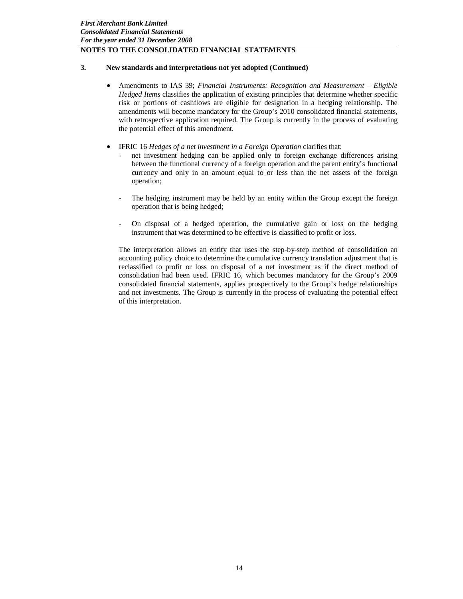# **3. New standards and interpretations not yet adopted (Continued)**

- Amendments to IAS 39; *Financial Instruments: Recognition and Measurement – Eligible Hedged Items* classifies the application of existing principles that determine whether specific risk or portions of cashflows are eligible for designation in a hedging relationship. The amendments will become mandatory for the Group's 2010 consolidated financial statements, with retrospective application required. The Group is currently in the process of evaluating the potential effect of this amendment.
- IFRIC 16 *Hedges of a net investment in a Foreign Operation* clarifies that:
	- net investment hedging can be applied only to foreign exchange differences arising between the functional currency of a foreign operation and the parent entity's functional currency and only in an amount equal to or less than the net assets of the foreign operation;
	- The hedging instrument may be held by an entity within the Group except the foreign operation that is being hedged;
	- On disposal of a hedged operation, the cumulative gain or loss on the hedging instrument that was determined to be effective is classified to profit or loss.

The interpretation allows an entity that uses the step-by-step method of consolidation an accounting policy choice to determine the cumulative currency translation adjustment that is reclassified to profit or loss on disposal of a net investment as if the direct method of consolidation had been used. IFRIC 16, which becomes mandatory for the Group's 2009 consolidated financial statements, applies prospectively to the Group's hedge relationships and net investments. The Group is currently in the process of evaluating the potential effect of this interpretation.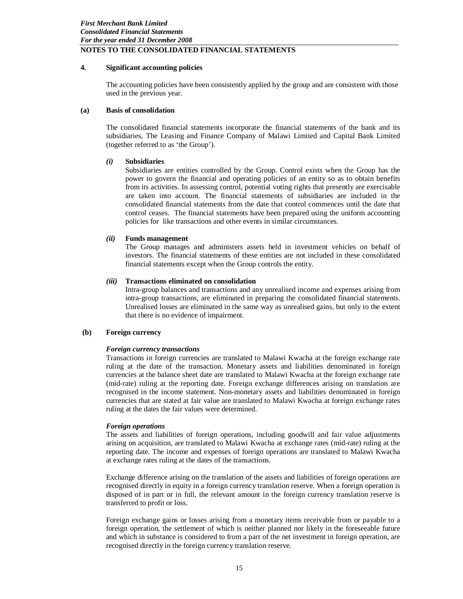# **4. Significant accounting policies**

The accounting policies have been consistently applied by the group and are consistent with those used in the previous year.

## **(a) Basis of consolidation**

The consolidated financial statements incorporate the financial statements of the bank and its subsidiaries, The Leasing and Finance Company of Malawi Limited and Capital Bank Limited (together referred to as 'the Group').

# *(i)* **Subsidiaries**

Subsidiaries are entities controlled by the Group. Control exists when the Group has the power to govern the financial and operating policies of an entity so as to obtain benefits from its activities. In assessing control, potential voting rights that presently are exercisable are taken into account. The financial statements of subsidiaries are included in the consolidated financial statements from the date that control commences until the date that control ceases. The financial statements have been prepared using the uniform accounting policies for like transactions and other events in similar circumstances.

## *(ii)* **Funds management**

The Group manages and administers assets held in investment vehicles on behalf of investors. The financial statements of these entities are not included in these consolidated financial statements except when the Group controls the entity.

## *(iii)* **Transactions eliminated on consolidation**

Intra-group balances and transactions and any unrealised income and expenses arising from intra-group transactions, are eliminated in preparing the consolidated financial statements. Unrealised losses are eliminated in the same way as unrealised gains, but only to the extent that there is no evidence of impairment.

## **(b) Foreign currency**

#### *Foreign currency transactions*

Transactions in foreign currencies are translated to Malawi Kwacha at the foreign exchange rate ruling at the date of the transaction. Monetary assets and liabilities denominated in foreign currencies at the balance sheet date are translated to Malawi Kwacha at the foreign exchange rate (mid-rate) ruling at the reporting date. Foreign exchange differences arising on translation are recognised in the income statement. Non-monetary assets and liabilities denominated in foreign currencies that are stated at fair value are translated to Malawi Kwacha at foreign exchange rates ruling at the dates the fair values were determined.

#### *Foreign operations*

The assets and liabilities of foreign operations, including goodwill and fair value adjustments arising on acquisition, are translated to Malawi Kwacha at exchange rates (mid-rate) ruling at the reporting date. The income and expenses of foreign operations are translated to Malawi Kwacha at exchange rates ruling at the dates of the transactions.

Exchange difference arising on the translation of the assets and liabilities of foreign operations are recognised directly in equity in a foreign currency translation reserve. When a foreign operation is disposed of in part or in full, the relevant amount in the foreign currency translation reserve is transferred to profit or loss.

Foreign exchange gains or losses arising from a monetary items receivable from or payable to a foreign operation, the settlement of which is neither planned nor likely in the foreseeable future and which in substance is considered to from a part of the net investment in foreign operation, are recognised directly in the foreign currency translation reserve.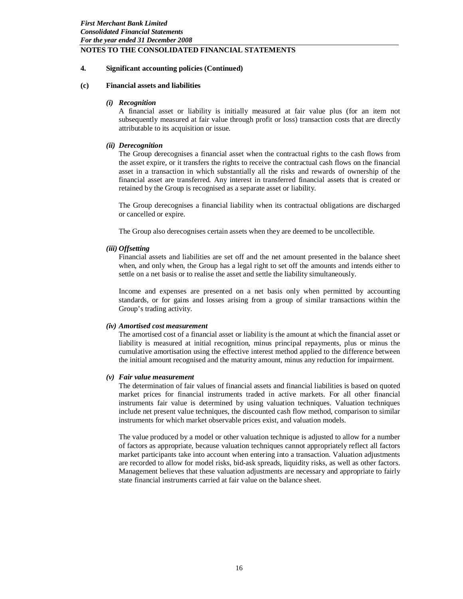## **4. Significant accounting policies (Continued)**

#### **(c) Financial assets and liabilities**

#### *(i) Recognition*

A financial asset or liability is initially measured at fair value plus (for an item not subsequently measured at fair value through profit or loss) transaction costs that are directly attributable to its acquisition or issue.

#### *(ii) Derecognition*

The Group derecognises a financial asset when the contractual rights to the cash flows from the asset expire, or it transfers the rights to receive the contractual cash flows on the financial asset in a transaction in which substantially all the risks and rewards of ownership of the financial asset are transferred. Any interest in transferred financial assets that is created or retained by the Group is recognised as a separate asset or liability.

The Group derecognises a financial liability when its contractual obligations are discharged or cancelled or expire.

The Group also derecognises certain assets when they are deemed to be uncollectible.

#### *(iii) Offsetting*

Financial assets and liabilities are set off and the net amount presented in the balance sheet when, and only when, the Group has a legal right to set off the amounts and intends either to settle on a net basis or to realise the asset and settle the liability simultaneously.

Income and expenses are presented on a net basis only when permitted by accounting standards, or for gains and losses arising from a group of similar transactions within the Group's trading activity.

#### *(iv) Amortised cost measurement*

The amortised cost of a financial asset or liability is the amount at which the financial asset or liability is measured at initial recognition, minus principal repayments, plus or minus the cumulative amortisation using the effective interest method applied to the difference between the initial amount recognised and the maturity amount, minus any reduction for impairment.

#### *(v) Fair value measurement*

The determination of fair values of financial assets and financial liabilities is based on quoted market prices for financial instruments traded in active markets. For all other financial instruments fair value is determined by using valuation techniques. Valuation techniques include net present value techniques, the discounted cash flow method, comparison to similar instruments for which market observable prices exist, and valuation models.

The value produced by a model or other valuation technique is adjusted to allow for a number of factors as appropriate, because valuation techniques cannot appropriately reflect all factors market participants take into account when entering into a transaction. Valuation adjustments are recorded to allow for model risks, bid-ask spreads, liquidity risks, as well as other factors. Management believes that these valuation adjustments are necessary and appropriate to fairly state financial instruments carried at fair value on the balance sheet.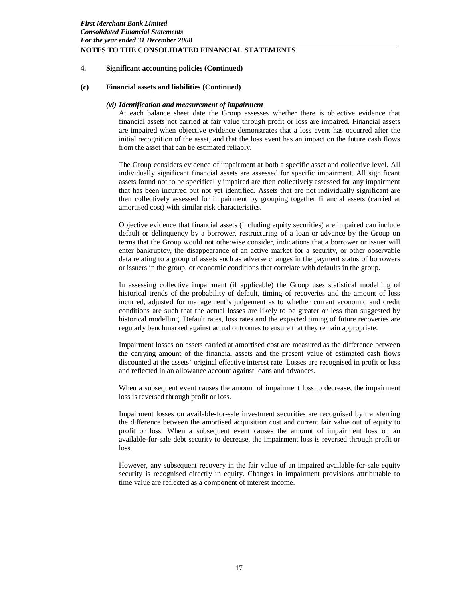# **4. Significant accounting policies (Continued)**

#### **(c) Financial assets and liabilities (Continued)**

#### *(vi) Identification and measurement of impairment*

At each balance sheet date the Group assesses whether there is objective evidence that financial assets not carried at fair value through profit or loss are impaired. Financial assets are impaired when objective evidence demonstrates that a loss event has occurred after the initial recognition of the asset, and that the loss event has an impact on the future cash flows from the asset that can be estimated reliably.

The Group considers evidence of impairment at both a specific asset and collective level. All individually significant financial assets are assessed for specific impairment. All significant assets found not to be specifically impaired are then collectively assessed for any impairment that has been incurred but not yet identified. Assets that are not individually significant are then collectively assessed for impairment by grouping together financial assets (carried at amortised cost) with similar risk characteristics.

Objective evidence that financial assets (including equity securities) are impaired can include default or delinquency by a borrower, restructuring of a loan or advance by the Group on terms that the Group would not otherwise consider, indications that a borrower or issuer will enter bankruptcy, the disappearance of an active market for a security, or other observable data relating to a group of assets such as adverse changes in the payment status of borrowers or issuers in the group, or economic conditions that correlate with defaults in the group.

In assessing collective impairment (if applicable) the Group uses statistical modelling of historical trends of the probability of default, timing of recoveries and the amount of loss incurred, adjusted for management's judgement as to whether current economic and credit conditions are such that the actual losses are likely to be greater or less than suggested by historical modelling. Default rates, loss rates and the expected timing of future recoveries are regularly benchmarked against actual outcomes to ensure that they remain appropriate.

Impairment losses on assets carried at amortised cost are measured as the difference between the carrying amount of the financial assets and the present value of estimated cash flows discounted at the assets' original effective interest rate. Losses are recognised in profit or loss and reflected in an allowance account against loans and advances.

When a subsequent event causes the amount of impairment loss to decrease, the impairment loss is reversed through profit or loss.

Impairment losses on available-for-sale investment securities are recognised by transferring the difference between the amortised acquisition cost and current fair value out of equity to profit or loss. When a subsequent event causes the amount of impairment loss on an available-for-sale debt security to decrease, the impairment loss is reversed through profit or loss.

However, any subsequent recovery in the fair value of an impaired available-for-sale equity security is recognised directly in equity. Changes in impairment provisions attributable to time value are reflected as a component of interest income.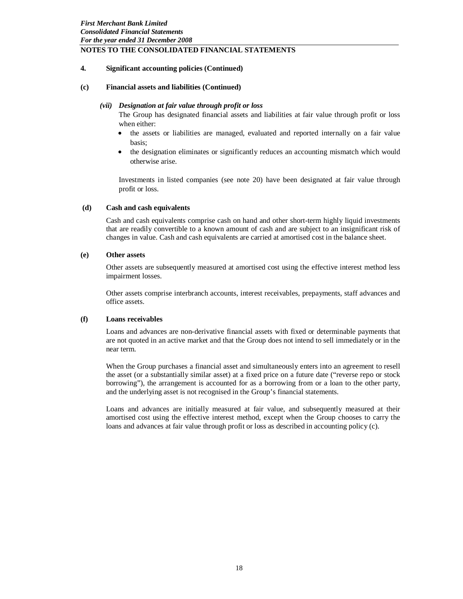# **4. Significant accounting policies (Continued)**

#### **(c) Financial assets and liabilities (Continued)**

#### *(vii) Designation at fair value through profit or loss*

The Group has designated financial assets and liabilities at fair value through profit or loss when either:

- the assets or liabilities are managed, evaluated and reported internally on a fair value basis;
- the designation eliminates or significantly reduces an accounting mismatch which would otherwise arise.

Investments in listed companies (see note 20) have been designated at fair value through profit or loss.

#### **(d) Cash and cash equivalents**

Cash and cash equivalents comprise cash on hand and other short-term highly liquid investments that are readily convertible to a known amount of cash and are subject to an insignificant risk of changes in value. Cash and cash equivalents are carried at amortised cost in the balance sheet.

#### **(e) Other assets**

Other assets are subsequently measured at amortised cost using the effective interest method less impairment losses.

Other assets comprise interbranch accounts, interest receivables, prepayments, staff advances and office assets.

#### **(f) Loans receivables**

Loans and advances are non-derivative financial assets with fixed or determinable payments that are not quoted in an active market and that the Group does not intend to sell immediately or in the near term.

When the Group purchases a financial asset and simultaneously enters into an agreement to resell the asset (or a substantially similar asset) at a fixed price on a future date ("reverse repo or stock borrowing"), the arrangement is accounted for as a borrowing from or a loan to the other party, and the underlying asset is not recognised in the Group's financial statements.

Loans and advances are initially measured at fair value, and subsequently measured at their amortised cost using the effective interest method, except when the Group chooses to carry the loans and advances at fair value through profit or loss as described in accounting policy (c).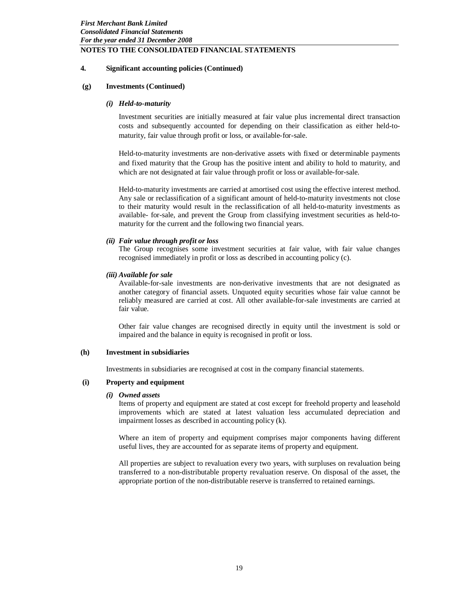## **4. Significant accounting policies (Continued)**

#### **(g) Investments (Continued)**

#### *(i) Held-to-maturity*

Investment securities are initially measured at fair value plus incremental direct transaction costs and subsequently accounted for depending on their classification as either held-tomaturity, fair value through profit or loss, or available-for-sale.

Held-to-maturity investments are non-derivative assets with fixed or determinable payments and fixed maturity that the Group has the positive intent and ability to hold to maturity, and which are not designated at fair value through profit or loss or available-for-sale.

Held-to-maturity investments are carried at amortised cost using the effective interest method. Any sale or reclassification of a significant amount of held-to-maturity investments not close to their maturity would result in the reclassification of all held-to-maturity investments as available- for-sale, and prevent the Group from classifying investment securities as held-tomaturity for the current and the following two financial years.

## *(ii) Fair value through profit or loss*

The Group recognises some investment securities at fair value, with fair value changes recognised immediately in profit or loss as described in accounting policy (c).

#### *(iii) Available for sale*

Available-for-sale investments are non-derivative investments that are not designated as another category of financial assets. Unquoted equity securities whose fair value cannot be reliably measured are carried at cost. All other available-for-sale investments are carried at fair value.

Other fair value changes are recognised directly in equity until the investment is sold or impaired and the balance in equity is recognised in profit or loss.

#### **(h) Investment in subsidiaries**

Investments in subsidiaries are recognised at cost in the company financial statements.

## **(i) Property and equipment**

#### *(i) Owned assets*

Items of property and equipment are stated at cost except for freehold property and leasehold improvements which are stated at latest valuation less accumulated depreciation and impairment losses as described in accounting policy (k).

Where an item of property and equipment comprises major components having different useful lives, they are accounted for as separate items of property and equipment.

All properties are subject to revaluation every two years, with surpluses on revaluation being transferred to a non-distributable property revaluation reserve. On disposal of the asset, the appropriate portion of the non-distributable reserve is transferred to retained earnings.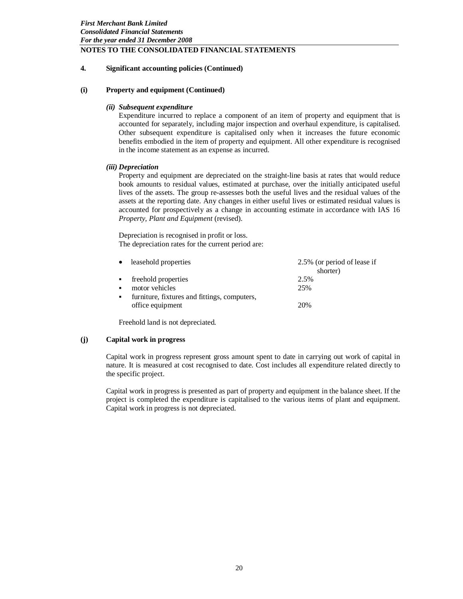# **4. Significant accounting policies (Continued)**

#### **(i) Property and equipment (Continued)**

## *(ii) Subsequent expenditure*

Expenditure incurred to replace a component of an item of property and equipment that is accounted for separately, including major inspection and overhaul expenditure, is capitalised. Other subsequent expenditure is capitalised only when it increases the future economic benefits embodied in the item of property and equipment. All other expenditure is recognised in the income statement as an expense as incurred.

## *(iii) Depreciation*

Property and equipment are depreciated on the straight-line basis at rates that would reduce book amounts to residual values, estimated at purchase, over the initially anticipated useful lives of the assets. The group re-assesses both the useful lives and the residual values of the assets at the reporting date. Any changes in either useful lives or estimated residual values is accounted for prospectively as a change in accounting estimate in accordance with IAS 16 *Property, Plant and Equipment* (revised).

Depreciation is recognised in profit or loss. The depreciation rates for the current period are:

|                | leasehold properties                         | 2.5% (or period of lease if |
|----------------|----------------------------------------------|-----------------------------|
|                |                                              | shorter)                    |
| ٠              | freehold properties                          | 2.5%                        |
| $\blacksquare$ | motor vehicles                               | 25%                         |
| л.             | furniture, fixtures and fittings, computers, |                             |
|                | office equipment                             | 20%                         |
|                |                                              |                             |

Freehold land is not depreciated.

#### **(j) Capital work in progress**

Capital work in progress represent gross amount spent to date in carrying out work of capital in nature. It is measured at cost recognised to date. Cost includes all expenditure related directly to the specific project.

Capital work in progress is presented as part of property and equipment in the balance sheet. If the project is completed the expenditure is capitalised to the various items of plant and equipment. Capital work in progress is not depreciated.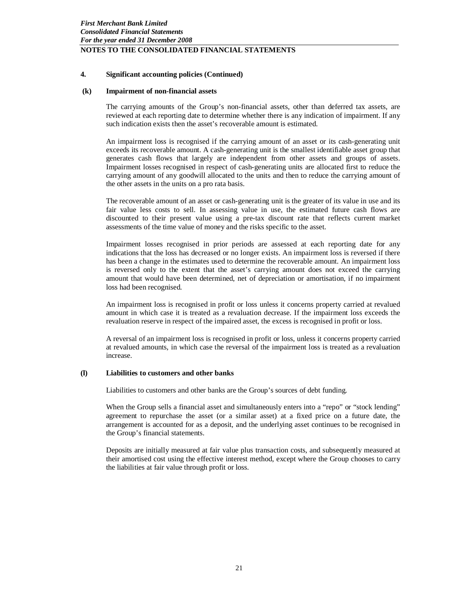## **4. Significant accounting policies (Continued)**

#### **(k) Impairment of non-financial assets**

The carrying amounts of the Group's non-financial assets, other than deferred tax assets, are reviewed at each reporting date to determine whether there is any indication of impairment. If any such indication exists then the asset's recoverable amount is estimated.

An impairment loss is recognised if the carrying amount of an asset or its cash-generating unit exceeds its recoverable amount. A cash-generating unit is the smallest identifiable asset group that generates cash flows that largely are independent from other assets and groups of assets. Impairment losses recognised in respect of cash-generating units are allocated first to reduce the carrying amount of any goodwill allocated to the units and then to reduce the carrying amount of the other assets in the units on a pro rata basis.

The recoverable amount of an asset or cash-generating unit is the greater of its value in use and its fair value less costs to sell. In assessing value in use, the estimated future cash flows are discounted to their present value using a pre-tax discount rate that reflects current market assessments of the time value of money and the risks specific to the asset.

Impairment losses recognised in prior periods are assessed at each reporting date for any indications that the loss has decreased or no longer exists. An impairment loss is reversed if there has been a change in the estimates used to determine the recoverable amount. An impairment loss is reversed only to the extent that the asset's carrying amount does not exceed the carrying amount that would have been determined, net of depreciation or amortisation, if no impairment loss had been recognised.

An impairment loss is recognised in profit or loss unless it concerns property carried at revalued amount in which case it is treated as a revaluation decrease. If the impairment loss exceeds the revaluation reserve in respect of the impaired asset, the excess is recognised in profit or loss.

A reversal of an impairment loss is recognised in profit or loss, unless it concerns property carried at revalued amounts, in which case the reversal of the impairment loss is treated as a revaluation increase.

## **(l) Liabilities to customers and other banks**

Liabilities to customers and other banks are the Group's sources of debt funding.

When the Group sells a financial asset and simultaneously enters into a "repo" or "stock lending" agreement to repurchase the asset (or a similar asset) at a fixed price on a future date, the arrangement is accounted for as a deposit, and the underlying asset continues to be recognised in the Group's financial statements.

Deposits are initially measured at fair value plus transaction costs, and subsequently measured at their amortised cost using the effective interest method, except where the Group chooses to carry the liabilities at fair value through profit or loss.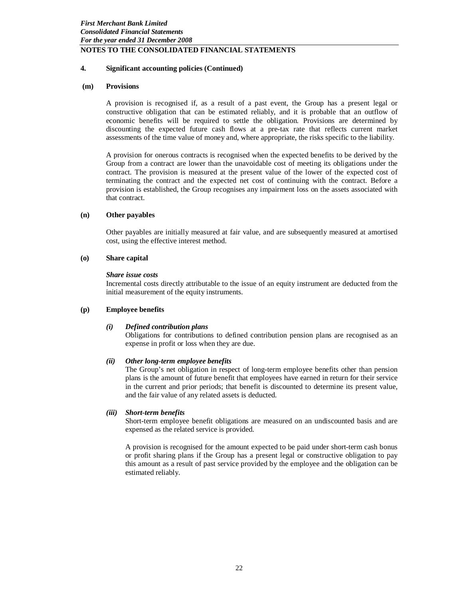## **4. Significant accounting policies (Continued)**

#### **(m) Provisions**

A provision is recognised if, as a result of a past event, the Group has a present legal or constructive obligation that can be estimated reliably, and it is probable that an outflow of economic benefits will be required to settle the obligation. Provisions are determined by discounting the expected future cash flows at a pre-tax rate that reflects current market assessments of the time value of money and, where appropriate, the risks specific to the liability.

A provision for onerous contracts is recognised when the expected benefits to be derived by the Group from a contract are lower than the unavoidable cost of meeting its obligations under the contract. The provision is measured at the present value of the lower of the expected cost of terminating the contract and the expected net cost of continuing with the contract. Before a provision is established, the Group recognises any impairment loss on the assets associated with that contract.

#### **(n) Other payables**

Other payables are initially measured at fair value, and are subsequently measured at amortised cost, using the effective interest method.

## **(o) Share capital**

#### *Share issue costs*

Incremental costs directly attributable to the issue of an equity instrument are deducted from the initial measurement of the equity instruments.

#### **(p) Employee benefits**

#### *(i) Defined contribution plans*

Obligations for contributions to defined contribution pension plans are recognised as an expense in profit or loss when they are due.

#### *(ii) Other long-term employee benefits*

The Group's net obligation in respect of long-term employee benefits other than pension plans is the amount of future benefit that employees have earned in return for their service in the current and prior periods; that benefit is discounted to determine its present value, and the fair value of any related assets is deducted.

#### *(iii) Short-term benefits*

Short-term employee benefit obligations are measured on an undiscounted basis and are expensed as the related service is provided.

A provision is recognised for the amount expected to be paid under short-term cash bonus or profit sharing plans if the Group has a present legal or constructive obligation to pay this amount as a result of past service provided by the employee and the obligation can be estimated reliably.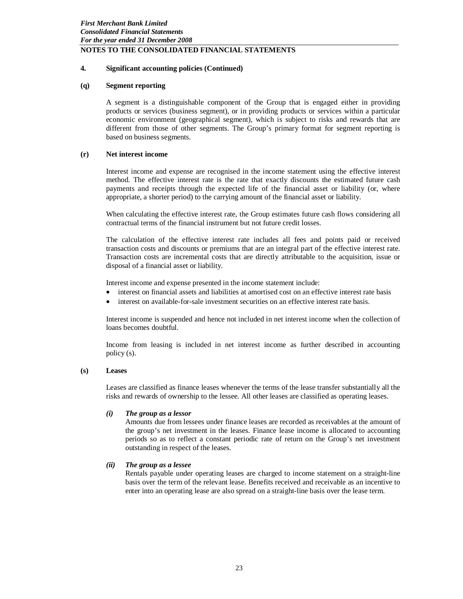# **4. Significant accounting policies (Continued)**

#### **(q) Segment reporting**

A segment is a distinguishable component of the Group that is engaged either in providing products or services (business segment), or in providing products or services within a particular economic environment (geographical segment), which is subject to risks and rewards that are different from those of other segments. The Group's primary format for segment reporting is based on business segments.

## **(r) Net interest income**

Interest income and expense are recognised in the income statement using the effective interest method. The effective interest rate is the rate that exactly discounts the estimated future cash payments and receipts through the expected life of the financial asset or liability (or, where appropriate, a shorter period) to the carrying amount of the financial asset or liability.

When calculating the effective interest rate, the Group estimates future cash flows considering all contractual terms of the financial instrument but not future credit losses.

The calculation of the effective interest rate includes all fees and points paid or received transaction costs and discounts or premiums that are an integral part of the effective interest rate. Transaction costs are incremental costs that are directly attributable to the acquisition, issue or disposal of a financial asset or liability.

Interest income and expense presented in the income statement include:

- interest on financial assets and liabilities at amortised cost on an effective interest rate basis
- interest on available-for-sale investment securities on an effective interest rate basis.

Interest income is suspended and hence not included in net interest income when the collection of loans becomes doubtful.

Income from leasing is included in net interest income as further described in accounting policy (s).

#### **(s) Leases**

Leases are classified as finance leases whenever the terms of the lease transfer substantially all the risks and rewards of ownership to the lessee. All other leases are classified as operating leases.

#### *(i) The group as a lessor*

Amounts due from lessees under finance leases are recorded as receivables at the amount of the group's net investment in the leases. Finance lease income is allocated to accounting periods so as to reflect a constant periodic rate of return on the Group's net investment outstanding in respect of the leases.

# *(ii) The group as a lessee*

Rentals payable under operating leases are charged to income statement on a straight-line basis over the term of the relevant lease. Benefits received and receivable as an incentive to enter into an operating lease are also spread on a straight-line basis over the lease term.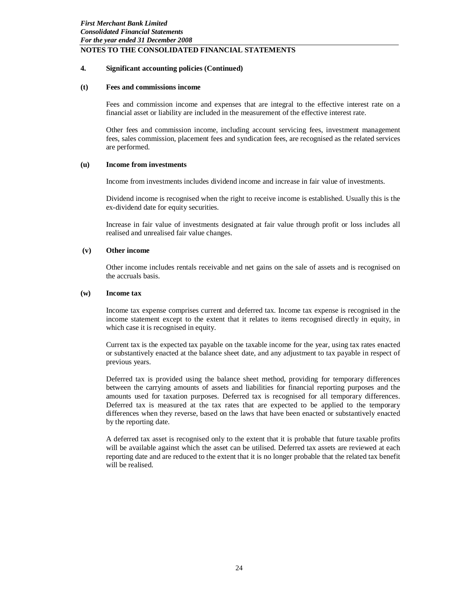## **4. Significant accounting policies (Continued)**

#### **(t) Fees and commissions income**

Fees and commission income and expenses that are integral to the effective interest rate on a financial asset or liability are included in the measurement of the effective interest rate.

Other fees and commission income, including account servicing fees, investment management fees, sales commission, placement fees and syndication fees, are recognised as the related services are performed.

### **(u) Income from investments**

Income from investments includes dividend income and increase in fair value of investments.

Dividend income is recognised when the right to receive income is established. Usually this is the ex-dividend date for equity securities.

Increase in fair value of investments designated at fair value through profit or loss includes all realised and unrealised fair value changes.

## **(v) Other income**

Other income includes rentals receivable and net gains on the sale of assets and is recognised on the accruals basis.

#### **(w) Income tax**

Income tax expense comprises current and deferred tax. Income tax expense is recognised in the income statement except to the extent that it relates to items recognised directly in equity, in which case it is recognised in equity.

Current tax is the expected tax payable on the taxable income for the year, using tax rates enacted or substantively enacted at the balance sheet date, and any adjustment to tax payable in respect of previous years.

Deferred tax is provided using the balance sheet method, providing for temporary differences between the carrying amounts of assets and liabilities for financial reporting purposes and the amounts used for taxation purposes. Deferred tax is recognised for all temporary differences. Deferred tax is measured at the tax rates that are expected to be applied to the temporary differences when they reverse, based on the laws that have been enacted or substantively enacted by the reporting date.

A deferred tax asset is recognised only to the extent that it is probable that future taxable profits will be available against which the asset can be utilised. Deferred tax assets are reviewed at each reporting date and are reduced to the extent that it is no longer probable that the related tax benefit will be realised.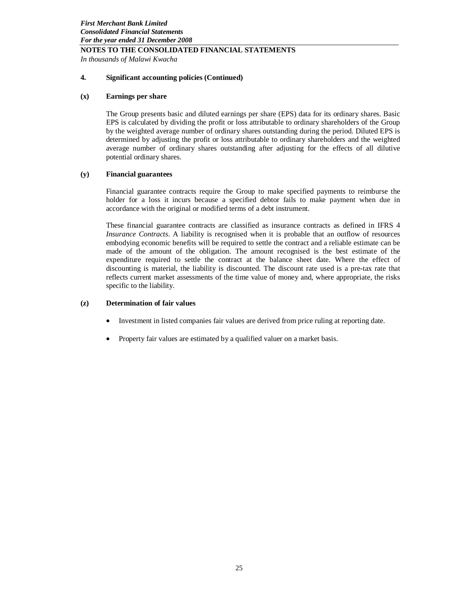*In thousands of Malawi Kwacha*

## **4. Significant accounting policies (Continued)**

## **(x) Earnings per share**

The Group presents basic and diluted earnings per share (EPS) data for its ordinary shares. Basic EPS is calculated by dividing the profit or loss attributable to ordinary shareholders of the Group by the weighted average number of ordinary shares outstanding during the period. Diluted EPS is determined by adjusting the profit or loss attributable to ordinary shareholders and the weighted average number of ordinary shares outstanding after adjusting for the effects of all dilutive potential ordinary shares.

## **(y) Financial guarantees**

Financial guarantee contracts require the Group to make specified payments to reimburse the holder for a loss it incurs because a specified debtor fails to make payment when due in accordance with the original or modified terms of a debt instrument.

These financial guarantee contracts are classified as insurance contracts as defined in IFRS 4 *Insurance Contracts*. A liability is recognised when it is probable that an outflow of resources embodying economic benefits will be required to settle the contract and a reliable estimate can be made of the amount of the obligation. The amount recognised is the best estimate of the expenditure required to settle the contract at the balance sheet date. Where the effect of discounting is material, the liability is discounted. The discount rate used is a pre-tax rate that reflects current market assessments of the time value of money and, where appropriate, the risks specific to the liability.

# **(z) Determination of fair values**

- Investment in listed companies fair values are derived from price ruling at reporting date.
- Property fair values are estimated by a qualified valuer on a market basis.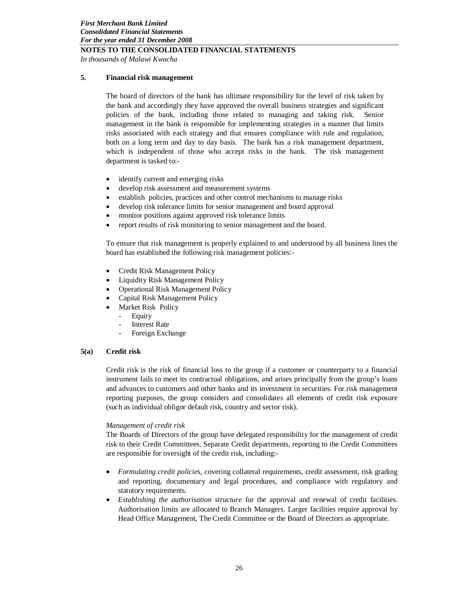*In thousands of Malawi Kwacha*

## **5. Financial risk management**

The board of directors of the bank has ultimate responsibility for the level of risk taken by the bank and accordingly they have approved the overall business strategies and significant policies of the bank, including those related to managing and taking risk. Senior management in the bank is responsible for implementing strategies in a manner that limits risks associated with each strategy and that ensures compliance with rule and regulation, both on a long term and day to day basis. The bank has a risk management department, which is independent of those who accept risks in the bank. The risk management department is tasked to:-

- identify current and emerging risks
- develop risk assessment and measurement systems
- establish policies, practices and other control mechanisms to manage risks
- develop risk tolerance limits for senior management and board approval
- monitor positions against approved risk tolerance limits
- report results of risk monitoring to senior management and the board.

To ensure that risk management is properly explained to and understood by all business lines the board has established the following risk management policies:-

- Credit Risk Management Policy
- Liquidity Risk Management Policy
- Operational Risk Management Policy
- Capital Risk Management Policy
- Market Risk Policy
	- **Equity**
	- **Interest Rate**
	- Foreign Exchange

#### **5(a) Credit risk**

Credit risk is the risk of financial loss to the group if a customer or counterparty to a financial instrument fails to meet its contractual obligations, and arises principally from the group's loans and advances to customers and other banks and its investment in securities. For risk management reporting purposes, the group considers and consolidates all elements of credit risk exposure (such as individual obligor default risk, country and sector risk).

#### *Management of credit risk*

The Boards of Directors of the group have delegated responsibility for the management of credit risk to their Credit Committees. Separate Credit departments, reporting to the Credit Committees are responsible for oversight of the credit risk, including:-

- *Formulating credit policies*, covering collateral requirements, credit assessment, risk grading and reporting, documentary and legal procedures, and compliance with regulatory and statutory requirements.
- *Establishing the authorisation structure* for the approval and renewal of credit facilities. Authorisation limits are allocated to Branch Managers. Larger facilities require approval by Head Office Management, The Credit Committee or the Board of Directors as appropriate.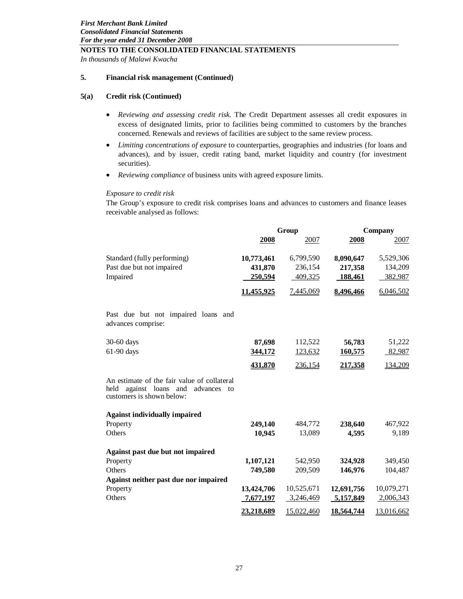*In thousands of Malawi Kwacha*

## **5. Financial risk management (Continued)**

## **5(a) Credit risk (Continued)**

- *Reviewing and assessing credit risk.* The Credit Department assesses all credit exposures in excess of designated limits, prior to facilities being committed to customers by the branches concerned. Renewals and reviews of facilities are subject to the same review process.
- *Limiting concentrations of exposure* to counterparties, geographies and industries (for loans and advances), and by issuer, credit rating band, market liquidity and country (for investment securities).
- *Reviewing compliance* of business units with agreed exposure limits.

#### *Exposure to credit risk*

The Group's exposure to credit risk comprises loans and advances to customers and finance leases receivable analysed as follows:

|                                                                                                                         |                | Group      | Company           |            |  |
|-------------------------------------------------------------------------------------------------------------------------|----------------|------------|-------------------|------------|--|
|                                                                                                                         | 2008           | 2007       | 2008              | 2007       |  |
| Standard (fully performing)                                                                                             | 10,773,461     | 6,799,590  | 8,090,647         | 5,529,306  |  |
| Past due but not impaired                                                                                               | 431,870        | 236,154    | 217,358           | 134,209    |  |
| Impaired                                                                                                                | 250,594        | 409,325    | 188,461           | 382,987    |  |
|                                                                                                                         |                |            |                   |            |  |
|                                                                                                                         | 11,455,925     | 7,445,069  | 8,496,466         | 6,046,502  |  |
| Past due but not impaired loans and<br>advances comprise:                                                               |                |            |                   |            |  |
| $30-60$ days                                                                                                            | 87,698         | 112,522    | 56,783            | 51,222     |  |
| 61-90 days                                                                                                              | 344,172        | 123,632    | 160,575           | 82,987     |  |
|                                                                                                                         | <u>431,870</u> | 236,154    | 217,358           | 134,209    |  |
| An estimate of the fair value of collateral<br>held<br>against loans and<br>advances<br>to<br>customers is shown below: |                |            |                   |            |  |
| <b>Against individually impaired</b>                                                                                    |                |            |                   |            |  |
| Property                                                                                                                | 249,140        | 484,772    | 238,640           | 467,922    |  |
| Others                                                                                                                  | 10,945         | 13,089     | 4,595             | 9,189      |  |
| Against past due but not impaired                                                                                       |                |            |                   |            |  |
| Property                                                                                                                | 1,107,121      | 542,950    | 324,928           | 349,450    |  |
| Others                                                                                                                  | 749,580        | 209,509    | 146,976           | 104,487    |  |
| Against neither past due nor impaired                                                                                   |                |            |                   |            |  |
| Property                                                                                                                | 13,424,706     | 10,525,671 | 12,691,756        | 10,079,271 |  |
| Others                                                                                                                  | 7,677,197      | 3,246,469  | 5,157,849         | 2,006,343  |  |
|                                                                                                                         | 23,218,689     | 15,022,460 | <u>18,564,744</u> | 13,016,662 |  |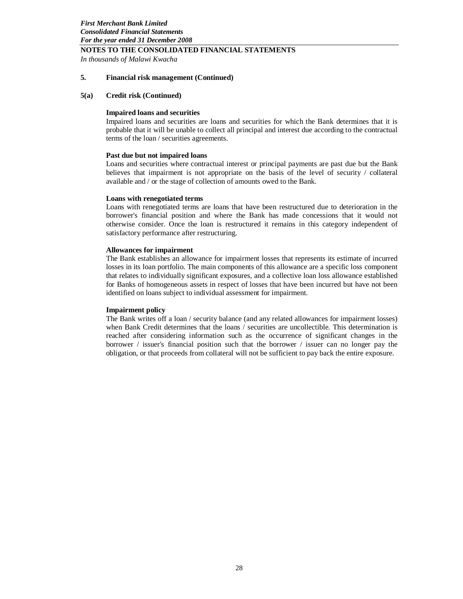*In thousands of Malawi Kwacha*

#### **5. Financial risk management (Continued)**

#### **5(a) Credit risk (Continued)**

#### **Impaired loans and securities**

Impaired loans and securities are loans and securities for which the Bank determines that it is probable that it will be unable to collect all principal and interest due according to the contractual terms of the loan / securities agreements.

#### **Past due but not impaired loans**

Loans and securities where contractual interest or principal payments are past due but the Bank believes that impairment is not appropriate on the basis of the level of security / collateral available and / or the stage of collection of amounts owed to the Bank.

#### **Loans with renegotiated terms**

Loans with renegotiated terms are loans that have been restructured due to deterioration in the borrower's financial position and where the Bank has made concessions that it would not otherwise consider. Once the loan is restructured it remains in this category independent of satisfactory performance after restructuring.

#### **Allowances for impairment**

The Bank establishes an allowance for impairment losses that represents its estimate of incurred losses in its loan portfolio. The main components of this allowance are a specific loss component that relates to individually significant exposures, and a collective loan loss allowance established for Banks of homogeneous assets in respect of losses that have been incurred but have not been identified on loans subject to individual assessment for impairment.

#### **Impairment policy**

The Bank writes off a loan / security balance (and any related allowances for impairment losses) when Bank Credit determines that the loans / securities are uncollectible. This determination is reached after considering information such as the occurrence of significant changes in the borrower / issuer's financial position such that the borrower / issuer can no longer pay the obligation, or that proceeds from collateral will not be sufficient to pay back the entire exposure.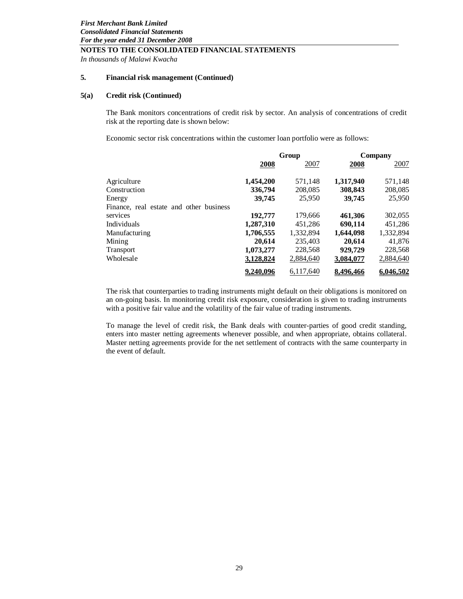*In thousands of Malawi Kwacha*

#### **5. Financial risk management (Continued)**

#### **5(a) Credit risk (Continued)**

The Bank monitors concentrations of credit risk by sector. An analysis of concentrations of credit risk at the reporting date is shown below:

Economic sector risk concentrations within the customer loan portfolio were as follows:

|                                         |           | Group     | Company   |           |  |
|-----------------------------------------|-----------|-----------|-----------|-----------|--|
|                                         | 2008      | 2007      | 2008      | 2007      |  |
| Agriculture                             | 1,454,200 | 571,148   | 1,317,940 | 571,148   |  |
| Construction                            | 336,794   | 208,085   | 308,843   | 208,085   |  |
| Energy                                  | 39,745    | 25,950    | 39,745    | 25,950    |  |
| Finance, real estate and other business |           |           |           |           |  |
| services                                | 192,777   | 179,666   | 461.306   | 302,055   |  |
| Individuals                             | 1,287,310 | 451,286   | 690.114   | 451,286   |  |
| Manufacturing                           | 1,706,555 | 1,332,894 | 1,644,098 | 1,332,894 |  |
| Mining                                  | 20,614    | 235,403   | 20,614    | 41,876    |  |
| <b>Transport</b>                        | 1,073,277 | 228,568   | 929,729   | 228,568   |  |
| Wholesale                               | 3,128,824 | 2,884,640 | 3,084,077 | 2,884,640 |  |
|                                         | 9,240,096 | 6,117,640 | 8,496,466 | 6,046,502 |  |

The risk that counterparties to trading instruments might default on their obligations is monitored on an on-going basis. In monitoring credit risk exposure, consideration is given to trading instruments with a positive fair value and the volatility of the fair value of trading instruments.

To manage the level of credit risk, the Bank deals with counter-parties of good credit standing, enters into master netting agreements whenever possible, and when appropriate, obtains collateral. Master netting agreements provide for the net settlement of contracts with the same counterparty in the event of default.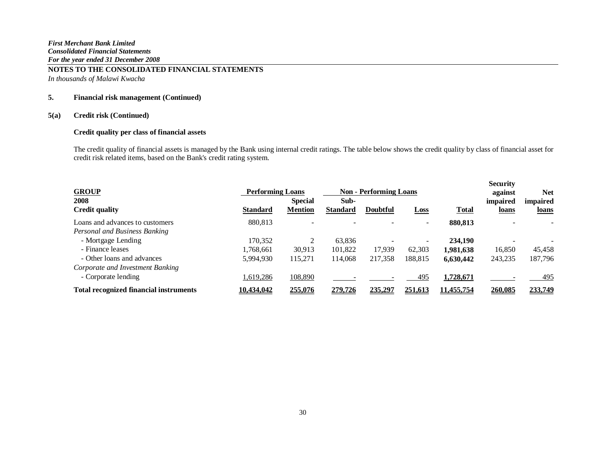*In thousands of Malawi Kwacha*

# **5. Financial risk management (Continued)**

# **5(a) Credit risk (Continued)**

## **Credit quality per class of financial assets**

| <b>GROUP</b>                                  | <b>Performing Loans</b> |                                  | <b>Non - Performing Loans</b> |                 |             |              | <b>Security</b><br>against | <b>Net</b>        |
|-----------------------------------------------|-------------------------|----------------------------------|-------------------------------|-----------------|-------------|--------------|----------------------------|-------------------|
| 2008<br><b>Credit quality</b>                 | <b>Standard</b>         | <b>Special</b><br><b>Mention</b> | Sub-<br><b>Standard</b>       | <b>Doubtful</b> | <b>Loss</b> | <b>Total</b> | impaired<br>loans          | impaired<br>loans |
| Loans and advances to customers               | 880,813                 |                                  |                               |                 |             | 880,813      |                            |                   |
| Personal and Business Banking                 |                         |                                  |                               |                 |             |              |                            |                   |
| - Mortgage Lending                            | 170,352                 | ◠                                | 63,836                        |                 |             | 234,190      |                            |                   |
| - Finance leases                              | 1.768.661               | 30,913                           | 101,822                       | 17,939          | 62,303      | 1,981,638    | 16,850                     | 45,458            |
| - Other loans and advances                    | 5,994,930               | 115,271                          | 114,068                       | 217,358         | 188,815     | 6,630,442    | 243,235                    | 187,796           |
| Corporate and Investment Banking              |                         |                                  |                               |                 |             |              |                            |                   |
| - Corporate lending                           | ,619,286                | 108,890                          |                               |                 | 495         | 1,728,671    |                            | <u>495</u>        |
| <b>Total recognized financial instruments</b> | 10,434,042              | 255,076                          | 279,726                       | 235,297         | 251,613     | 11,455,754   | 260,085                    | 233,749           |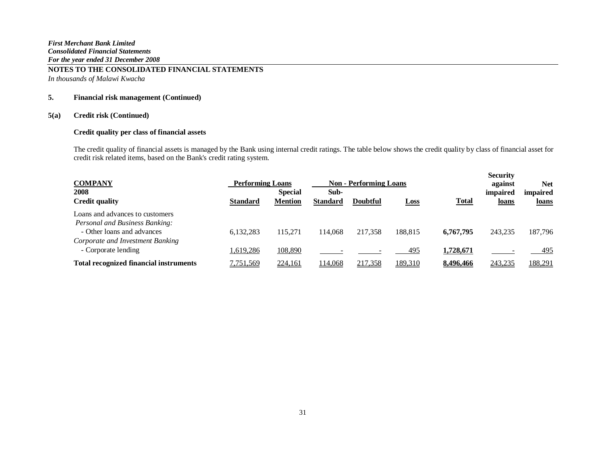*In thousands of Malawi Kwacha*

# **5. Financial risk management (Continued)**

# **5(a) Credit risk (Continued)**

# **Credit quality per class of financial assets**

| <b>COMPANY</b>                                                                                  | <b>Performing Loans</b> |                                  | <b>Non - Performing Loans</b> |          |                |              |                   |                          |  |  | <b>Security</b><br>against | <b>Net</b> |
|-------------------------------------------------------------------------------------------------|-------------------------|----------------------------------|-------------------------------|----------|----------------|--------------|-------------------|--------------------------|--|--|----------------------------|------------|
| 2008<br><b>Credit quality</b>                                                                   | Standard                | <b>Special</b><br><b>Mention</b> | Sub-<br><b>Standard</b>       | Doubtful | <b>Loss</b>    | <b>Total</b> | impaired<br>loans | impaired<br><u>loans</u> |  |  |                            |            |
| Loans and advances to customers<br>Personal and Business Banking:<br>- Other loans and advances | 6.132.283               | 115.271                          | 114,068                       | 217,358  | 188.815        | 6,767,795    | 243,235           | 187,796                  |  |  |                            |            |
| Corporate and Investment Banking<br>- Corporate lending                                         | 1,619,286               | 108,890                          |                               |          | 495            | 1,728,671    |                   | 495                      |  |  |                            |            |
| <b>Total recognized financial instruments</b>                                                   | <u>7,751,569</u>        | 224,161                          | 14,068                        | 217,358  | <u>189,310</u> | 8,496,466    | 243,235           | 188,291                  |  |  |                            |            |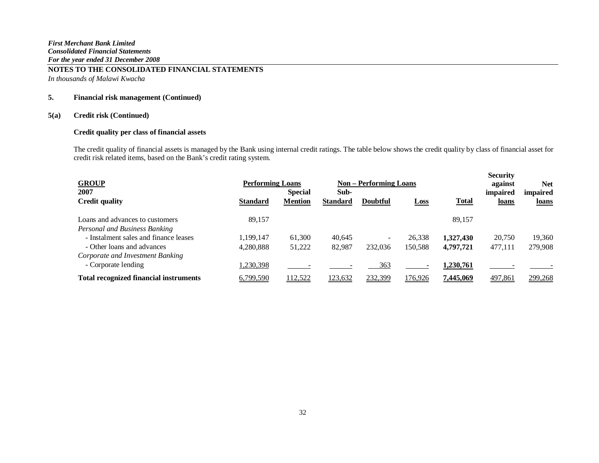*In thousands of Malawi Kwacha*

## **5. Financial risk management (Continued)**

# **5(a) Credit risk (Continued)**

# **Credit quality per class of financial assets**

| <b>GROUP</b>                                  | <b>Performing Loans</b> |                                  |                         | <b>Non – Performing Loans</b> |             |              | <b>Security</b><br>against | <b>Net</b>               |
|-----------------------------------------------|-------------------------|----------------------------------|-------------------------|-------------------------------|-------------|--------------|----------------------------|--------------------------|
| 2007<br><b>Credit quality</b>                 | <b>Standard</b>         | <b>Special</b><br><b>Mention</b> | Sub-<br><b>Standard</b> | <b>Doubtful</b>               | <b>Loss</b> | <b>Total</b> | impaired<br>loans          | <i>impaired</i><br>loans |
| Loans and advances to customers               | 89,157                  |                                  |                         |                               |             | 89,157       |                            |                          |
| Personal and Business Banking                 |                         |                                  |                         |                               |             |              |                            |                          |
| - Instalment sales and finance leases         | 1,199,147               | 61,300                           | 40,645                  | -                             | 26,338      | 1,327,430    | 20,750                     | 19,360                   |
| - Other loans and advances                    | 4,280,888               | 51,222                           | 82,987                  | 232,036                       | 150,588     | 4,797,721    | 477,111                    | 279,908                  |
| Corporate and Investment Banking              |                         |                                  |                         |                               |             |              |                            |                          |
| - Corporate lending                           | 1,230,398               |                                  |                         | 363                           |             | 1,230,761    |                            |                          |
| <b>Total recognized financial instruments</b> | 6,799,590               | 112,522                          | <u>123,632</u>          | 232,399                       | 176,926     | 7,445,069    | 497,861                    | 299,268                  |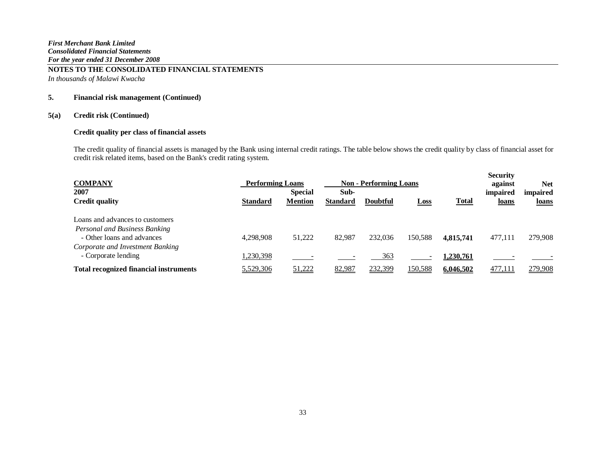*In thousands of Malawi Kwacha*

# **5. Financial risk management (Continued)**

# **5(a) Credit risk (Continued)**

# **Credit quality per class of financial assets**

| <b>COMPANY</b>                                |                 | <b>Performing Loans</b>          |                         | <b>Non - Performing Loans</b> |             |              | <b>Security</b><br>against | <b>Net</b>               |
|-----------------------------------------------|-----------------|----------------------------------|-------------------------|-------------------------------|-------------|--------------|----------------------------|--------------------------|
| 2007<br><b>Credit quality</b>                 | <b>Standard</b> | <b>Special</b><br><b>Mention</b> | Sub-<br><b>Standard</b> | <b>Doubtful</b>               | <u>Loss</u> | <b>Total</b> | impaired<br>loans          | <i>impaired</i><br>loans |
| Loans and advances to customers               |                 |                                  |                         |                               |             |              |                            |                          |
| Personal and Business Banking                 |                 |                                  |                         |                               |             |              |                            |                          |
| - Other loans and advances                    | 4,298,908       | 51,222                           | 82,987                  | 232,036                       | 150,588     | 4,815,741    | 477,111                    | 279,908                  |
| Corporate and Investment Banking              |                 |                                  |                         |                               |             |              |                            |                          |
| - Corporate lending                           | ,230,398        |                                  |                         | 363                           |             | 1,230,761    |                            |                          |
| <b>Total recognized financial instruments</b> | 5,529,306       | 51,222                           | 82,987                  | 232,399                       | 150,588     | 6,046,502    | 477,111                    | 279,908                  |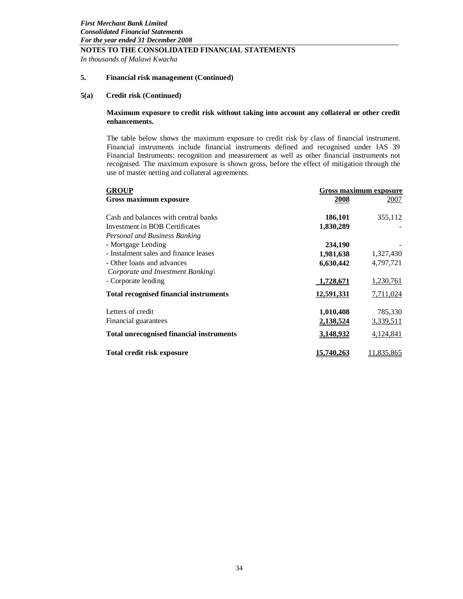*In thousands of Malawi Kwacha*

### **5. Financial risk management (Continued)**

## **5(a) Credit risk (Continued)**

#### **Maximum exposure to credit risk without taking into account any collateral or other credit enhancements.**

The table below shows the maximum exposure to credit risk by class of financial instrument. Financial instruments include financial instruments defined and recognised under IAS 39 Financial Instruments: recognition and measurement as well as other financial instruments not recognised. The maximum exposure is shown gross, before the effect of mitigation through the use of master netting and collateral agreements.

| <b>GROUP</b>                                    | Gross maximum exposure |            |  |  |  |
|-------------------------------------------------|------------------------|------------|--|--|--|
| Gross maximum exposure                          | 2008                   | 2007       |  |  |  |
|                                                 |                        |            |  |  |  |
| Cash and balances with central banks            | 186,101                | 355,112    |  |  |  |
| Investment in BOB Certificates                  | 1,830,289              |            |  |  |  |
| Personal and Business Banking                   |                        |            |  |  |  |
| - Mortgage Lending                              | 234,190                |            |  |  |  |
| - Instalment sales and finance leases           | 1,981,638              | 1,327,430  |  |  |  |
| - Other loans and advances                      | 6,630,442              | 4,797,721  |  |  |  |
| Corporate and Investment Banking\               |                        |            |  |  |  |
| - Corporate lending                             | 1,728,671              | 1,230,761  |  |  |  |
| <b>Total recognised financial instruments</b>   | <u>12,591,331</u>      | 7,711,024  |  |  |  |
| Letters of credit                               | 1,010,408              | 785,330    |  |  |  |
| Financial guarantees                            | 2,138,524              | 3,339,511  |  |  |  |
| <b>Total unrecognised financial instruments</b> | 3,148,932              | 4,124,841  |  |  |  |
| Total credit risk exposure                      | 15,740,263             | 11,835,865 |  |  |  |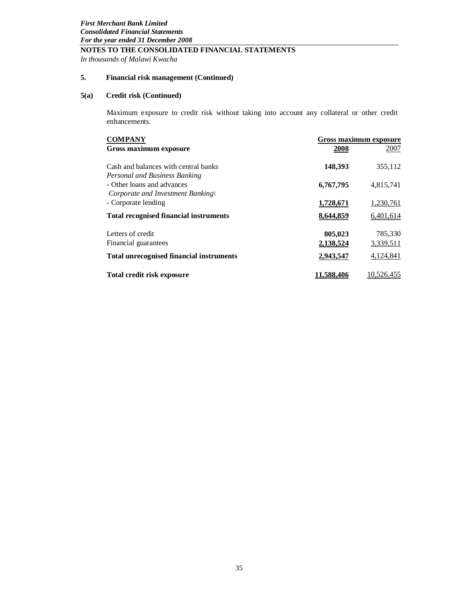*In thousands of Malawi Kwacha*

# **5. Financial risk management (Continued)**

# **5(a) Credit risk (Continued)**

Maximum exposure to credit risk without taking into account any collateral or other credit enhancements.

| <b>COMPANY</b>                                  |            | Gross maximum exposure |
|-------------------------------------------------|------------|------------------------|
| Gross maximum exposure                          | 2008       | 2007                   |
|                                                 |            |                        |
| Cash and balances with central banks            | 148,393    | 355,112                |
| Personal and Business Banking                   |            |                        |
| - Other loans and advances                      | 6,767,795  | 4,815,741              |
| Corporate and Investment Banking                |            |                        |
| - Corporate lending                             | 1,728,671  | 1,230,761              |
| <b>Total recognised financial instruments</b>   | 8,644,859  | 6,401,614              |
|                                                 |            |                        |
| Letters of credit                               | 805,023    | 785,330                |
| Financial guarantees                            | 2,138,524  | 3,339,511              |
| <b>Total unrecognised financial instruments</b> | 2,943,547  | 4,124,841              |
| <b>Total credit risk exposure</b>               | 11.588.406 | 10,526,455             |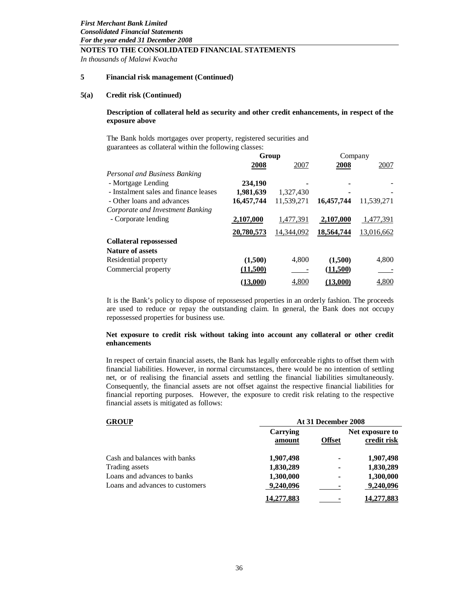*In thousands of Malawi Kwacha*

#### **5 Financial risk management (Continued)**

#### **5(a) Credit risk (Continued)**

#### **Description of collateral held as security and other credit enhancements, in respect of the exposure above**

The Bank holds mortgages over property, registered securities and guarantees as collateral within the following classes:

|                                       | Group      |            | Company    |            |
|---------------------------------------|------------|------------|------------|------------|
|                                       | 2008       | 2007       | 2008       | 2007       |
| Personal and Business Banking         |            |            |            |            |
| - Mortgage Lending                    | 234,190    |            |            |            |
| - Instalment sales and finance leases | 1,981,639  | 1,327,430  |            |            |
| - Other loans and advances            | 16,457,744 | 11,539,271 | 16,457,744 | 11,539,271 |
| Corporate and Investment Banking      |            |            |            |            |
| - Corporate lending                   | 2,107,000  | 1,477,391  | 2,107,000  | 1,477,391  |
|                                       | 20,780,573 | 14,344,092 | 18,564,744 | 13,016,662 |
| <b>Collateral repossessed</b>         |            |            |            |            |
| <b>Nature of assets</b>               |            |            |            |            |
| Residential property                  | (1,500)    | 4,800      | (1,500)    | 4,800      |
| Commercial property                   | (11,500)   |            | (11,500)   |            |
|                                       | (13,000)   | 4.800      | (13,000)   | 4,800      |

It is the Bank's policy to dispose of repossessed properties in an orderly fashion. The proceeds are used to reduce or repay the outstanding claim. In general, the Bank does not occupy repossessed properties for business use.

#### **Net exposure to credit risk without taking into account any collateral or other credit enhancements**

In respect of certain financial assets, the Bank has legally enforceable rights to offset them with financial liabilities. However, in normal circumstances, there would be no intention of settling net, or of realising the financial assets and settling the financial liabilities simultaneously. Consequently, the financial assets are not offset against the respective financial liabilities for financial reporting purposes. However, the exposure to credit risk relating to the respective financial assets is mitigated as follows:

#### **GROUP At 31 December 2008**

|                                 | Carrying<br>amount | <b>Offset</b> | Net exposure to<br>credit risk |  |  |  |
|---------------------------------|--------------------|---------------|--------------------------------|--|--|--|
| Cash and balances with banks    | 1,907,498          | ۰             | 1,907,498                      |  |  |  |
| Trading assets                  | 1,830,289          | ۰             | 1,830,289                      |  |  |  |
| Loans and advances to banks     | 1,300,000          | ۰             | 1,300,000                      |  |  |  |
| Loans and advances to customers | 9,240,096          |               | 9,240,096                      |  |  |  |
|                                 | 14,277,883         |               | 14,277,883                     |  |  |  |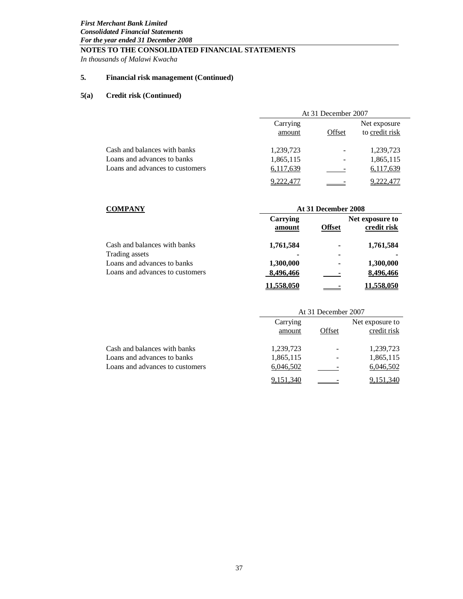*In thousands of Malawi Kwacha*

# **5. Financial risk management (Continued)**

# **5(a) Credit risk (Continued)**

|                                 | At 31 December 2007 |        |                                |  |  |
|---------------------------------|---------------------|--------|--------------------------------|--|--|
|                                 | Carrying<br>amount  | Offset | Net exposure<br>to credit risk |  |  |
| Cash and balances with banks    | 1,239,723           |        | 1,239,723                      |  |  |
| Loans and advances to banks     | 1,865,115           |        | 1,865,115                      |  |  |
| Loans and advances to customers | 6,117,639           |        | 6,117,639                      |  |  |
|                                 | 9.222.477           |        | .222.477                       |  |  |

| <b>COMPANY</b>                  |                    | At 31 December 2008 |                                |
|---------------------------------|--------------------|---------------------|--------------------------------|
|                                 | Carrying<br>amount | <b>Offset</b>       | Net exposure to<br>credit risk |
| Cash and balances with banks    | 1,761,584          | -                   | 1,761,584                      |
| Trading assets                  |                    |                     |                                |
| Loans and advances to banks     | 1,300,000          |                     | 1,300,000                      |
| Loans and advances to customers | 8,496,466          |                     | 8,496,466                      |
|                                 | 11,558,050         |                     | 11,558,050                     |

|                                 |                    | At 31 December 2007 |                                |
|---------------------------------|--------------------|---------------------|--------------------------------|
|                                 | Carrying<br>amount | Offset              | Net exposure to<br>credit risk |
| Cash and balances with banks    | 1,239,723          |                     | 1,239,723                      |
| Loans and advances to banks     | 1,865,115          |                     | 1,865,115                      |
| Loans and advances to customers | 6,046,502          |                     | 6,046,502                      |
|                                 | 9.151.340          |                     |                                |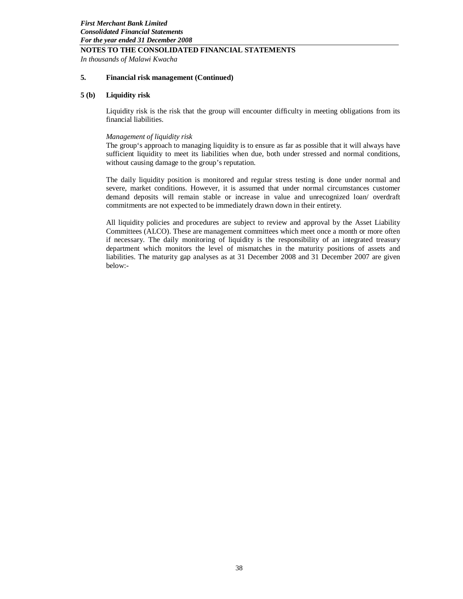*In thousands of Malawi Kwacha*

# **5. Financial risk management (Continued)**

#### **5 (b) Liquidity risk**

Liquidity risk is the risk that the group will encounter difficulty in meeting obligations from its financial liabilities.

#### *Management of liquidity risk*

The group's approach to managing liquidity is to ensure as far as possible that it will always have sufficient liquidity to meet its liabilities when due, both under stressed and normal conditions, without causing damage to the group's reputation.

The daily liquidity position is monitored and regular stress testing is done under normal and severe, market conditions. However, it is assumed that under normal circumstances customer demand deposits will remain stable or increase in value and unrecognized loan/ overdraft commitments are not expected to be immediately drawn down in their entirety.

All liquidity policies and procedures are subject to review and approval by the Asset Liability Committees (ALCO). These are management committees which meet once a month or more often if necessary. The daily monitoring of liquidity is the responsibility of an integrated treasury department which monitors the level of mismatches in the maturity positions of assets and liabilities. The maturity gap analyses as at 31 December 2008 and 31 December 2007 are given below:-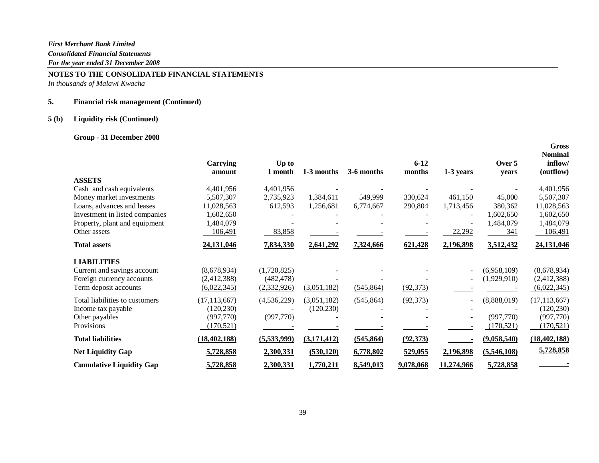# **NOTES TO THE CONSOLIDATED FINANCIAL STATEMENTS**

*In thousands of Malawi Kwacha*

# **5. Financial risk management (Continued)**

# **5 (b) Liquidity risk (Continued)**

# **Group - 31 December 2008**

|                                 | Carrying<br>amount | Up to<br>1 month | 1-3 months  | 3-6 months | $6 - 12$<br>months | 1-3 years  | Over 5<br>vears | <b>Nominal</b><br>inflow/<br>(outflow) |
|---------------------------------|--------------------|------------------|-------------|------------|--------------------|------------|-----------------|----------------------------------------|
| <b>ASSETS</b>                   |                    |                  |             |            |                    |            |                 |                                        |
| Cash and cash equivalents       | 4,401,956          | 4,401,956        |             |            |                    |            |                 | 4,401,956                              |
| Money market investments        | 5,507,307          | 2,735,923        | 1,384,611   | 549,999    | 330,624            | 461.150    | 45,000          | 5,507,307                              |
| Loans, advances and leases      | 11,028,563         | 612,593          | 1,256,681   | 6,774,667  | 290,804            | 1,713,456  | 380,362         | 11,028,563                             |
| Investment in listed companies  | 1,602,650          |                  |             |            |                    |            | 1,602,650       | 1,602,650                              |
| Property, plant and equipment   | 1,484,079          |                  |             |            |                    |            | 1,484,079       | 1,484,079                              |
| Other assets                    | 106,491            | 83,858           |             |            |                    | 22,292     | 341             | 106,491                                |
| <b>Total assets</b>             | 24,131,046         | 7,834,330        | 2,641,292   | 7,324,666  | 621,428            | 2,196,898  | 3,512,432       | 24,131,046                             |
| <b>LIABILITIES</b>              |                    |                  |             |            |                    |            |                 |                                        |
| Current and savings account     | (8,678,934)        | (1,720,825)      |             |            |                    |            | (6,958,109)     | (8,678,934)                            |
| Foreign currency accounts       | (2,412,388)        | (482, 478)       |             |            |                    |            | (1,929,910)     | (2,412,388)                            |
| Term deposit accounts           | (6,022,345)        | (2,332,926)      | (3,051,182) | (545, 864) | (92, 373)          |            |                 | (6,022,345)                            |
| Total liabilities to customers  | (17, 113, 667)     | (4,536,229)      | (3,051,182) | (545, 864) | (92, 373)          |            | (8,888,019)     | (17, 113, 667)                         |
| Income tax payable              | (120, 230)         |                  | (120, 230)  |            |                    |            |                 | (120, 230)                             |
| Other payables                  | (997,770)          | (997,770)        |             |            |                    |            | (997, 770)      | (997,770)                              |
| Provisions                      | (170, 521)         |                  |             |            |                    |            | (170, 521)      | (170, 521)                             |
| <b>Total liabilities</b>        | (18, 402, 188)     | (5,533,999)      | (3,171,412) | (545, 864) | (92, 373)          |            | (9,058,540)     | (18, 402, 188)                         |
| <b>Net Liquidity Gap</b>        | 5,728,858          | 2,300,331        | (530, 120)  | 6,778,802  | 529,055            | 2,196,898  | (5,546,108)     | 5,728,858                              |
| <b>Cumulative Liquidity Gap</b> | 5,728,858          | 2,300,331        | 1,770,211   | 8,549,013  | 9,078,068          | 11,274,966 | 5,728,858       |                                        |

 **Gross**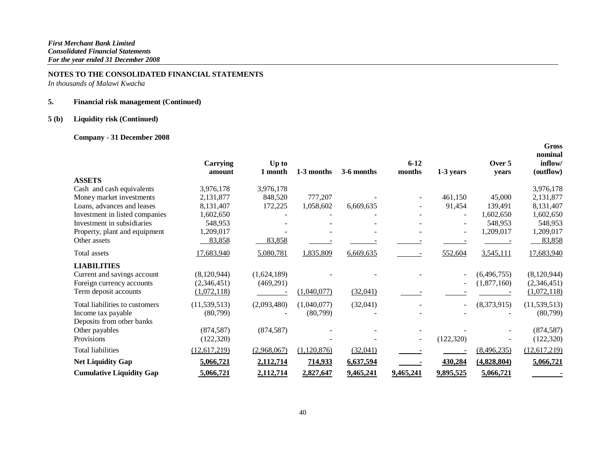*In thousands of Malawi Kwacha*

# **5. Financial risk management (Continued)**

# **5 (b) Liquidity risk (Continued)**

# **Company - 31 December 2008**

|                                 | <b>Carrying</b><br>amount | Up to<br>1 month | 1-3 months  | 3-6 months | $6 - 12$<br>months | 1-3 years                | Over 5<br>years | nominal<br>inflow/<br>(outflow) |
|---------------------------------|---------------------------|------------------|-------------|------------|--------------------|--------------------------|-----------------|---------------------------------|
| <b>ASSETS</b>                   |                           |                  |             |            |                    |                          |                 |                                 |
| Cash and cash equivalents       | 3,976,178                 | 3,976,178        |             |            |                    |                          |                 | 3,976,178                       |
| Money market investments        | 2,131,877                 | 848,520          | 777,207     |            |                    | 461,150                  | 45,000          | 2,131,877                       |
| Loans, advances and leases      | 8,131,407                 | 172,225          | 1,058,602   | 6,669,635  |                    | 91,454                   | 139,491         | 8,131,407                       |
| Investment in listed companies  | 1,602,650                 |                  |             |            |                    |                          | 1,602,650       | 1,602,650                       |
| Investment in subsidiaries      | 548,953                   |                  |             |            |                    |                          | 548,953         | 548,953                         |
| Property, plant and equipment   | 1,209,017                 |                  |             |            |                    |                          | 1,209,017       | 1,209,017                       |
| Other assets                    | 83,858                    | 83,858           |             |            |                    |                          |                 | 83,858                          |
| Total assets                    | 17,683,940                | 5,080,781        | 1,835,809   | 6,669,635  |                    | 552,604                  | 3,545,111       | 17,683,940                      |
| <b>LIABILITIES</b>              |                           |                  |             |            |                    |                          |                 |                                 |
| Current and savings account     | (8,120,944)               | (1,624,189)      |             |            |                    |                          | (6, 496, 755)   | (8,120,944)                     |
| Foreign currency accounts       | (2,346,451)               | (469,291)        |             |            |                    |                          | (1,877,160)     | (2,346,451)                     |
| Term deposit accounts           | (1,072,118)               |                  | (1,040,077) | (32,041)   |                    |                          |                 | (1,072,118)                     |
| Total liabilities to customers  | (11, 539, 513)            | (2,093,480)      | (1,040,077) | (32,041)   |                    | $\overline{\phantom{0}}$ | (8,373,915)     | (11, 539, 513)                  |
| Income tax payable              | (80,799)                  |                  | (80,799)    |            |                    |                          |                 | (80,799)                        |
| Deposits from other banks       |                           |                  |             |            |                    |                          |                 |                                 |
| Other payables                  | (874, 587)                | (874, 587)       |             |            |                    |                          |                 | (874, 587)                      |
| Provisions                      | (122, 320)                |                  |             |            | $\sim$             | (122, 320)               |                 | (122, 320)                      |
| <b>Total liabilities</b>        | (12, 617, 219)            | (2,968,067)      | (1,120,876) | (32,041)   |                    |                          | (8,496,235)     | (12, 617, 219)                  |
| <b>Net Liquidity Gap</b>        | 5,066,721                 | 2,112,714        | 714,933     | 6,637,594  |                    | 430,284                  | (4,828,804)     | 5,066,721                       |
| <b>Cumulative Liquidity Gap</b> | 5,066,721                 | 2,112,714        | 2,827,647   | 9,465,241  | 9,465,241          | 9,895,525                | 5,066,721       |                                 |

 **Gross**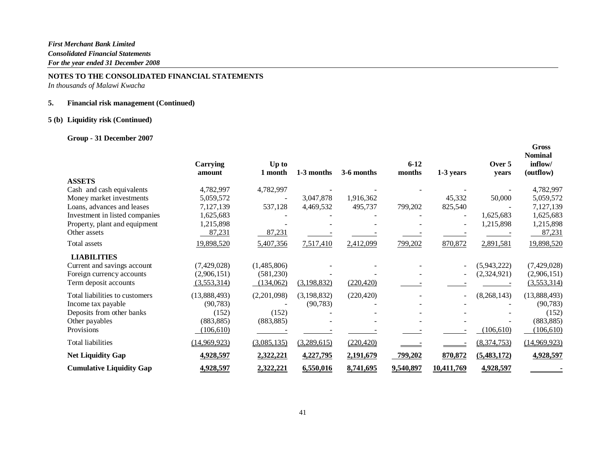*In thousands of Malawi Kwacha*

# **5. Financial risk management (Continued)**

# **5 (b) Liquidity risk (Continued)**

# **Group - 31 December 2007**

|                                 | Carrying<br>amount | Up to<br>1 month | 1-3 months    | 3-6 months | $6 - 12$<br>months | 1-3 years  | Over 5<br>vears | <b>Gross</b><br><b>Nominal</b><br>inflow/<br>(outflow) |
|---------------------------------|--------------------|------------------|---------------|------------|--------------------|------------|-----------------|--------------------------------------------------------|
| <b>ASSETS</b>                   |                    |                  |               |            |                    |            |                 |                                                        |
| Cash and cash equivalents       | 4,782,997          | 4,782,997        |               |            |                    |            |                 | 4,782,997                                              |
| Money market investments        | 5,059,572          |                  | 3,047,878     | 1,916,362  |                    | 45,332     | 50,000          | 5,059,572                                              |
| Loans, advances and leases      | 7,127,139          | 537,128          | 4,469,532     | 495,737    | 799,202            | 825,540    |                 | 7,127,139                                              |
| Investment in listed companies  | 1,625,683          |                  |               |            |                    |            | 1,625,683       | 1,625,683                                              |
| Property, plant and equipment   | 1,215,898          |                  |               |            |                    |            | 1,215,898       | 1,215,898                                              |
| Other assets                    | 87,231             | 87,231           |               |            |                    |            |                 | 87,231                                                 |
| Total assets                    | 19,898,520         | 5,407,356        | 7,517,410     | 2,412,099  | 799,202            | 870,872    | 2,891,581       | 19,898,520                                             |
| <b>LIABILITIES</b>              |                    |                  |               |            |                    |            |                 |                                                        |
| Current and savings account     | (7,429,028)        | (1,485,806)      |               |            |                    |            | (5,943,222)     | (7,429,028)                                            |
| Foreign currency accounts       | (2,906,151)        | (581, 230)       |               |            |                    |            | (2,324,921)     | (2,906,151)                                            |
| Term deposit accounts           | (3,553,314)        | (134,062)        | (3,198,832)   | (220, 420) |                    |            |                 | (3,553,314)                                            |
| Total liabilities to customers  | (13,888,493)       | (2,201,098)      | (3, 198, 832) | (220, 420) |                    |            | (8,268,143)     | (13,888,493)                                           |
| Income tax payable              | (90, 783)          |                  | (90, 783)     |            |                    |            |                 | (90, 783)                                              |
| Deposits from other banks       | (152)              | (152)            |               |            |                    |            |                 | (152)                                                  |
| Other payables                  | (883, 885)         | (883, 885)       |               |            |                    |            |                 | (883, 885)                                             |
| Provisions                      | (106, 610)         |                  |               |            |                    |            | (106,610)       | (106, 610)                                             |
| <b>Total liabilities</b>        | (14,969,923)       | (3,085,135)      | (3,289,615)   | (220, 420) |                    |            | (8,374,753)     | (14,969,923)                                           |
| <b>Net Liquidity Gap</b>        | 4,928,597          | 2,322,221        | 4,227,795     | 2,191,679  | 799,202            | 870,872    | (5,483,172)     | 4,928,597                                              |
| <b>Cumulative Liquidity Gap</b> | 4,928,597          | 2,322,221        | 6,550,016     | 8,741,695  | 9,540,897          | 10,411,769 | 4,928,597       |                                                        |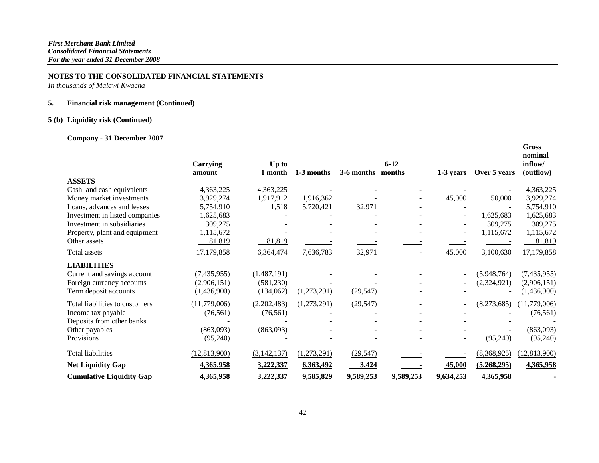*In thousands of Malawi Kwacha*

# **5. Financial risk management (Continued)**

# **5 (b) Liquidity risk (Continued)**

# **Company - 31 December 2007**

|                                 | Carrying<br>amount | Up to<br>1 month | 1-3 months  | 3-6 months | $6 - 12$<br>months | 1-3 years                | Over 5 years | <b>Gross</b><br>nominal<br>inflow/<br>(outflow) |
|---------------------------------|--------------------|------------------|-------------|------------|--------------------|--------------------------|--------------|-------------------------------------------------|
| <b>ASSETS</b>                   |                    |                  |             |            |                    |                          |              |                                                 |
| Cash and cash equivalents       | 4,363,225          | 4,363,225        |             |            |                    |                          |              | 4,363,225                                       |
| Money market investments        | 3,929,274          | 1,917,912        | 1,916,362   |            |                    | 45,000                   | 50,000       | 3,929,274                                       |
| Loans, advances and leases      | 5,754,910          | 1,518            | 5,720,421   | 32,971     |                    |                          |              | 5,754,910                                       |
| Investment in listed companies  | 1,625,683          |                  |             |            |                    |                          | 1,625,683    | 1,625,683                                       |
| Investment in subsidiaries      | 309,275            |                  |             |            |                    |                          | 309,275      | 309,275                                         |
| Property, plant and equipment   | 1,115,672          |                  |             |            |                    | $\overline{\phantom{0}}$ | 1,115,672    | 1,115,672                                       |
| Other assets                    | 81,819             | 81,819           |             |            |                    |                          |              | 81,819                                          |
| Total assets                    | 17,179,858         | 6,364,474        | 7,636,783   | 32,971     |                    | 45,000                   | 3,100,630    | 17,179,858                                      |
| <b>LIABILITIES</b>              |                    |                  |             |            |                    |                          |              |                                                 |
| Current and savings account     | (7,435,955)        | (1,487,191)      |             |            |                    |                          | (5,948,764)  | (7,435,955)                                     |
| Foreign currency accounts       | (2,906,151)        | (581, 230)       |             |            |                    |                          | (2,324,921)  | (2,906,151)                                     |
| Term deposit accounts           | (1,436,900)        | (134,062)        | (1,273,291) | (29, 547)  |                    |                          |              | (1,436,900)                                     |
| Total liabilities to customers  | (11,779,006)       | (2,202,483)      | (1,273,291) | (29, 547)  |                    | ۰                        | (8,273,685)  | (11,779,006)                                    |
| Income tax payable              | (76, 561)          | (76, 561)        |             |            |                    |                          |              | (76, 561)                                       |
| Deposits from other banks       |                    |                  |             |            |                    |                          |              |                                                 |
| Other payables                  | (863,093)          | (863,093)        |             |            |                    |                          |              | (863,093)                                       |
| Provisions                      | (95,240)           |                  |             |            |                    |                          | (95,240)     | (95,240)                                        |
| <b>Total liabilities</b>        | (12, 813, 900)     | (3, 142, 137)    | (1,273,291) | (29, 547)  |                    |                          | (8,368,925)  | (12, 813, 900)                                  |
| <b>Net Liquidity Gap</b>        | 4,365,958          | 3,222,337        | 6,363,492   | 3,424      |                    | 45,000                   | (5,268,295)  | 4,365,958                                       |
| <b>Cumulative Liquidity Gap</b> | 4,365,958          | 3,222,337        | 9,585,829   | 9,589,253  | 9,589,253          | 9,634,253                | 4,365,958    |                                                 |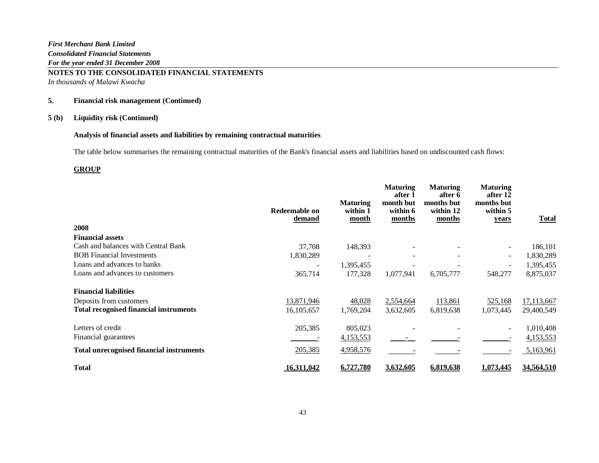**NOTES TO THE CONSOLIDATED FINANCIAL STATEMENTS**  *In thousands of Malawi Kwacha*

# **5. Financial risk management (Continued)**

#### **5 (b) Liquidity risk (Continued)**

# **Analysis of financial assets and liabilities by remaining contractual maturities**

The table below summarises the remaining contractual maturities of the Bank's financial assets and liabilities based on undiscounted cash flows:

# **GROUP**

|                                                 | Redeemable on<br>demand | <b>Maturing</b><br>within 1<br>month | <b>Maturing</b><br>after 1<br>month but<br>within 6<br>months | <b>Maturing</b><br>after 6<br>months but<br>within 12<br>months | <b>Maturing</b><br>after 12<br>months but<br>within 5<br>years | <b>Total</b> |
|-------------------------------------------------|-------------------------|--------------------------------------|---------------------------------------------------------------|-----------------------------------------------------------------|----------------------------------------------------------------|--------------|
| 2008                                            |                         |                                      |                                                               |                                                                 |                                                                |              |
| <b>Financial assets</b>                         |                         |                                      |                                                               |                                                                 |                                                                |              |
| Cash and balances with Central Bank             | 37,708                  | 148,393                              |                                                               |                                                                 | $\overline{\phantom{a}}$                                       | 186,101      |
| <b>BOB</b> Financial Investments                | 1,830,289               | $\overline{\phantom{a}}$             | $\overline{\phantom{0}}$                                      |                                                                 | $\overline{\phantom{a}}$                                       | 1,830,289    |
| Loans and advances to banks                     |                         | 1,395,455                            |                                                               |                                                                 | $\blacksquare$                                                 | 1,395,455    |
| Loans and advances to customers                 | 365,714                 | 177,328                              | 1,077,941                                                     | 6,705,777                                                       | 548,277                                                        | 8,875,037    |
| <b>Financial liabilities</b>                    |                         |                                      |                                                               |                                                                 |                                                                |              |
| Deposits from customers                         | 13,871,946              | 48,028                               | 2,554,664                                                     | 113,861                                                         | 525,168                                                        | 17,113,667   |
| <b>Total recognised financial instruments</b>   | 16, 105, 657            | 1,769,204                            | 3,632,605                                                     | 6,819,638                                                       | 1,073,445                                                      | 29,400,549   |
| Letters of credit                               | 205,385                 | 805,023                              |                                                               |                                                                 | $\overline{\phantom{a}}$                                       | 1,010,408    |
| Financial guarantees                            |                         | 4,153,553                            |                                                               |                                                                 |                                                                | 4,153,553    |
| <b>Total unrecognised financial instruments</b> | 205,385                 | 4,958,576                            |                                                               |                                                                 |                                                                | 5,163,961    |
| <b>Total</b>                                    | 16,311,042              | 6,727,780                            | 3,632,605                                                     | 6,819,638                                                       | 1,073,445                                                      | 34,564,510   |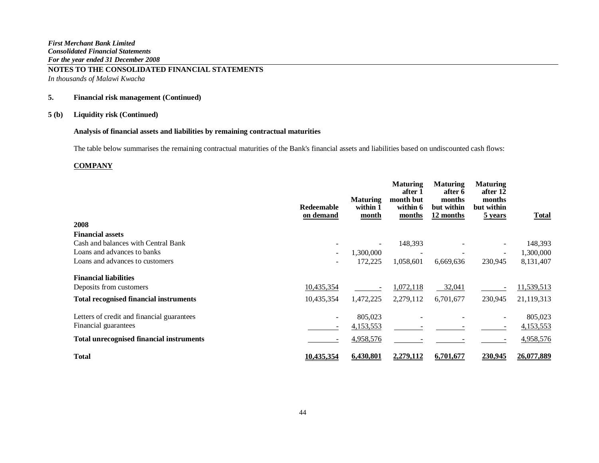*In thousands of Malawi Kwacha*

# **5. Financial risk management (Continued)**

# **5 (b) Liquidity risk (Continued)**

# **Analysis of financial assets and liabilities by remaining contractual maturities**

The table below summarises the remaining contractual maturities of the Bank's financial assets and liabilities based on undiscounted cash flows:

#### **COMPANY**

|                                                 | Redeemable<br>on demand      | <b>Maturing</b><br>within 1<br>month | <b>Maturing</b><br>after 1<br>month but<br>within 6<br>months | <b>Maturing</b><br>after 6<br>months<br>but within<br>12 months | <b>Maturing</b><br>after 12<br>months<br>but within<br>5 years | <b>Total</b> |
|-------------------------------------------------|------------------------------|--------------------------------------|---------------------------------------------------------------|-----------------------------------------------------------------|----------------------------------------------------------------|--------------|
| 2008                                            |                              |                                      |                                                               |                                                                 |                                                                |              |
| <b>Financial assets</b>                         |                              |                                      |                                                               |                                                                 |                                                                |              |
| Cash and balances with Central Bank             |                              |                                      | 148,393                                                       |                                                                 | $\qquad \qquad -$                                              | 148,393      |
| Loans and advances to banks                     | $\overline{\phantom{a}}$     | 1,300,000                            |                                                               |                                                                 | $\qquad \qquad -$                                              | 1,300,000    |
| Loans and advances to customers                 |                              | 172,225                              | 1,058,601                                                     | 6,669,636                                                       | 230,945                                                        | 8,131,407    |
| <b>Financial liabilities</b>                    |                              |                                      |                                                               |                                                                 |                                                                |              |
| Deposits from customers                         | 10,435,354                   |                                      | 1,072,118                                                     | 32,041                                                          |                                                                | 11,539,513   |
| <b>Total recognised financial instruments</b>   | 10,435,354                   | 1,472,225                            | 2,279,112                                                     | 6,701,677                                                       | 230,945                                                        | 21,119,313   |
| Letters of credit and financial guarantees      | $\overline{\phantom{a}}$     | 805,023                              |                                                               |                                                                 | $\overline{\phantom{a}}$                                       | 805,023      |
| Financial guarantees                            | $\qquad \qquad \blacksquare$ | 4,153,553                            |                                                               |                                                                 |                                                                | 4,153,553    |
| <b>Total unrecognised financial instruments</b> |                              | 4,958,576                            |                                                               |                                                                 |                                                                | 4,958,576    |
| <b>Total</b>                                    | 10.435.354                   | <u>6,430,801</u>                     | 2,279,112                                                     | 6,701,677                                                       | 230,945                                                        | 26,077,889   |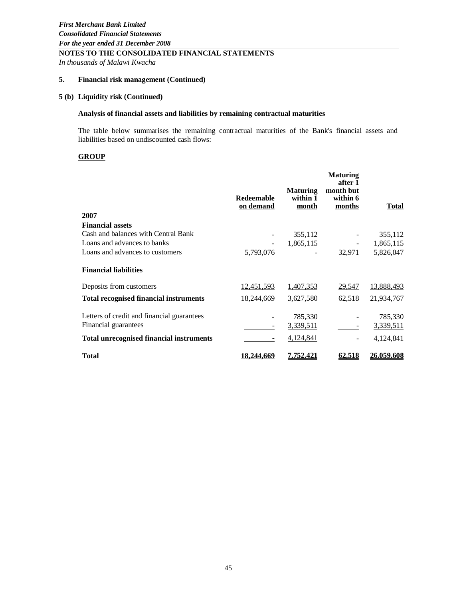*In thousands of Malawi Kwacha*

# **5. Financial risk management (Continued)**

#### **5 (b) Liquidity risk (Continued)**

#### **Analysis of financial assets and liabilities by remaining contractual maturities**

The table below summarises the remaining contractual maturities of the Bank's financial assets and liabilities based on undiscounted cash flows:

# **GROUP**

| 2007                                            | <b>Redeemable</b><br>on demand | <b>Maturing</b><br>within 1<br><u>month</u> | <b>Maturing</b><br>after 1<br>month but<br>within 6<br><u>months</u> | <b>Total</b>      |
|-------------------------------------------------|--------------------------------|---------------------------------------------|----------------------------------------------------------------------|-------------------|
| <b>Financial assets</b>                         |                                |                                             |                                                                      |                   |
| Cash and balances with Central Bank             |                                | 355,112                                     |                                                                      | 355,112           |
| Loans and advances to banks                     |                                | 1,865,115                                   |                                                                      | 1,865,115         |
| Loans and advances to customers                 | 5,793,076                      |                                             | 32,971                                                               | 5,826,047         |
| <b>Financial liabilities</b>                    |                                |                                             |                                                                      |                   |
| Deposits from customers                         | 12,451,593                     | 1,407,353                                   | 29,547                                                               | 13,888,493        |
| <b>Total recognised financial instruments</b>   | 18,244,669                     | 3,627,580                                   | 62,518                                                               | 21,934,767        |
| Letters of credit and financial guarantees      |                                | 785,330                                     |                                                                      | 785,330           |
| Financial guarantees                            | $\overline{\phantom{a}}$       | 3,339,511                                   |                                                                      | 3,339,511         |
| <b>Total unrecognised financial instruments</b> | -                              | 4,124,841                                   |                                                                      | 4,124,841         |
| <b>Total</b>                                    | 18,244,669                     | <u>7,752,421</u>                            | <u>62,518</u>                                                        | <u>26,059,608</u> |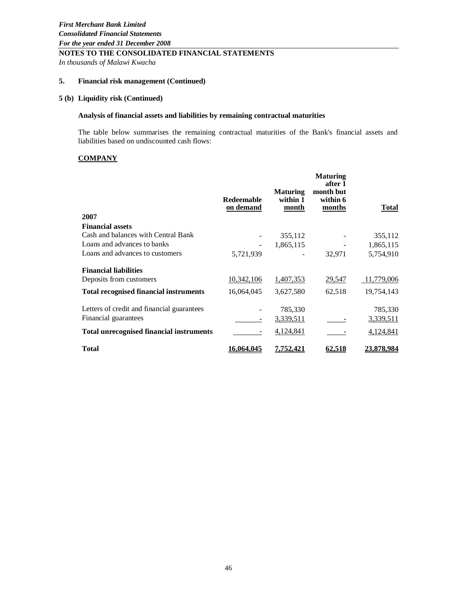*In thousands of Malawi Kwacha*

# **5. Financial risk management (Continued)**

# **5 (b) Liquidity risk (Continued)**

#### **Analysis of financial assets and liabilities by remaining contractual maturities**

The table below summarises the remaining contractual maturities of the Bank's financial assets and liabilities based on undiscounted cash flows:

# **COMPANY**

|                                                 | <b>Redeemable</b><br>on demand | <b>Maturing</b><br>within 1<br>month | <b>Maturing</b><br>after 1<br>month but<br>within 6<br>months | Total             |
|-------------------------------------------------|--------------------------------|--------------------------------------|---------------------------------------------------------------|-------------------|
| 2007                                            |                                |                                      |                                                               |                   |
| <b>Financial assets</b>                         |                                |                                      |                                                               |                   |
| Cash and balances with Central Bank             |                                | 355,112                              |                                                               | 355,112           |
| Loans and advances to banks                     |                                | 1,865,115                            |                                                               | 1,865,115         |
| Loans and advances to customers                 | 5,721,939                      |                                      | 32,971                                                        | 5,754,910         |
| <b>Financial liabilities</b>                    |                                |                                      |                                                               |                   |
| Deposits from customers                         | 10,342,106                     | 1,407,353                            | 29,547                                                        | 11,779,006        |
| <b>Total recognised financial instruments</b>   | 16,064,045                     | 3,627,580                            | 62,518                                                        | 19,754,143        |
| Letters of credit and financial guarantees      |                                | 785,330                              |                                                               | 785,330           |
| Financial guarantees                            |                                | 3,339,511                            |                                                               | 3,339,511         |
| <b>Total unrecognised financial instruments</b> |                                | 4,124,841                            |                                                               | 4,124,841         |
| <b>Total</b>                                    | 16.064.045                     | 7.752.421                            | 62.518                                                        | <u>23.878.984</u> |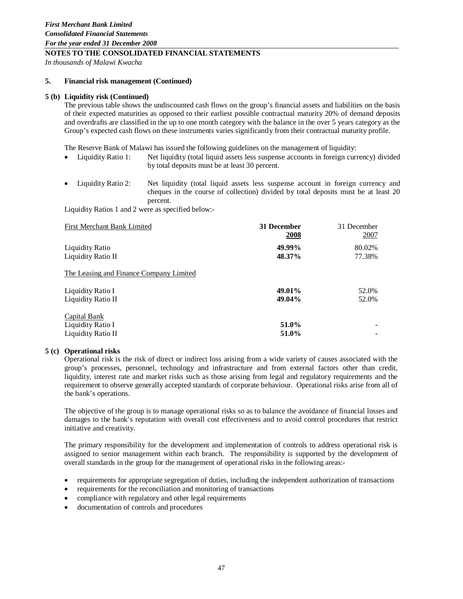*In thousands of Malawi Kwacha*

#### **5. Financial risk management (Continued)**

#### **5 (b) Liquidity risk (Continued)**

The previous table shows the undiscounted cash flows on the group's financial assets and liabilities on the basis of their expected maturities as opposed to their earliest possible contractual maturity 20% of demand deposits and overdrafts are classified in the up to one month category with the balance in the over 5 years category as the Group's expected cash flows on these instruments varies significantly from their contractual maturity profile.

The Reserve Bank of Malawi has issued the following guidelines on the management of liquidity:

- Liquidity Ratio 1: Net liquidity (total liquid assets less suspense accounts in foreign currency) divided by total deposits must be at least 30 percent.
- Liquidity Ratio 2: Net liquidity (total liquid assets less suspense account in foreign currency and cheques in the course of collection) divided by total deposits must be at least 20 percent.

Liquidity Ratios 1 and 2 were as specified below:-

| First Merchant Bank Limited             | 31 December<br>2008 | 31 December<br><u> 2007</u> |
|-----------------------------------------|---------------------|-----------------------------|
| Liquidity Ratio                         | 49.99%              | 80.02%                      |
| Liquidity Ratio II                      | 48.37%              | 77.38%                      |
| The Leasing and Finance Company Limited |                     |                             |
| Liquidity Ratio I                       | 49.01%              | 52.0%                       |
| Liquidity Ratio II                      | 49.04%              | 52.0%                       |
| Capital Bank                            |                     |                             |
| Liquidity Ratio I                       | 51.0%               |                             |
| Liquidity Ratio II                      | 51.0%               |                             |

#### **5 (c) Operational risks**

Operational risk is the risk of direct or indirect loss arising from a wide variety of causes associated with the group's processes, personnel, technology and infrastructure and from external factors other than credit, liquidity, interest rate and market risks such as those arising from legal and regulatory requirements and the requirement to observe generally accepted standards of corporate behaviour. Operational risks arise from all of the bank's operations.

The objective of the group is to manage operational risks so as to balance the avoidance of financial losses and damages to the bank's reputation with overall cost effectiveness and to avoid control procedures that restrict initiative and creativity.

The primary responsibility for the development and implementation of controls to address operational risk is assigned to senior management within each branch. The responsibility is supported by the development of overall standards in the group for the management of operational risks in the following areas:-

- requirements for appropriate segregation of duties, including the independent authorization of transactions
- requirements for the reconciliation and monitoring of transactions
- compliance with regulatory and other legal requirements
- documentation of controls and procedures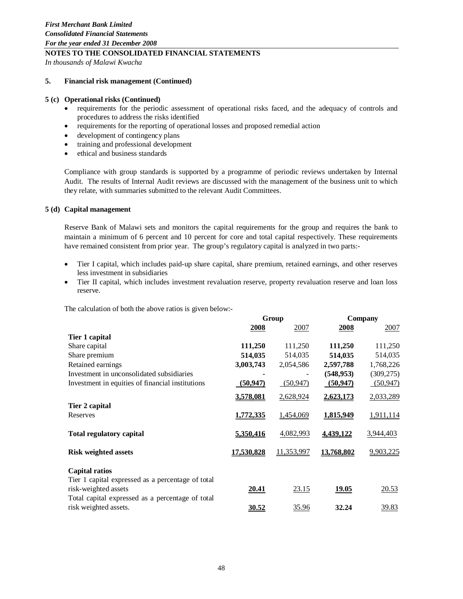*In thousands of Malawi Kwacha*

#### **5. Financial risk management (Continued)**

#### **5 (c) Operational risks (Continued)**

- requirements for the periodic assessment of operational risks faced, and the adequacy of controls and procedures to address the risks identified
- requirements for the reporting of operational losses and proposed remedial action
- development of contingency plans
- training and professional development
- ethical and business standards

Compliance with group standards is supported by a programme of periodic reviews undertaken by Internal Audit. The results of Internal Audit reviews are discussed with the management of the business unit to which they relate, with summaries submitted to the relevant Audit Committees.

#### **5 (d) Capital management**

Reserve Bank of Malawi sets and monitors the capital requirements for the group and requires the bank to maintain a minimum of 6 percent and 10 percent for core and total capital respectively. These requirements have remained consistent from prior year. The group's regulatory capital is analyzed in two parts:-

- Tier I capital, which includes paid-up share capital, share premium, retained earnings, and other reserves less investment in subsidiaries
- Tier II capital, which includes investment revaluation reserve, property revaluation reserve and loan loss reserve.

The calculation of both the above ratios is given below:-

|                                                   | Group      |            | Company    |            |
|---------------------------------------------------|------------|------------|------------|------------|
|                                                   | 2008       | 2007       | 2008       | 2007       |
| Tier 1 capital                                    |            |            |            |            |
| Share capital                                     | 111,250    | 111,250    | 111,250    | 111,250    |
| Share premium                                     | 514,035    | 514,035    | 514,035    | 514,035    |
| Retained earnings                                 | 3,003,743  | 2,054,586  | 2,597,788  | 1,768,226  |
| Investment in unconsolidated subsidiaries         |            |            | (548, 953) | (309, 275) |
| Investment in equities of financial institutions  | (50, 947)  | (50, 947)  | (50, 947)  | (50, 947)  |
|                                                   | 3,578,081  | 2,628,924  | 2,623,173  | 2,033,289  |
| Tier 2 capital                                    |            |            |            |            |
| Reserves                                          | 1,772,335  | 1,454,069  | 1,815,949  | 1,911,114  |
| <b>Total regulatory capital</b>                   | 5,350,416  | 4,082,993  | 4,439,122  | 3,944,403  |
| <b>Risk weighted assets</b>                       | 17,530,828 | 11,353,997 | 13,768,802 | 9,903,225  |
| <b>Capital ratios</b>                             |            |            |            |            |
| Tier 1 capital expressed as a percentage of total |            |            |            |            |
| risk-weighted assets                              | 20.41      | 23.15      | 19.05      | 20.53      |
| Total capital expressed as a percentage of total  |            |            |            |            |
| risk weighted assets.                             | 30.52      | 35.96      | 32.24      | 39.83      |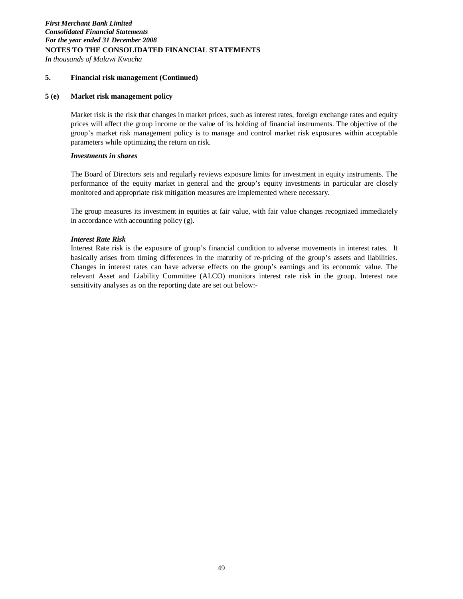**NOTES TO THE CONSOLIDATED FINANCIAL STATEMENTS**  *In thousands of Malawi Kwacha*

# **5. Financial risk management (Continued)**

#### **5 (e) Market risk management policy**

Market risk is the risk that changes in market prices, such as interest rates, foreign exchange rates and equity prices will affect the group income or the value of its holding of financial instruments. The objective of the group's market risk management policy is to manage and control market risk exposures within acceptable parameters while optimizing the return on risk.

# *Investments in shares*

The Board of Directors sets and regularly reviews exposure limits for investment in equity instruments. The performance of the equity market in general and the group's equity investments in particular are closely monitored and appropriate risk mitigation measures are implemented where necessary.

The group measures its investment in equities at fair value, with fair value changes recognized immediately in accordance with accounting policy (g).

# *Interest Rate Risk*

Interest Rate risk is the exposure of group's financial condition to adverse movements in interest rates. It basically arises from timing differences in the maturity of re-pricing of the group's assets and liabilities. Changes in interest rates can have adverse effects on the group's earnings and its economic value. The relevant Asset and Liability Committee (ALCO) monitors interest rate risk in the group. Interest rate sensitivity analyses as on the reporting date are set out below:-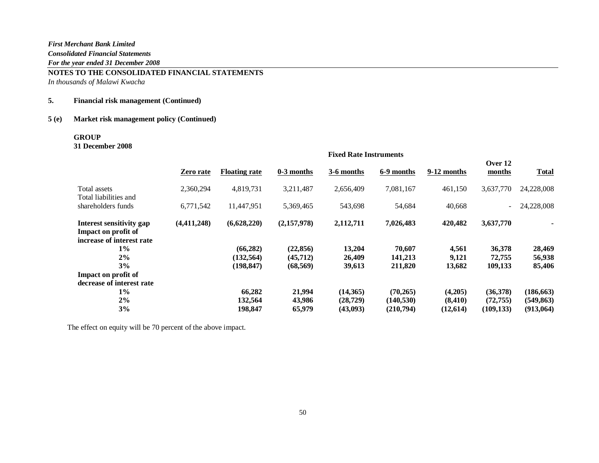**NOTES TO THE CONSOLIDATED FINANCIAL STATEMENTS**  *In thousands of Malawi Kwacha*

# **5. Financial risk management (Continued)**

# **5 (e) Market risk management policy (Continued)**

# **GROUP**

**31 December 2008**

|                                                                              | <b>Fixed Rate Instruments</b> |                      |             |            |            |             |                          |              |
|------------------------------------------------------------------------------|-------------------------------|----------------------|-------------|------------|------------|-------------|--------------------------|--------------|
|                                                                              | Zero rate                     | <b>Floating rate</b> | 0-3 months  | 3-6 months | 6-9 months | 9-12 months | Over 12<br>months        | <b>Total</b> |
| Total assets<br>Total liabilities and                                        | 2,360,294                     | 4,819,731            | 3,211,487   | 2,656,409  | 7,081,167  | 461,150     | 3,637,770                | 24,228,008   |
| shareholders funds                                                           | 6,771,542                     | 11,447,951           | 5,369,465   | 543,698    | 54,684     | 40,668      | $\overline{\phantom{0}}$ | 24,228,008   |
| Interest sensitivity gap<br>Impact on profit of<br>increase of interest rate | (4,411,248)                   | (6,628,220)          | (2,157,978) | 2,112,711  | 7,026,483  | 420,482     | 3,637,770                |              |
| $1\%$                                                                        |                               | (66, 282)            | (22, 856)   | 13,204     | 70,607     | 4,561       | 36,378                   | 28,469       |
| 2%                                                                           |                               | (132, 564)           | (45, 712)   | 26,409     | 141,213    | 9,121       | 72,755                   | 56,938       |
| 3%                                                                           |                               | (198, 847)           | (68, 569)   | 39,613     | 211,820    | 13,682      | 109,133                  | 85,406       |
| Impact on profit of                                                          |                               |                      |             |            |            |             |                          |              |
| decrease of interest rate                                                    |                               |                      |             |            |            |             |                          |              |
| $1\%$                                                                        |                               | 66,282               | 21,994      | (14,365)   | (70, 265)  | (4,205)     | (36,378)                 | (186, 663)   |
| 2%                                                                           |                               | 132,564              | 43,986      | (28, 729)  | (140, 530) | (8, 410)    | (72, 755)                | (549, 863)   |
| 3%                                                                           |                               | 198,847              | 65,979      | (43,093)   | (210,794)  | (12, 614)   | (109, 133)               | (913,064)    |

The effect on equity will be 70 percent of the above impact.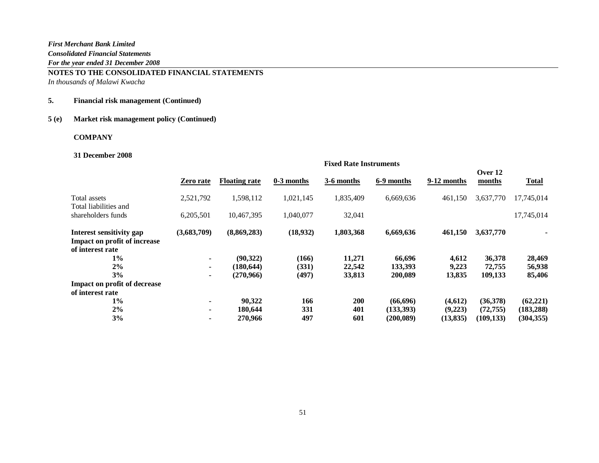**NOTES TO THE CONSOLIDATED FINANCIAL STATEMENTS**  *In thousands of Malawi Kwacha*

# **5. Financial risk management (Continued)**

# **5 (e) Market risk management policy (Continued)**

# **COMPANY**

#### **31 December 2008**

|                                                                              | <b>Fixed Rate Instruments</b> |                      |              |            |            |             |                   |              |
|------------------------------------------------------------------------------|-------------------------------|----------------------|--------------|------------|------------|-------------|-------------------|--------------|
|                                                                              | Zero rate                     | <b>Floating rate</b> | $0-3$ months | 3-6 months | 6-9 months | 9-12 months | Over 12<br>months | <b>Total</b> |
| Total assets<br>Total liabilities and                                        | 2,521,792                     | 1,598,112            | 1,021,145    | 1,835,409  | 6,669,636  | 461,150     | 3,637,770         | 17,745,014   |
| shareholders funds                                                           | 6,205,501                     | 10,467,395           | 1,040,077    | 32,041     |            |             |                   | 17,745,014   |
| Interest sensitivity gap<br>Impact on profit of increase<br>of interest rate | (3,683,709)                   | (8,869,283)          | (18,932)     | 1,803,368  | 6,669,636  | 461,150     | 3,637,770         |              |
| $1\%$                                                                        | ۰.                            | (90, 322)            | (166)        | 11,271     | 66,696     | 4,612       | 36,378            | 28,469       |
| 2%                                                                           | ۰.                            | (180, 644)           | (331)        | 22,542     | 133,393    | 9,223       | 72,755            | 56,938       |
| 3%                                                                           | ۰.                            | (270,966)            | (497)        | 33,813     | 200,089    | 13,835      | 109,133           | 85,406       |
| <b>Impact on profit of decrease</b>                                          |                               |                      |              |            |            |             |                   |              |
| of interest rate                                                             |                               |                      |              |            |            |             |                   |              |
| $1\%$                                                                        |                               | 90,322               | 166          | 200        | (66, 696)  | (4,612)     | (36,378)          | (62, 221)    |
| 2%                                                                           | ۰.                            | 180,644              | 331          | 401        | (133,393)  | (9,223)     | (72, 755)         | (183, 288)   |
| 3%                                                                           |                               | 270,966              | 497          | 601        | (200, 089) | (13, 835)   | (109, 133)        | (304, 355)   |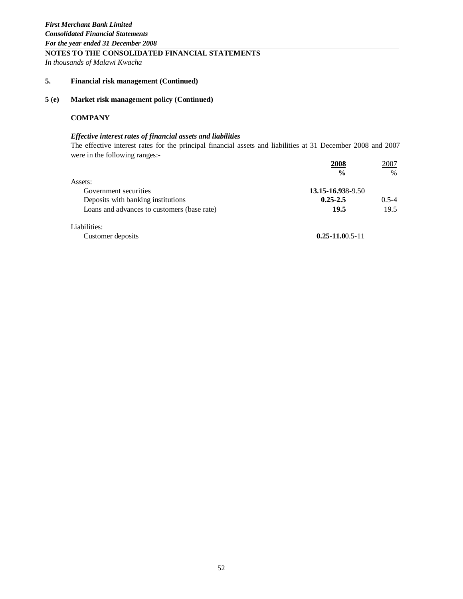# **NOTES TO THE CONSOLIDATED FINANCIAL STATEMENTS**

*In thousands of Malawi Kwacha*

# **5. Financial risk management (Continued)**

# **5 (e) Market risk management policy (Continued)**

# **COMPANY**

# *Effective interest rates of financial assets and liabilities*

The effective interest rates for the principal financial assets and liabilities at 31 December 2008 and 2007 were in the following ranges:-

|                                             | 2008              | 2007      |
|---------------------------------------------|-------------------|-----------|
|                                             | $\frac{0}{0}$     | $\%$      |
| Assets:                                     |                   |           |
| Government securities                       | 13.15-16.938-9.50 |           |
| Deposits with banking institutions          | $0.25 - 2.5$      | $0.5 - 4$ |
| Loans and advances to customers (base rate) | 19.5              | 19.5      |
| Liabilities:                                |                   |           |

Customer deposits **0.25-11.0**0.5-11

52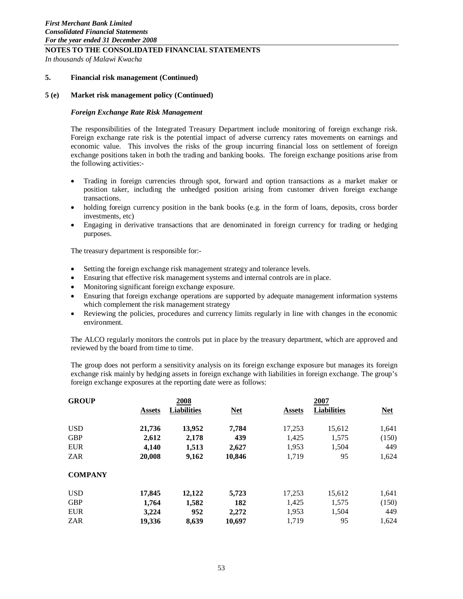**NOTES TO THE CONSOLIDATED FINANCIAL STATEMENTS**  *In thousands of Malawi Kwacha*

#### **5. Financial risk management (Continued)**

#### **5 (e) Market risk management policy (Continued)**

#### *Foreign Exchange Rate Risk Management*

The responsibilities of the Integrated Treasury Department include monitoring of foreign exchange risk. Foreign exchange rate risk is the potential impact of adverse currency rates movements on earnings and economic value. This involves the risks of the group incurring financial loss on settlement of foreign exchange positions taken in both the trading and banking books. The foreign exchange positions arise from the following activities:-

- Trading in foreign currencies through spot, forward and option transactions as a market maker or position taker, including the unhedged position arising from customer driven foreign exchange transactions.
- holding foreign currency position in the bank books (e.g. in the form of loans, deposits, cross border investments, etc)
- Engaging in derivative transactions that are denominated in foreign currency for trading or hedging purposes.

The treasury department is responsible for:-

- Setting the foreign exchange risk management strategy and tolerance levels.
- Ensuring that effective risk management systems and internal controls are in place.
- Monitoring significant foreign exchange exposure.
- Ensuring that foreign exchange operations are supported by adequate management information systems which complement the risk management strategy
- Reviewing the policies, procedures and currency limits regularly in line with changes in the economic environment.

The ALCO regularly monitors the controls put in place by the treasury department, which are approved and reviewed by the board from time to time.

The group does not perform a sensitivity analysis on its foreign exchange exposure but manages its foreign exchange risk mainly by hedging assets in foreign exchange with liabilities in foreign exchange. The group's foreign exchange exposures at the reporting date were as follows:

| <b>GROUP</b>   |               | 2008               |            |               | 2007               |            |  |  |
|----------------|---------------|--------------------|------------|---------------|--------------------|------------|--|--|
|                | <b>Assets</b> | <b>Liabilities</b> | <b>Net</b> | <b>Assets</b> | <b>Liabilities</b> | <b>Net</b> |  |  |
| <b>USD</b>     | 21,736        | 13,952             | 7.784      | 17,253        | 15,612             | 1,641      |  |  |
| <b>GBP</b>     | 2,612         | 2,178              | 439        | 1,425         | 1,575              | (150)      |  |  |
| <b>EUR</b>     | 4.140         | 1,513              | 2,627      | 1,953         | 1,504              | 449        |  |  |
| <b>ZAR</b>     | 20,008        | 9,162              | 10,846     | 1,719         | 95                 | 1,624      |  |  |
| <b>COMPANY</b> |               |                    |            |               |                    |            |  |  |
| <b>USD</b>     | 17,845        | 12,122             | 5,723      | 17,253        | 15,612             | 1,641      |  |  |
| <b>GBP</b>     | 1,764         | 1,582              | 182        | 1,425         | 1,575              | (150)      |  |  |
| <b>EUR</b>     | 3,224         | 952                | 2,272      | 1,953         | 1,504              | 449        |  |  |
| <b>ZAR</b>     | 19,336        | 8,639              | 10,697     | 1,719         | 95                 | 1,624      |  |  |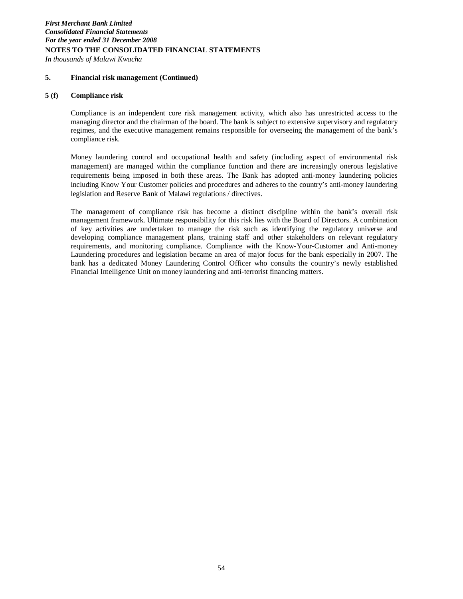# **NOTES TO THE CONSOLIDATED FINANCIAL STATEMENTS**  *In thousands of Malawi Kwacha*

# **5. Financial risk management (Continued)**

# **5 (f) Compliance risk**

Compliance is an independent core risk management activity, which also has unrestricted access to the managing director and the chairman of the board. The bank is subject to extensive supervisory and regulatory regimes, and the executive management remains responsible for overseeing the management of the bank's compliance risk.

Money laundering control and occupational health and safety (including aspect of environmental risk management) are managed within the compliance function and there are increasingly onerous legislative requirements being imposed in both these areas. The Bank has adopted anti-money laundering policies including Know Your Customer policies and procedures and adheres to the country's anti-money laundering legislation and Reserve Bank of Malawi regulations / directives.

The management of compliance risk has become a distinct discipline within the bank's overall risk management framework. Ultimate responsibility for this risk lies with the Board of Directors. A combination of key activities are undertaken to manage the risk such as identifying the regulatory universe and developing compliance management plans, training staff and other stakeholders on relevant regulatory requirements, and monitoring compliance. Compliance with the Know-Your-Customer and Anti-money Laundering procedures and legislation became an area of major focus for the bank especially in 2007. The bank has a dedicated Money Laundering Control Officer who consults the country's newly established Financial Intelligence Unit on money laundering and anti-terrorist financing matters.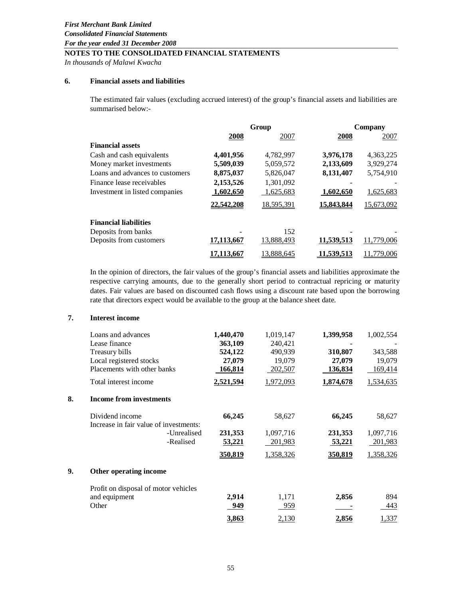*In thousands of Malawi Kwacha*

# **6. Financial assets and liabilities**

The estimated fair values (excluding accrued interest) of the group's financial assets and liabilities are summarised below:-

|                                 | Group      |            |                   | Company    |
|---------------------------------|------------|------------|-------------------|------------|
|                                 | 2008       | 2007       | 2008              | 2007       |
| <b>Financial assets</b>         |            |            |                   |            |
| Cash and cash equivalents       | 4,401,956  | 4,782,997  | 3,976,178         | 4,363,225  |
| Money market investments        | 5,509,039  | 5,059,572  | 2,133,609         | 3,929,274  |
| Loans and advances to customers | 8,875,037  | 5,826,047  | 8,131,407         | 5,754,910  |
| Finance lease receivables       | 2,153,526  | 1,301,092  |                   |            |
| Investment in listed companies  | 1,602,650  | 1,625,683  | 1,602,650         | 1,625,683  |
|                                 | 22,542,208 | 18,595,391 | 15,843,844        | 15,673,092 |
| <b>Financial liabilities</b>    |            |            |                   |            |
| Deposits from banks             |            | 152        |                   |            |
| Deposits from customers         | 17,113,667 | 13,888,493 | 11,539,513        | 11,779,006 |
|                                 | 7.113.667  | 13,888,645 | <u>11,539,513</u> | .779.006   |

In the opinion of directors, the fair values of the group's financial assets and liabilities approximate the respective carrying amounts, due to the generally short period to contractual repricing or maturity dates. Fair values are based on discounted cash flows using a discount rate based upon the borrowing rate that directors expect would be available to the group at the balance sheet date.

#### **7. Interest income**

|    | Loans and advances                     | 1,440,470     | 1,019,147      | 1,399,958     | 1,002,554 |
|----|----------------------------------------|---------------|----------------|---------------|-----------|
|    | Lease finance                          | 363,109       | 240,421        |               |           |
|    | Treasury bills                         | 524,122       | 490,939        | 310,807       | 343,588   |
|    | Local registered stocks                | 27,079        | 19,079         | 27,079        | 19,079    |
|    | Placements with other banks            | 166,814       | 202,507        | 136,834       | 169,414   |
|    | Total interest income                  | 2,521,594     | 1,972,093      | 1,874,678     | 1,534,635 |
| 8. | Income from investments                |               |                |               |           |
|    | Dividend income                        | 66,245        | 58,627         | 66,245        | 58,627    |
|    | Increase in fair value of investments: |               |                |               |           |
|    | -Unrealised                            | 231,353       | 1,097,716      | 231,353       | 1,097,716 |
|    | -Realised                              | <u>53,221</u> | <u>201,983</u> | <u>53,221</u> | 201,983   |
|    |                                        | 350,819       | 1,358,326      | 350,819       | 1,358,326 |
| 9. | Other operating income                 |               |                |               |           |
|    | Profit on disposal of motor vehicles   |               |                |               |           |
|    | and equipment                          | 2,914         | 1,171          | 2,856         | 894       |
|    | Other                                  | 949           | <u>959</u>     |               | 443       |
|    |                                        | 3,863         | 2,130          | 2,856         | 1,337     |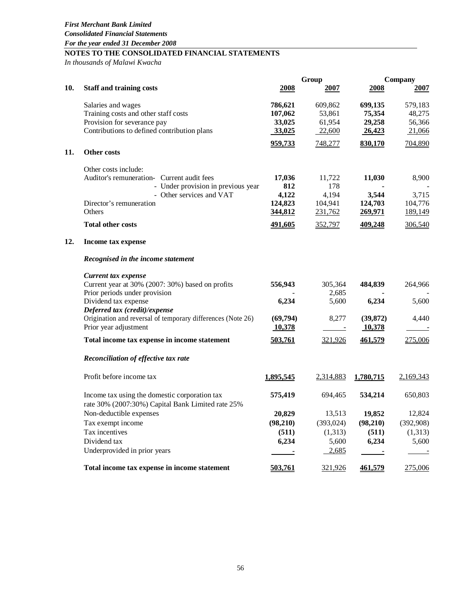*In thousands of Malawi Kwacha*

|     |                                                                                                    |                     | Group                 | Company            |                      |  |
|-----|----------------------------------------------------------------------------------------------------|---------------------|-----------------------|--------------------|----------------------|--|
| 10. | <b>Staff and training costs</b>                                                                    | 2008                | 2007                  | 2008               | 2007                 |  |
|     | Salaries and wages                                                                                 | 786,621             | 609,862               | 699,135            | 579,183              |  |
|     | Training costs and other staff costs                                                               | 107,062             | 53,861                | 75,354             | 48,275               |  |
|     | Provision for severance pay                                                                        | 33,025              | 61,954                | 29,258             | 56,366               |  |
|     | Contributions to defined contribution plans                                                        | 33,025              | 22,600                | 26,423             | 21,066               |  |
| 11. | Other costs                                                                                        | 959,733             | 748,277               | 830,170            | 704,890              |  |
|     | Other costs include:                                                                               |                     |                       |                    |                      |  |
|     | Auditor's remuneration- Current audit fees                                                         | 17,036              | 11,722                | 11,030             | 8,900                |  |
|     | - Under provision in previous year                                                                 | 812                 | 178                   |                    |                      |  |
|     | - Other services and VAT                                                                           | 4,122               | 4,194                 | 3,544              | 3,715                |  |
|     | Director's remuneration<br>Others                                                                  | 124,823<br>344,812  | 104,941<br>231,762    | 124,703<br>269,971 | 104,776<br>189,149   |  |
|     | <b>Total other costs</b>                                                                           | 491,605             | 352,797               | 409,248            | 306,540              |  |
| 12. | Income tax expense                                                                                 |                     |                       |                    |                      |  |
|     | Recognised in the income statement                                                                 |                     |                       |                    |                      |  |
|     | Current tax expense                                                                                |                     |                       |                    |                      |  |
|     | Current year at 30% (2007: 30%) based on profits                                                   | 556,943             | 305,364               | 484,839            | 264,966              |  |
|     | Prior periods under provision                                                                      |                     | 2,685                 |                    |                      |  |
|     | Dividend tax expense                                                                               | 6,234               | 5,600                 | 6,234              | 5,600                |  |
|     | Deferred tax (credit)/expense                                                                      |                     |                       |                    |                      |  |
|     | Origination and reversal of temporary differences (Note 26)                                        | (69,794)            | 8,277                 | (39, 872)          | 4,440                |  |
|     | Prior year adjustment                                                                              | 10,378              |                       | 10,378             |                      |  |
|     | Total income tax expense in income statement                                                       | 503,761             | 321,926               | 461,579            | 275,006              |  |
|     | Reconciliation of effective tax rate                                                               |                     |                       |                    |                      |  |
|     | Profit before income tax                                                                           | 1,895,545           | 2,314,883             | 1,780,715          | 2,169,343            |  |
|     | Income tax using the domestic corporation tax<br>rate 30% (2007:30%) Capital Bank Limited rate 25% | 575,419             | 694,465               | 534,214            | 650,803              |  |
|     |                                                                                                    |                     |                       | 19,852             |                      |  |
|     | Non-deductible expenses                                                                            | 20,829<br>(98, 210) | 13,513                |                    | 12,824               |  |
|     | Tax exempt income<br>Tax incentives                                                                |                     | (393, 024)<br>(1,313) | (98, 210)          | (392,908)<br>(1,313) |  |
|     | Dividend tax                                                                                       | (511)               |                       | (511)              |                      |  |
|     |                                                                                                    | 6,234               | 5,600                 | 6,234              | 5,600                |  |
|     | Underprovided in prior years                                                                       |                     | 2,685                 |                    |                      |  |
|     | Total income tax expense in income statement                                                       | 503,761             | 321,926               | <u>461,579</u>     | 275,006              |  |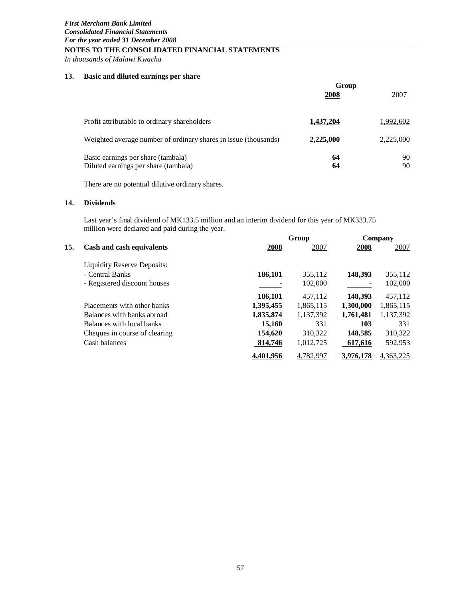*In thousands of Malawi Kwacha*

# **13. Basic and diluted earnings per share**

|                                                                 | Group            |           |  |
|-----------------------------------------------------------------|------------------|-----------|--|
|                                                                 | 2008             | 2007      |  |
|                                                                 |                  |           |  |
| Profit attributable to ordinary shareholders                    | <u>1,437,204</u> | 1,992,602 |  |
| Weighted average number of ordinary shares in issue (thousands) | 2,225,000        | 2,225,000 |  |
| Basic earnings per share (tambala)                              | 64               | 90        |  |
| Diluted earnings per share (tambala)                            | 64               | 90        |  |

There are no potential dilutive ordinary shares.

# **14. Dividends**

Last year's final dividend of MK133.5 million and an interim dividend for this year of MK333.75 million were declared and paid during the year.

|     |                                    |           | Group     |           | Company   |
|-----|------------------------------------|-----------|-----------|-----------|-----------|
| 15. | Cash and cash equivalents          | 2008      | 2007      | 2008      | 2007      |
|     | <b>Liquidity Reserve Deposits:</b> |           |           |           |           |
|     | - Central Banks                    | 186,101   | 355,112   | 148,393   | 355,112   |
|     | - Registered discount houses       |           | 102,000   |           | 102,000   |
|     |                                    | 186,101   | 457,112   | 148,393   | 457,112   |
|     | Placements with other banks        | 1,395,455 | 1,865,115 | 1,300,000 | 1,865,115 |
|     | Balances with banks abroad         | 1,835,874 | 1,137,392 | 1,761,481 | 1,137,392 |
|     | Balances with local banks          | 15,160    | 331       | 103       | 331       |
|     | Cheques in course of clearing      | 154,620   | 310,322   | 148,585   | 310,322   |
|     | Cash balances                      | 814,746   | 1,012,725 | 617,616   | 592,953   |
|     |                                    | 4,401,956 | 4.782.997 | 3,976,178 | 4,363,225 |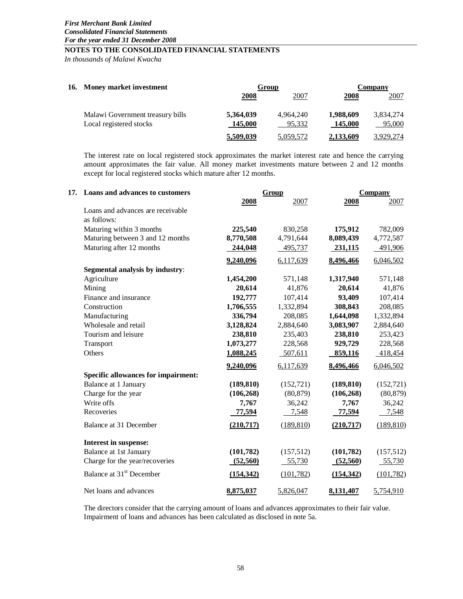*In thousands of Malawi Kwacha*

| 16. Money market investment      |             | Group     |           | Company   |  |  |
|----------------------------------|-------------|-----------|-----------|-----------|--|--|
|                                  | <b>2008</b> | 2007      | 2008      | 2007      |  |  |
| Malawi Government treasury bills | 5,364,039   | 4.964.240 | 1,988,609 | 3,834,274 |  |  |
| Local registered stocks          | 145,000     | 95.332    | 145,000   | 95,000    |  |  |
|                                  | 5,509,039   | 5,059,572 | 2,133,609 | 3.929.274 |  |  |

The interest rate on local registered stock approximates the market interest rate and hence the carrying amount approximates the fair value. All money market investments mature between 2 and 12 months except for local registered stocks which mature after 12 months.

| 17. Loans and advances to customers        |            | Group      |            | <b>Company</b> |
|--------------------------------------------|------------|------------|------------|----------------|
|                                            | 2008       | 2007       | 2008       | 2007           |
| Loans and advances are receivable          |            |            |            |                |
| as follows:                                |            |            |            |                |
| Maturing within 3 months                   | 225,540    | 830,258    | 175,912    | 782,009        |
| Maturing between 3 and 12 months           | 8,770,508  | 4,791,644  | 8,089,439  | 4,772,587      |
| Maturing after 12 months                   | 244,048    | 495,737    | 231,115    | 491,906        |
|                                            | 9,240,096  | 6,117,639  | 8,496,466  | 6,046,502      |
| Segmental analysis by industry:            |            |            |            |                |
| Agriculture                                | 1,454,200  | 571,148    | 1,317,940  | 571,148        |
| Mining                                     | 20,614     | 41,876     | 20,614     | 41,876         |
| Finance and insurance                      | 192,777    | 107,414    | 93,409     | 107,414        |
| Construction                               | 1,706,555  | 1,332,894  | 308,843    | 208,085        |
| Manufacturing                              | 336,794    | 208,085    | 1,644,098  | 1,332,894      |
| Wholesale and retail                       | 3,128,824  | 2,884,640  | 3,083,907  | 2,884,640      |
| Tourism and leisure                        | 238,810    | 235,403    | 238,810    | 253,423        |
| Transport                                  | 1,073,277  | 228,568    | 929,729    | 228,568        |
| Others                                     | 1,088,245  | 507,611    | 859,116    | 418,454        |
|                                            | 9,240,096  | 6,117,639  | 8,496,466  | 6,046,502      |
| <b>Specific allowances for impairment:</b> |            |            |            |                |
| Balance at 1 January                       | (189, 810) | (152, 721) | (189, 810) | (152, 721)     |
| Charge for the year                        | (106, 268) | (80, 879)  | (106, 268) | (80, 879)      |
| Write offs                                 | 7,767      | 36,242     | 7,767      | 36,242         |
| Recoveries                                 | 77,594     | 7,548      | 77,594     | 7,548          |
| Balance at 31 December                     | (210, 717) | (189, 810) | (210,717)  | (189, 810)     |
| Interest in suspense:                      |            |            |            |                |
| <b>Balance at 1st January</b>              | (101, 782) | (157, 512) | (101, 782) | (157, 512)     |
| Charge for the year/recoveries             | (52, 560)  | 55,730     | (52, 560)  | 55,730         |
| Balance at 31 <sup>st</sup> December       | (154, 342) | (101, 782) | (154, 342) | (101, 782)     |
| Net loans and advances                     | 8,875,037  | 5,826,047  | 8,131,407  | 5,754,910      |

The directors consider that the carrying amount of loans and advances approximates to their fair value. Impairment of loans and advances has been calculated as disclosed in note 5a.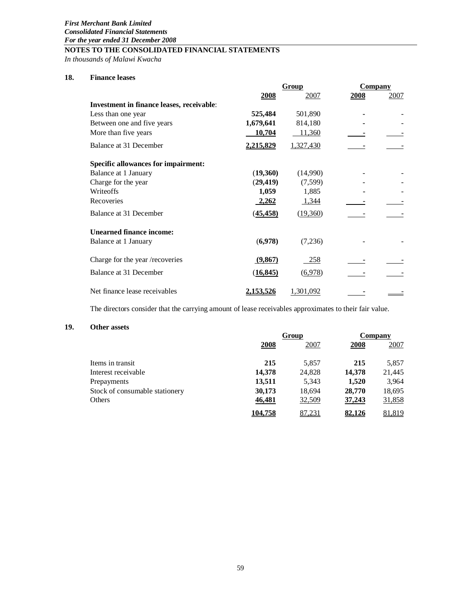*In thousands of Malawi Kwacha*

# **18. Finance leases**

|                  | Group     |      |                |
|------------------|-----------|------|----------------|
| <b>2008</b>      | 2007      | 2008 | 2007           |
|                  |           |      |                |
| 525,484          | 501,890   |      |                |
| 1,679,641        | 814,180   |      |                |
| 10,704           | 11,360    |      |                |
| 2,215,829        | 1,327,430 |      |                |
|                  |           |      |                |
| (19,360)         | (14,990)  |      |                |
| (29, 419)        | (7,599)   |      |                |
| 1,059            | 1,885     |      |                |
| <u>2,262</u>     | 1,344     |      |                |
| (45, 458)        | (19,360)  |      |                |
|                  |           |      |                |
| (6,978)          | (7,236)   |      |                |
| (9,867)          | 258       |      |                |
| (16, 845)        | (6,978)   |      |                |
| <u>2,153,526</u> | 1,301,092 |      |                |
|                  |           |      | <b>Company</b> |

The directors consider that the carrying amount of lease receivables approximates to their fair value.

# **19. Other assets**

|                                |         | Group  |               | Company |
|--------------------------------|---------|--------|---------------|---------|
|                                | 2008    | 2007   | 2008          | 2007    |
| Items in transit               | 215     | 5.857  | 215           | 5,857   |
| Interest receivable            | 14,378  | 24,828 | 14,378        | 21,445  |
| Prepayments                    | 13,511  | 5,343  | 1,520         | 3,964   |
| Stock of consumable stationery | 30,173  | 18,694 | 28,770        | 18,695  |
| <b>Others</b>                  | 46,481  | 32,509 | 37,243        | 31,858  |
|                                | 104,758 | 87,231 | <u>82,126</u> | 81,819  |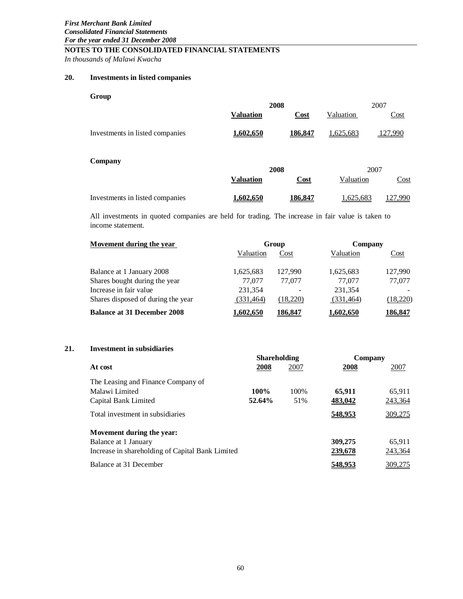*In thousands of Malawi Kwacha*

# **20. Investments in listed companies**

| Group                           |                  |         |           |         |
|---------------------------------|------------------|---------|-----------|---------|
|                                 |                  | 2008    |           | 2007    |
|                                 | <b>Valuation</b> | Cost    | Valuation | Cost    |
| Investments in listed companies | <u>1,602,650</u> | 186,847 | 1,625,683 | 127,990 |
| Company                         |                  | 2008    |           | 2007    |
|                                 | <b>Valuation</b> | Cost    | Valuation | Cost    |
| Investments in listed companies | 1.602.650        | 186.847 | 1,625,683 | 27,990  |

All investments in quoted companies are held for trading. The increase in fair value is taken to income statement.

| Movement during the year           |                  | Group    | Company          |                |  |
|------------------------------------|------------------|----------|------------------|----------------|--|
|                                    | Valuation        | Cost     | Valuation        | Cost           |  |
| Balance at 1 January 2008          | 1,625,683        | 127,990  | 1,625,683        | 127,990        |  |
| Shares bought during the year      | 77,077           | 77,077   | 77,077           | 77,077         |  |
| Increase in fair value             | 231,354          |          | 231.354          |                |  |
| Shares disposed of during the year | (331, 464)       | (18.220) | (331, 464)       | (18,220)       |  |
| <b>Balance at 31 December 2008</b> | <u>1,602,650</u> | 186,847  | <u>1,602,650</u> | <u>186,847</u> |  |

# **21. Investment in subsidiaries**

|                                                  | <b>Shareholding</b> |       | Company |         |  |
|--------------------------------------------------|---------------------|-------|---------|---------|--|
| At cost                                          | 2008                | 2007  | 2008    | 2007    |  |
| The Leasing and Finance Company of               |                     |       |         |         |  |
| Malawi Limited                                   | 100%                | 100\% | 65,911  | 65,911  |  |
| Capital Bank Limited                             | 52.64%              | 51%   | 483,042 | 243,364 |  |
| Total investment in subsidiaries                 |                     |       | 548,953 | 309,275 |  |
| Movement during the year:                        |                     |       |         |         |  |
| Balance at 1 January                             |                     |       | 309,275 | 65,911  |  |
| Increase in shareholding of Capital Bank Limited |                     |       | 239,678 | 243,364 |  |
| Balance at 31 December                           |                     |       | 548,953 | 309,275 |  |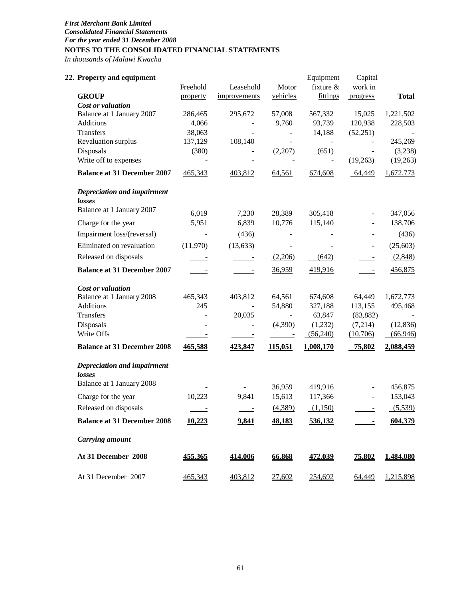*In thousands of Malawi Kwacha*

| 22. Property and equipment            | Freehold               | Leasehold                | Motor                      | Equipment<br>fixture &             | Capital<br>work in         |                    |
|---------------------------------------|------------------------|--------------------------|----------------------------|------------------------------------|----------------------------|--------------------|
| <b>GROUP</b>                          | property               | improvements             | vehicles                   | fittings                           | progress                   | <b>Total</b>       |
| Cost or valuation                     |                        |                          |                            |                                    |                            |                    |
| Balance at 1 January 2007             | 286,465                | 295,672                  | 57,008                     | 567,332                            | 15,025                     | 1,221,502          |
| Additions                             | 4,066                  |                          | 9,760                      | 93,739                             | 120,938                    | 228,503            |
| Transfers                             | 38,063                 |                          | $\overline{\phantom{a}}$   | 14,188                             | (52,251)                   |                    |
| Revaluation surplus                   | 137,129                | 108,140                  | $\blacksquare$             | $\blacksquare$                     |                            | 245,269<br>(3,238) |
| Disposals<br>Write off to expenses    | (380)<br>$\sim$ $\sim$ | $\overline{\phantom{a}}$ | (2,207)<br>$\sim 10^{-10}$ | (651)<br>$\sim 10^{11}$ km $^{-1}$ | $\blacksquare$<br>(19,263) | (19,263)           |
| <b>Balance at 31 December 2007</b>    | 465,343                | 403,812                  | 64,561                     | 674,608                            | 64,449                     | 1,672,773          |
| Depreciation and impairment           |                        |                          |                            |                                    |                            |                    |
| losses                                |                        |                          |                            |                                    |                            |                    |
| Balance at 1 January 2007             | 6,019                  | 7,230                    | 28,389                     | 305,418                            | $\overline{\phantom{a}}$   | 347,056            |
| Charge for the year                   | 5,951                  | 6,839                    | 10,776                     | 115,140                            | $\blacksquare$             | 138,706            |
| Impairment loss/(reversal)            |                        | (436)                    |                            |                                    |                            | (436)              |
| Eliminated on revaluation             | (11,970)               | (13, 633)                | $\overline{\phantom{0}}$   |                                    | $\overline{\phantom{a}}$   | (25, 603)          |
| Released on disposals                 | $\sim$ $\sim$          | $\overline{\phantom{a}}$ | (2,206)                    | (642)                              | $\equiv$                   | (2,848)            |
| <b>Balance at 31 December 2007</b>    |                        |                          | 36,959                     | 419,916                            |                            | 456,875            |
| Cost or valuation                     |                        |                          |                            |                                    |                            |                    |
| Balance at 1 January 2008             | 465,343                | 403,812                  | 64,561                     | 674,608                            | 64,449                     | 1,672,773          |
| Additions                             | 245                    |                          | 54,880                     | 327,188                            | 113,155                    | 495,468            |
| Transfers                             |                        | 20,035                   |                            | 63,847                             | (83, 882)                  |                    |
| Disposals                             |                        |                          | (4,390)                    | (1,232)                            | (7,214)                    | (12, 836)          |
| Write Offs                            |                        |                          | $\equiv$                   | (56,240)                           | (10,706)                   | (66, 946)          |
| <b>Balance at 31 December 2008</b>    | 465,588                | 423,847                  | 115,051                    | 1,008,170                          | 75,802                     | 2,088,459          |
| Depreciation and impairment<br>losses |                        |                          |                            |                                    |                            |                    |
| Balance at 1 January 2008             |                        |                          | 36,959                     | 419,916                            |                            | 456,875            |
| Charge for the year                   | 10,223                 | 9,841                    | 15,613                     | 117,366                            | $\frac{1}{2}$              | 153,043            |
| Released on disposals                 |                        |                          | (4,389)                    | (1,150)                            |                            | (5,539)            |
| <b>Balance at 31 December 2008</b>    | 10,223                 | 9,841                    | 48,183                     | 536,132                            |                            | 604,379            |
| <b>Carrying amount</b>                |                        |                          |                            |                                    |                            |                    |
| At 31 December 2008                   | 455,365                | 414,006                  | 66,868                     | 472,039                            | 75,802                     | 1,484,080          |
| At 31 December 2007                   | 465,343                | 403,812                  | 27,602                     | 254,692                            | 64,449                     | 1,215,898          |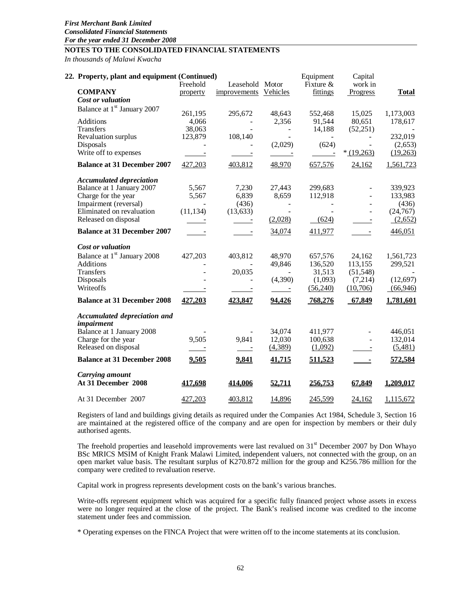*In thousands of Malawi Kwacha*

| 22. Property, plant and equipment (Continued)     | Freehold                  | Leasehold Motor             |                          | Equipment<br>Fixture $&$ | Capital<br>work in       |                      |
|---------------------------------------------------|---------------------------|-----------------------------|--------------------------|--------------------------|--------------------------|----------------------|
| <b>COMPANY</b>                                    | property                  | improvements Vehicles       |                          | fittings                 | Progress                 | <b>Total</b>         |
| Cost or valuation                                 |                           |                             |                          |                          |                          |                      |
| Balance at 1 <sup>st</sup> January 2007           | 261,195                   | 295,672                     | 48,643                   | 552,468                  | 15,025                   | 1,173,003            |
| Additions                                         | 4,066                     | $\blacksquare$              | 2,356                    | 91,544                   | 80,651                   | 178,617              |
| Transfers                                         | 38,063                    |                             | $\blacksquare$           | 14,188                   | (52,251)                 |                      |
| Revaluation surplus                               | 123,879                   | 108,140                     |                          |                          |                          | 232,019              |
| Disposals                                         |                           |                             | (2,029)                  | (624)                    | $\sim$                   | (2,653)              |
| Write off to expenses                             | $\sim$ $-$                | $\sim 10^{11}$ km s $^{-1}$ | $\sim$ 100 $\pm$         | $\sim 100$ $\mu$         | $*(19,263)$              | (19,263)             |
| <b>Balance at 31 December 2007</b>                | 427,203                   | 403,812                     | 48,970                   | 657,576                  | 24,162                   | 1,561,723            |
| <b>Accumulated depreciation</b>                   |                           |                             |                          |                          |                          |                      |
| Balance at 1 January 2007                         | 5,567                     | 7,230                       | 27,443                   | 299,683                  | $\overline{\phantom{a}}$ | 339,923              |
| Charge for the year                               | 5,567                     | 6,839                       | 8,659                    | 112,918                  | $\blacksquare$           | 133,983              |
| Impairment (reversal)                             |                           | (436)                       | $\overline{\phantom{a}}$ | $\blacksquare$           |                          | (436)                |
| Eliminated on revaluation<br>Released on disposal | (11, 134)                 | (13, 633)                   | (2,028)                  | (624)                    | $\overline{\phantom{a}}$ | (24, 767)<br>(2,652) |
|                                                   | $\frac{1}{2}$             | $\sim 10^{11}$ km $^{-1}$   |                          |                          | $\overline{\phantom{a}}$ |                      |
| <b>Balance at 31 December 2007</b>                | $\sim 10^{-10}$ m $^{-1}$ | $\sim 10^{-10}$ m $^{-1}$   | 34,074                   | 411,977                  | $\sim 10^{11}$ m $^{-1}$ | 446,051              |
| Cost or valuation                                 |                           |                             |                          |                          |                          |                      |
| Balance at 1 <sup>st</sup> January 2008           | 427,203                   | 403,812                     | 48,970                   | 657,576                  | 24,162                   | 1,561,723            |
| Additions                                         |                           |                             | 49,846                   | 136,520                  | 113,155                  | 299,521              |
| Transfers                                         |                           | 20,035                      |                          | 31,513                   | (51, 548)                |                      |
| Disposals                                         |                           |                             | (4,390)                  | (1,093)                  | (7,214)                  | (12,697)             |
| Writeoffs                                         |                           | $\sim$ $-$                  | $\overline{\phantom{a}}$ | (56,240)                 | (10,706)                 | (66,946)             |
| <b>Balance at 31 December 2008</b>                | 427,203                   | 423,847                     | 94,426                   | 768,276                  | 67,849                   | 1,781,601            |
| Accumulated depreciation and<br>impairment        |                           |                             |                          |                          |                          |                      |
| Balance at 1 January 2008                         |                           | $\blacksquare$              | 34,074                   | 411,977                  | ÷,                       | 446,051              |
| Charge for the year                               | 9,505                     | 9,841                       | 12,030                   | 100,638                  | $\overline{a}$           | 132,014              |
| Released on disposal                              |                           | $\equiv$ $\equiv$           | (4,389)                  | (1,092)                  |                          | (5,481)              |
| <b>Balance at 31 December 2008</b>                | 9,505                     | 9,841                       | 41,715                   | 511,523                  | $\sim 100$               | 572,584              |
| Carrying amount                                   |                           |                             |                          |                          |                          |                      |
| At 31 December 2008                               | 417,698                   | 414,006                     | 52,711                   | 256,753                  | 67,849                   | 1,209,017            |
| At 31 December 2007                               | 427,203                   | 403,812                     | 14,896                   | 245,599                  | 24,162                   | 1,115,672            |

Registers of land and buildings giving details as required under the Companies Act 1984, Schedule 3, Section 16 are maintained at the registered office of the company and are open for inspection by members or their duly authorised agents.

The freehold properties and leasehold improvements were last revalued on  $31<sup>st</sup>$  December 2007 by Don Whayo BSc MRICS MSIM of Knight Frank Malawi Limited, independent valuers, not connected with the group, on an open market value basis. The resultant surplus of K270.872 million for the group and K256.786 million for the company were credited to revaluation reserve.

Capital work in progress represents development costs on the bank's various branches.

Write-offs represent equipment which was acquired for a specific fully financed project whose assets in excess were no longer required at the close of the project. The Bank's realised income was credited to the income statement under fees and commission.

\* Operating expenses on the FINCA Project that were written off to the income statements at its conclusion.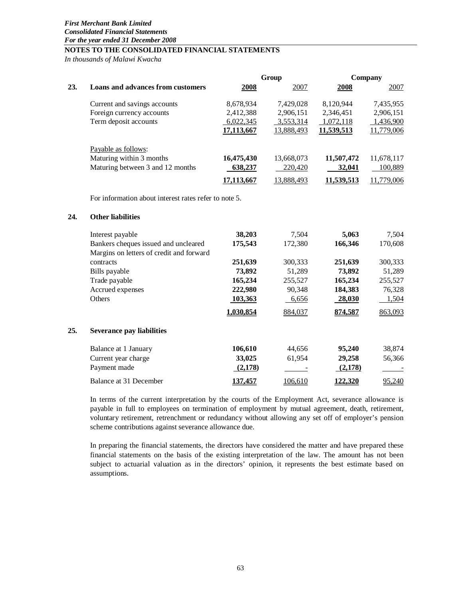*In thousands of Malawi Kwacha*

|     |                                                       |            | Group                   |            | Company    |
|-----|-------------------------------------------------------|------------|-------------------------|------------|------------|
| 23. | <b>Loans and advances from customers</b>              | 2008       | 2007                    | 2008       | 2007       |
|     | Current and savings accounts                          | 8,678,934  | 7,429,028               | 8,120,944  | 7,435,955  |
|     | Foreign currency accounts                             | 2,412,388  | 2,906,151               | 2,346,451  | 2,906,151  |
|     | Term deposit accounts                                 | 6,022,345  | 3,553,314               | 1,072,118  | 1,436,900  |
|     |                                                       | 17,113,667 | 13,888,493              | 11,539,513 | 11,779,006 |
|     | Payable as follows:                                   |            |                         |            |            |
|     | Maturing within 3 months                              | 16,475,430 | 13,668,073              | 11,507,472 | 11,678,117 |
|     | Maturing between 3 and 12 months                      | 638,237    | 220,420                 | 32,041     | 100,889    |
|     |                                                       | 17,113,667 | 13,888,493              | 11,539,513 | 11,779,006 |
|     | For information about interest rates refer to note 5. |            |                         |            |            |
| 24. | <b>Other liabilities</b>                              |            |                         |            |            |
|     | Interest payable                                      | 38,203     | 7,504                   | 5,063      | 7,504      |
|     | Bankers cheques issued and uncleared                  | 175,543    | 172,380                 | 166,346    | 170,608    |
|     | Margins on letters of credit and forward              |            |                         |            |            |
|     | contracts                                             | 251,639    | 300,333                 | 251,639    | 300,333    |
|     | Bills payable                                         | 73,892     | 51,289                  | 73,892     | 51,289     |
|     | Trade payable                                         | 165,234    | 255,527                 | 165,234    | 255,527    |
|     | Accrued expenses                                      | 222,980    | 90,348                  | 184,383    | 76,328     |
|     | Others                                                | 103,363    | 6,656                   | 28,030     | 1,504      |
|     |                                                       | 1,030,854  | 884,037                 | 874,587    | 863,093    |
| 25. | <b>Severance pay liabilities</b>                      |            |                         |            |            |
|     | Balance at 1 January                                  | 106,610    | 44,656                  | 95,240     | 38,874     |
|     | Current year charge                                   | 33,025     | 61,954                  | 29,258     | 56,366     |
|     | Payment made                                          | (2,178)    | $\sim 100$ km s $^{-1}$ | (2,178)    |            |
|     | Balance at 31 December                                | 137,457    | 106,610                 | 122,320    | 95,240     |

In terms of the current interpretation by the courts of the Employment Act, severance allowance is payable in full to employees on termination of employment by mutual agreement, death, retirement, voluntary retirement, retrenchment or redundancy without allowing any set off of employer's pension scheme contributions against severance allowance due.

In preparing the financial statements, the directors have considered the matter and have prepared these financial statements on the basis of the existing interpretation of the law. The amount has not been subject to actuarial valuation as in the directors' opinion, it represents the best estimate based on assumptions.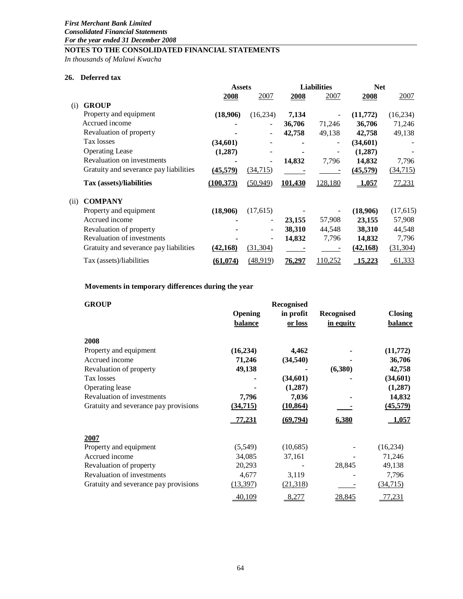*In thousands of Malawi Kwacha*

# **26. Deferred tax**

|      |                                        | <b>Assets</b> |           | <b>Liabilities</b> |         | <b>Net</b>    |           |
|------|----------------------------------------|---------------|-----------|--------------------|---------|---------------|-----------|
|      |                                        | 2008          | 2007      | 2008               | 2007    | 2008          | 2007      |
| (i)  | <b>GROUP</b>                           |               |           |                    |         |               |           |
|      | Property and equipment                 | (18,906)      | (16, 234) | 7,134              |         | (11,772)      | (16, 234) |
|      | Accrued income                         |               |           | 36,706             | 71,246  | 36,706        | 71,246    |
|      | Revaluation of property                |               |           | 42,758             | 49,138  | 42,758        | 49,138    |
|      | Tax losses                             | (34,601)      |           |                    |         | (34,601)      |           |
|      | <b>Operating Lease</b>                 | (1,287)       |           |                    |         | (1,287)       |           |
|      | Revaluation on investments             |               |           | 14,832             | 7,796   | 14,832        | 7,796     |
|      | Gratuity and severance pay liabilities | (45, 579)     | (34,715)  |                    |         | (45,579)      | (34, 715) |
|      | Tax (assets)/liabilities               | (100, 373)    | (50, 949) | <u>101,430</u>     | 128,180 | 1,057         | 77,231    |
| (ii) | <b>COMPANY</b>                         |               |           |                    |         |               |           |
|      | Property and equipment                 | (18,906)      | (17,615)  |                    |         | (18,906)      | (17,615)  |
|      | Accrued income                         |               | -         | 23,155             | 57,908  | 23,155        | 57,908    |
|      | Revaluation of property                |               |           | 38,310             | 44,548  | 38,310        | 44,548    |
|      | <b>Revaluation of investments</b>      |               |           | 14,832             | 7,796   | 14,832        | 7,796     |
|      | Gratuity and severance pay liabilities | (42, 168)     | (31, 304) |                    |         | (42, 168)     | (31, 304) |
|      | Tax (assets)/liabilities               | (61.074)      | (48,919)  | 76.297             | 110,252 | <u>15,223</u> | 61,333    |

# **Movements in temporary differences during the year**

| <b>GROUP</b>                          |                           | Recognised           |                                |                                  |
|---------------------------------------|---------------------------|----------------------|--------------------------------|----------------------------------|
|                                       | Opening<br><b>balance</b> | in profit<br>or loss | <b>Recognised</b><br>in equity | <b>Closing</b><br><b>balance</b> |
| 2008                                  |                           |                      |                                |                                  |
| Property and equipment                | (16, 234)                 | 4,462                |                                | (11,772)                         |
| Accrued income                        | 71,246                    | (34, 540)            |                                | 36,706                           |
| Revaluation of property               | 49,138                    |                      | (6,380)                        | 42,758                           |
| Tax losses                            |                           | (34,601)             |                                | (34,601)                         |
| Operating lease                       |                           | (1,287)              |                                | (1,287)                          |
| <b>Revaluation of investments</b>     | 7,796                     | 7,036                |                                | 14,832                           |
| Gratuity and severance pay provisions | (34,715)                  | (10, 864)            |                                | (45,579)                         |
|                                       | <u>77,231</u>             | (69, 794)            | 6,380                          | <u>1,057</u>                     |
| 2007                                  |                           |                      |                                |                                  |
| Property and equipment                | (5,549)                   | (10,685)             |                                | (16, 234)                        |
| Accrued income                        | 34,085                    | 37,161               |                                | 71,246                           |
| Revaluation of property               | 20,293                    |                      | 28,845                         | 49,138                           |
| <b>Revaluation of investments</b>     | 4,677                     | 3,119                |                                | 7,796                            |
| Gratuity and severance pay provisions | (13,397)                  | (21,318)             |                                | (34,715)                         |
|                                       | 40,109                    | 8,277                | 28,845                         | 77,231                           |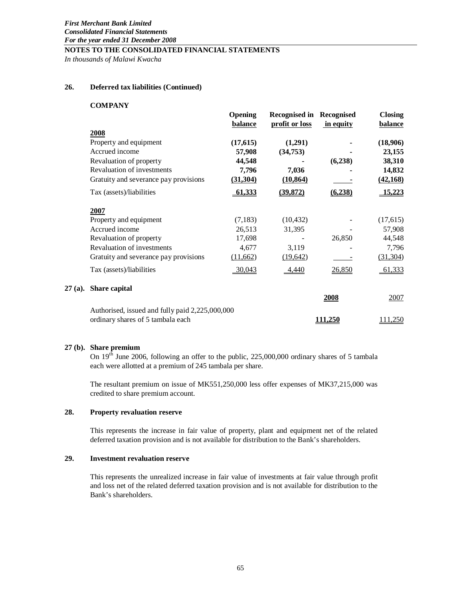*In thousands of Malawi Kwacha*

# **26. Deferred tax liabilities (Continued)**

#### **COMPANY**

|           |                                                 | <b>Opening</b><br>balance | <b>Recognised in Recognised</b><br>profit or loss | in equity      | <b>Closing</b><br><b>balance</b> |
|-----------|-------------------------------------------------|---------------------------|---------------------------------------------------|----------------|----------------------------------|
|           | 2008                                            |                           |                                                   |                |                                  |
|           | Property and equipment                          | (17,615)                  | (1,291)                                           |                | (18,906)                         |
|           | Accrued income                                  | 57,908                    | (34, 753)                                         |                | 23,155                           |
|           | Revaluation of property                         | 44,548                    |                                                   | (6,238)        | 38,310                           |
|           | Revaluation of investments                      | 7,796                     | 7,036                                             |                | 14,832                           |
|           | Gratuity and severance pay provisions           | (31, 304)                 | (10, 864)                                         |                | (42, 168)                        |
|           | Tax (assets)/liabilities                        | 61,333                    | (39, 872)                                         | (6, 238)       | 15,223                           |
|           | 2007                                            |                           |                                                   |                |                                  |
|           | Property and equipment                          | (7, 183)                  | (10, 432)                                         |                | (17, 615)                        |
|           | Accrued income                                  | 26,513                    | 31,395                                            |                | 57,908                           |
|           | Revaluation of property                         | 17,698                    |                                                   | 26,850         | 44,548                           |
|           | Revaluation of investments                      | 4,677                     | 3,119                                             |                | 7,796                            |
|           | Gratuity and severance pay provisions           | (11,662)                  | (19,642)                                          |                | (31, 304)                        |
|           | Tax (assets)/liabilities                        | 30,043                    | 4,440                                             | 26,850         | 61,333                           |
| $27(a)$ . | Share capital                                   |                           |                                                   |                |                                  |
|           |                                                 |                           |                                                   | 2008           | 2007                             |
|           | Authorised, issued and fully paid 2,225,000,000 |                           |                                                   |                |                                  |
|           | ordinary shares of 5 tambala each               |                           |                                                   | <u>111,250</u> | 111,250                          |

#### **27 (b). Share premium**

On  $19<sup>th</sup>$  June 2006, following an offer to the public, 225,000,000 ordinary shares of 5 tambala each were allotted at a premium of 245 tambala per share.

The resultant premium on issue of MK551,250,000 less offer expenses of MK37,215,000 was credited to share premium account.

# **28. Property revaluation reserve**

This represents the increase in fair value of property, plant and equipment net of the related deferred taxation provision and is not available for distribution to the Bank's shareholders.

# **29. Investment revaluation reserve**

This represents the unrealized increase in fair value of investments at fair value through profit and loss net of the related deferred taxation provision and is not available for distribution to the Bank's shareholders.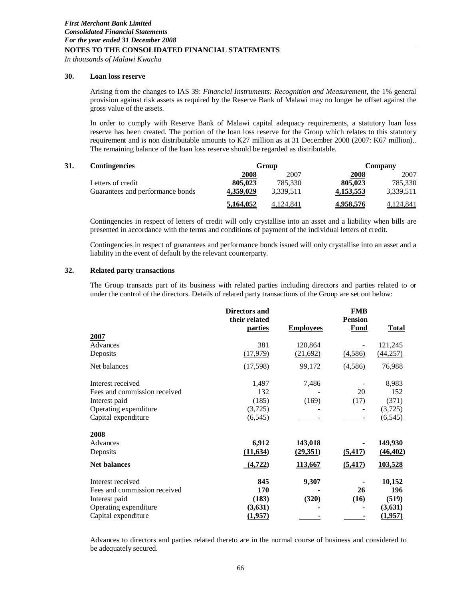*In thousands of Malawi Kwacha*

# **30. Loan loss reserve**

Arising from the changes to IAS 39: *Financial Instruments: Recognition and Measurement*, the 1% general provision against risk assets as required by the Reserve Bank of Malawi may no longer be offset against the gross value of the assets.

In order to comply with Reserve Bank of Malawi capital adequacy requirements, a statutory loan loss reserve has been created. The portion of the loan loss reserve for the Group which relates to this statutory requirement and is non distributable amounts to K27 million as at 31 December 2008 (2007: K67 million).. The remaining balance of the loan loss reserve should be regarded as distributable.

| 31.<br><b>Contingencies</b> |                                  |             | Group     |              | Company   |  |
|-----------------------------|----------------------------------|-------------|-----------|--------------|-----------|--|
|                             |                                  | <b>2008</b> | 2007      | <u> 2008</u> | 2007      |  |
|                             | Letters of credit                | 805,023     | 785.330   | 805,023      | 785.330   |  |
|                             | Guarantees and performance bonds | 4.359,029   | 3.339.511 | 4,153,553    | 3,339,511 |  |
|                             |                                  | 5.164,052   | 4.124.841 | 4,958,576    | 4,124,841 |  |

Contingencies in respect of letters of credit will only crystallise into an asset and a liability when bills are presented in accordance with the terms and conditions of payment of the individual letters of credit.

Contingencies in respect of guarantees and performance bonds issued will only crystallise into an asset and a liability in the event of default by the relevant counterparty.

# **32. Related party transactions**

The Group transacts part of its business with related parties including directors and parties related to or under the control of the directors. Details of related party transactions of the Group are set out below:

|                              | <b>Directors and</b><br>their related<br><u>parties</u> | <b>Employees</b> | <b>FMB</b><br><b>Pension</b><br><b>Fund</b> | <b>Total</b> |
|------------------------------|---------------------------------------------------------|------------------|---------------------------------------------|--------------|
| 2007                         |                                                         |                  |                                             |              |
| Advances                     | 381                                                     | 120,864          |                                             | 121,245      |
| Deposits                     | (17,979)                                                | (21,692)         | (4,586)                                     | (44, 257)    |
| Net balances                 | (17,598)                                                | 99,172           | (4,586)                                     | 76,988       |
| Interest received            | 1,497                                                   | 7,486            |                                             | 8,983        |
| Fees and commission received | 132                                                     |                  | 20                                          | 152          |
| Interest paid                | (185)                                                   | (169)            | (17)                                        | (371)        |
| Operating expenditure        | (3,725)                                                 |                  |                                             | (3,725)      |
| Capital expenditure          | (6, 545)                                                |                  |                                             | (6, 545)     |
| 2008                         |                                                         |                  |                                             |              |
| Advances                     | 6,912                                                   | 143,018          |                                             | 149,930      |
| Deposits                     | (11, 634)                                               | (29,351)         | (5, 417)                                    | (46, 402)    |
| <b>Net balances</b>          | (4, 722)                                                | 113,667          | (5, 417)                                    | 103,528      |
| Interest received            | 845                                                     | 9,307            |                                             | 10,152       |
| Fees and commission received | 170                                                     |                  | 26                                          | 196          |
| Interest paid                | (183)                                                   | (320)            | (16)                                        | (519)        |
| Operating expenditure        | (3,631)                                                 |                  |                                             | (3,631)      |
| Capital expenditure          | (1,957)                                                 |                  |                                             | (1,957)      |
|                              |                                                         |                  |                                             |              |

Advances to directors and parties related thereto are in the normal course of business and considered to be adequately secured.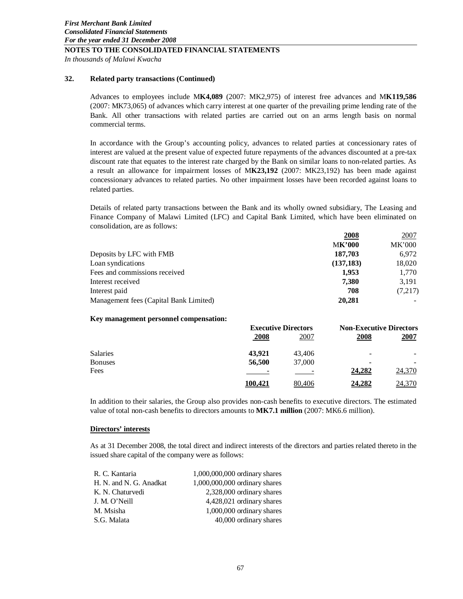*In thousands of Malawi Kwacha*

# **32. Related party transactions (Continued)**

Advances to employees include M**K4,089** (2007: MK2,975) of interest free advances and M**K119,586**  (2007: MK73,065) of advances which carry interest at one quarter of the prevailing prime lending rate of the Bank. All other transactions with related parties are carried out on an arms length basis on normal commercial terms.

In accordance with the Group's accounting policy, advances to related parties at concessionary rates of interest are valued at the present value of expected future repayments of the advances discounted at a pre-tax discount rate that equates to the interest rate charged by the Bank on similar loans to non-related parties. As a result an allowance for impairment losses of M**K23,192** (2007: MK23,192) has been made against concessionary advances to related parties. No other impairment losses have been recorded against loans to related parties.

Details of related party transactions between the Bank and its wholly owned subsidiary, The Leasing and Finance Company of Malawi Limited (LFC) and Capital Bank Limited, which have been eliminated on consolidation, are as follows:

|                                        | 2008          | 2007          |
|----------------------------------------|---------------|---------------|
|                                        | <b>MK'000</b> | <b>MK'000</b> |
| Deposits by LFC with FMB               | 187,703       | 6.972         |
| Loan syndications                      | (137, 183)    | 18,020        |
| Fees and commissions received          | 1.953         | 1,770         |
| Interest received                      | 7.380         | 3.191         |
| Interest paid                          | 708           | (7,217)       |
| Management fees (Capital Bank Limited) | 20,281        |               |

#### **Key management personnel compensation:**

|                |         | <b>Executive Directors</b> |               | <b>Non-Executive Directors</b> |
|----------------|---------|----------------------------|---------------|--------------------------------|
|                | 2008    | 2007                       | 2008          | 2007                           |
| Salaries       | 43.921  | 43,406                     |               |                                |
| <b>Bonuses</b> | 56,500  | 37,000                     |               |                                |
| Fees           |         |                            | 24,282        | 24,370                         |
|                | 100.421 | 80.406                     | <u>24,282</u> | 24,370                         |

In addition to their salaries, the Group also provides non-cash benefits to executive directors. The estimated value of total non-cash benefits to directors amounts to **MK7.1 million** (2007: MK6.6 million).

# **Directors' interests**

As at 31 December 2008, the total direct and indirect interests of the directors and parties related thereto in the issued share capital of the company were as follows:

| R. C. Kantaria          | 1,000,000,000 ordinary shares |
|-------------------------|-------------------------------|
| H. N. and N. G. Anadkat | 1,000,000,000 ordinary shares |
| K. N. Chaturvedi        | 2,328,000 ordinary shares     |
| J. M. O'Neill           | 4,428,021 ordinary shares     |
| M. Msisha               | 1,000,000 ordinary shares     |
| S.G. Malata             | 40,000 ordinary shares        |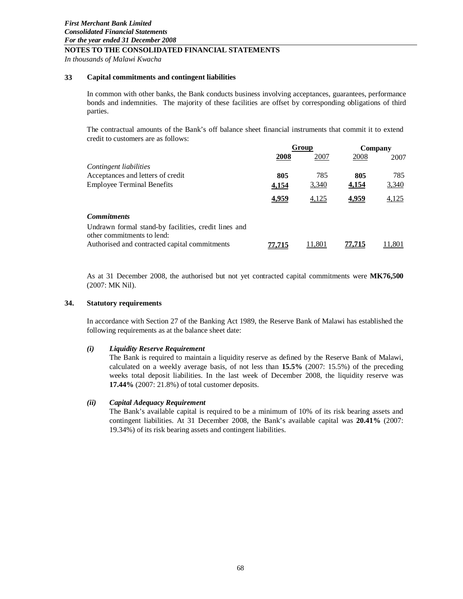*In thousands of Malawi Kwacha*

#### **33 Capital commitments and contingent liabilities**

In common with other banks, the Bank conducts business involving acceptances, guarantees, performance bonds and indemnities. The majority of these facilities are offset by corresponding obligations of third parties.

The contractual amounts of the Bank's off balance sheet financial instruments that commit it to extend credit to customers are as follows:

|                                                                                    | Group  |        | Company |       |
|------------------------------------------------------------------------------------|--------|--------|---------|-------|
|                                                                                    | 2008   | 2007   | 2008    | 2007  |
| Contingent liabilities                                                             |        |        |         |       |
| Acceptances and letters of credit                                                  | 805    | 785    | 805     | 785   |
| <b>Employee Terminal Benefits</b>                                                  | 4,154  | 3,340  | 4,154   | 3,340 |
|                                                                                    | 4,959  | 4,125  | 4,959   | 4,125 |
| <b>Commitments</b>                                                                 |        |        |         |       |
| Undrawn formal stand-by facilities, credit lines and<br>other commitments to lend: |        |        |         |       |
| Authorised and contracted capital commitments                                      | 77,715 | 11.801 | 77,715  | .801  |

As at 31 December 2008, the authorised but not yet contracted capital commitments were **MK76,500** (2007: MK Nil).

#### **34. Statutory requirements**

In accordance with Section 27 of the Banking Act 1989, the Reserve Bank of Malawi has established the following requirements as at the balance sheet date:

# *(i) Liquidity Reserve Requirement*

The Bank is required to maintain a liquidity reserve as defined by the Reserve Bank of Malawi, calculated on a weekly average basis, of not less than **15.5%** (2007: 15.5%) of the preceding weeks total deposit liabilities. In the last week of December 2008, the liquidity reserve was **17.44%** (2007: 21.8%) of total customer deposits.

#### *(ii) Capital Adequacy Requirement*

The Bank's available capital is required to be a minimum of 10% of its risk bearing assets and contingent liabilities. At 31 December 2008, the Bank's available capital was **20.41%** (2007: 19.34%) of its risk bearing assets and contingent liabilities.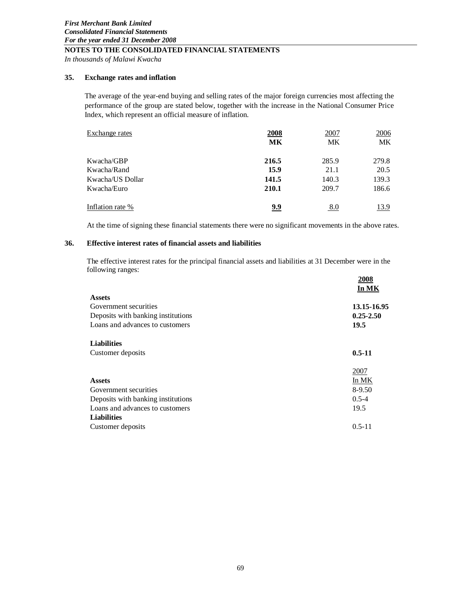*In thousands of Malawi Kwacha*

#### **35. Exchange rates and inflation**

The average of the year-end buying and selling rates of the major foreign currencies most affecting the performance of the group are stated below, together with the increase in the National Consumer Price Index, which represent an official measure of inflation.

| Exchange rates   | 2008       | 2007       | 2006  |
|------------------|------------|------------|-------|
|                  | MK         | МK         | MK    |
| Kwacha/GBP       | 216.5      | 285.9      | 279.8 |
| Kwacha/Rand      | 15.9       | 21.1       | 20.5  |
| Kwacha/US Dollar | 141.5      | 140.3      | 139.3 |
| Kwacha/Euro      | 210.1      | 209.7      | 186.6 |
| Inflation rate % | <u>9.9</u> | <u>8.0</u> | 13.9  |

At the time of signing these financial statements there were no significant movements in the above rates.

# **36. Effective interest rates of financial assets and liabilities**

The effective interest rates for the principal financial assets and liabilities at 31 December were in the following ranges:

|                                    | 2008<br>In MK |
|------------------------------------|---------------|
| <b>Assets</b>                      |               |
| Government securities              | 13.15-16.95   |
| Deposits with banking institutions | $0.25 - 2.50$ |
| Loans and advances to customers    | 19.5          |
| <b>Liabilities</b>                 |               |
| Customer deposits                  | $0.5 - 11$    |
|                                    | 2007          |
| <b>Assets</b>                      | In MK         |
| Government securities              | $8-9.50$      |
| Deposits with banking institutions | $0.5 - 4$     |
| Loans and advances to customers    | 19.5          |
| <b>Liabilities</b>                 |               |
| Customer deposits                  | $0.5 - 11$    |